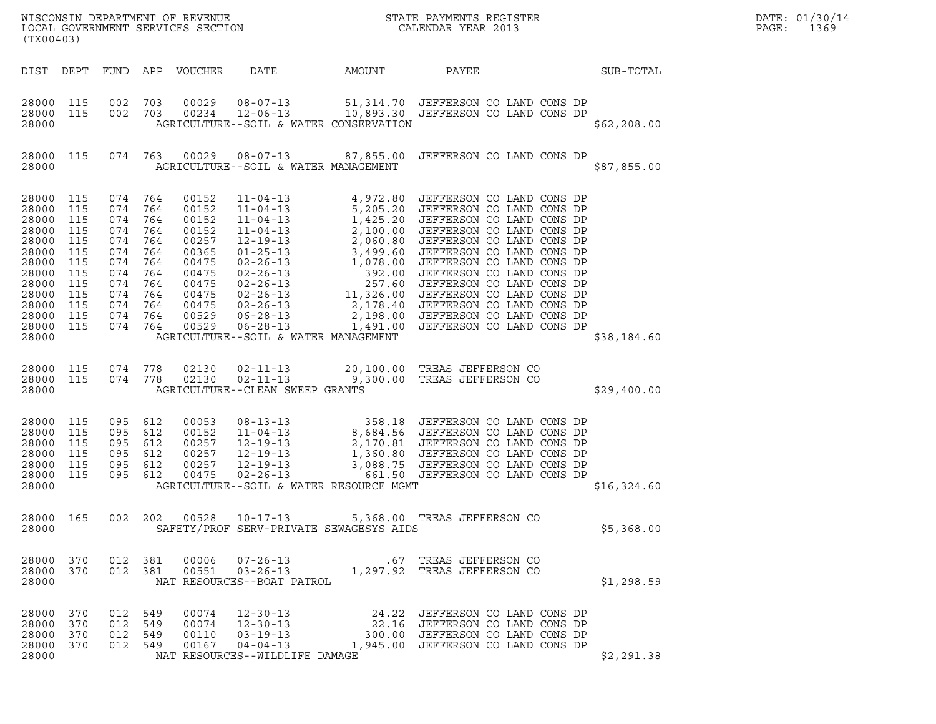| (TX00403)                                                                                                                  |                                                                                         |                                                                                                 |                                                                           |                                                                                                                   | ${\tt WISCONSIM} \begin{tabular}{l} DEPARTMENT OF REVIEW \\ LOCAL BONERNMENT SERVICES SECTION \\ \end{tabular}$                                                                                                                                                                                                                    |                             |                                                       | DATE: 01/30/14<br>PAGE:<br>1369                                                                                                              |              |  |
|----------------------------------------------------------------------------------------------------------------------------|-----------------------------------------------------------------------------------------|-------------------------------------------------------------------------------------------------|---------------------------------------------------------------------------|-------------------------------------------------------------------------------------------------------------------|------------------------------------------------------------------------------------------------------------------------------------------------------------------------------------------------------------------------------------------------------------------------------------------------------------------------------------|-----------------------------|-------------------------------------------------------|----------------------------------------------------------------------------------------------------------------------------------------------|--------------|--|
| DIST DEPT                                                                                                                  |                                                                                         |                                                                                                 |                                                                           | FUND APP VOUCHER                                                                                                  | DATE                                                                                                                                                                                                                                                                                                                               | AMOUNT                      | PAYEE                                                 |                                                                                                                                              | SUB-TOTAL    |  |
| 28000 115<br>28000 115<br>28000                                                                                            |                                                                                         | 002<br>002 703                                                                                  | 703                                                                       | 00029<br>00234                                                                                                    | 08-07-13 51,314.70 JEFFERSON CO LAND CONS DP<br>$12-06-13$ $10,893.30$ JEFFERSON CO LAND CONS DP<br>AGRICULTURE--SOIL & WATER CONSERVATION                                                                                                                                                                                         |                             |                                                       |                                                                                                                                              | \$62, 208.00 |  |
| 28000 115<br>28000                                                                                                         |                                                                                         | 074 763                                                                                         |                                                                           |                                                                                                                   | 00029  08-07-13  87,855.00  JEFFERSON CO LAND CONS DP<br>AGRICULTURE--SOIL & WATER MANAGEMENT                                                                                                                                                                                                                                      |                             |                                                       |                                                                                                                                              | \$87,855.00  |  |
| 28000<br>28000<br>28000<br>28000<br>28000<br>28000<br>28000<br>28000<br>28000<br>28000<br>28000<br>28000<br>28000<br>28000 | 115<br>115<br>115<br>115<br>115<br>115<br>115<br>115<br>115<br>115<br>115<br>115<br>115 | 074<br>074<br>074<br>074<br>074<br>074<br>074<br>074<br>074<br>074<br>074<br>074 764<br>074 764 | 764<br>764<br>764<br>764<br>764<br>764<br>764<br>764<br>764<br>764<br>764 | 00152<br>00152<br>00152<br>00152<br>00257<br>00365<br>00475<br>00475<br>00475<br>00475<br>00475<br>00529<br>00529 | AGRICULTURE--SOIL & WATER MANAGEMENT                                                                                                                                                                                                                                                                                               |                             |                                                       |                                                                                                                                              | \$38,184.60  |  |
| 28000 115<br>28000 115<br>28000                                                                                            |                                                                                         | 074<br>074 778                                                                                  | 778                                                                       | 02130<br>02130                                                                                                    | 02-11-13 20,100.00 TREAS JEFFERSON CO<br>$02 - 11 - 13$<br>AGRICULTURE--CLEAN SWEEP GRANTS                                                                                                                                                                                                                                         | 9,300.00 TREAS JEFFERSON CO |                                                       |                                                                                                                                              | \$29,400.00  |  |
| 28000<br>28000<br>28000<br>28000<br>28000<br>28000<br>28000                                                                | 115<br>115<br>115<br>115<br>115<br>115                                                  | 095<br>095<br>095<br>095<br>095<br>095 612                                                      | 612<br>612<br>612<br>612<br>612                                           | 00053<br>00152<br>00257<br>00257<br>00257<br>00475                                                                | $08 - 13 - 13$<br>11-04-13<br>12-19-13<br>2, 170.81<br>2, 170.81<br>2, 170.81<br>3, 088.75<br>2FFERSON CO LAND CONS DP<br>12-19-13<br>3, 088.75<br>5EFFERSON CO LAND CONS DP<br>2-26-13<br>661.50<br>2FFFERSON CO LAND CONS DP<br>661.50<br>2FFFERSON CO LAND CONS DP<br>$02 - 26 - 13$<br>AGRICULTURE--SOIL & WATER RESOURCE MGMT |                             |                                                       | 358.18 JEFFERSON CO LAND CONS DP<br>661.50 JEFFERSON CO LAND CONS DP                                                                         | \$16,324.60  |  |
| 28000 165<br>28000                                                                                                         |                                                                                         | 002 202                                                                                         |                                                                           | 00528                                                                                                             | 10-17-13 5,368.00 TREAS JEFFERSON CO<br>SAFETY/PROF SERV-PRIVATE SEWAGESYS AIDS                                                                                                                                                                                                                                                    |                             |                                                       |                                                                                                                                              | \$5,368.00   |  |
| 28000 370<br>28000 370<br>28000                                                                                            |                                                                                         |                                                                                                 | 012 381<br>012 381                                                        | 00006<br>00551                                                                                                    | 07-26-13<br>$03 - 26 - 13$<br>NAT RESOURCES--BOAT PATROL                                                                                                                                                                                                                                                                           |                             | .67 TREAS JEFFERSON CO<br>1,297.92 TREAS JEFFERSON CO |                                                                                                                                              | \$1,298.59   |  |
| 28000 370<br>28000<br>28000<br>28000<br>28000                                                                              | 370<br>370<br>370                                                                       | 012 549<br>012 549<br>012 549<br>012 549                                                        |                                                                           | 00074<br>00074<br>00110<br>00167                                                                                  | $12 - 30 - 13$<br>12-30-13<br>$03 - 19 - 13$<br>$04 - 04 - 13$<br>NAT RESOURCES--WILDLIFE DAMAGE                                                                                                                                                                                                                                   |                             |                                                       | 24.22 JEFFERSON CO LAND CONS DP<br>22.16 JEFFERSON CO LAND CONS DP<br>300.00 JEFFERSON CO LAND CONS DP<br>1,945.00 JEFFERSON CO LAND CONS DP | \$2,291.38   |  |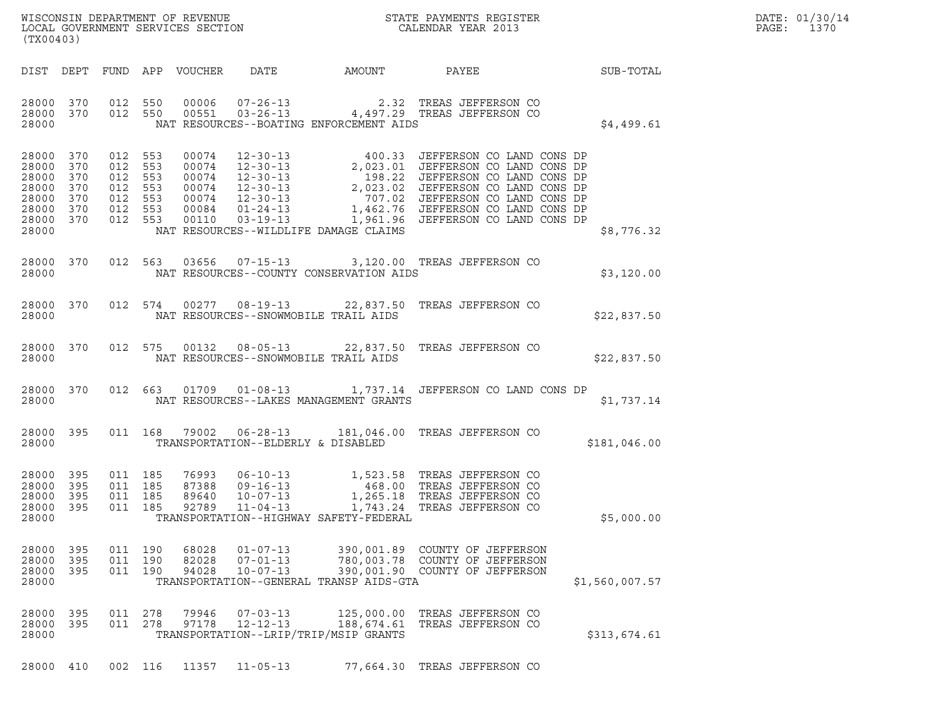|       | DATE: 01/30/14 |
|-------|----------------|
| PAGE: | 1370           |

| $\tt WISCONSIM DEPARTMENT OF REVENUE$ $\tt WISCONSIMENTS REGISTER$<br>LOCAL GOVERNMENT SERVICES SECTION $\tt CALENDAR YEAR$<br>2013<br>(TX00403) |                                 |                                                                           | DATE: 01/30/14<br>PAGE:<br>1370 |                                  |                                                    |                                         |                                                                                                                                                                                                                                            |                |  |
|--------------------------------------------------------------------------------------------------------------------------------------------------|---------------------------------|---------------------------------------------------------------------------|---------------------------------|----------------------------------|----------------------------------------------------|-----------------------------------------|--------------------------------------------------------------------------------------------------------------------------------------------------------------------------------------------------------------------------------------------|----------------|--|
|                                                                                                                                                  |                                 |                                                                           |                                 | DIST DEPT FUND APP VOUCHER       | DATE                                               | AMOUNT                                  | PAYEE<br>SUB-TOTAL                                                                                                                                                                                                                         |                |  |
| 28000 370 012 550<br>28000 370<br>28000                                                                                                          |                                 | 012 550                                                                   |                                 |                                  |                                                    | NAT RESOURCES--BOATING ENFORCEMENT AIDS | 00006  07-26-13  2.32 TREAS JEFFERSON CO<br>00551  03-26-13  4,497.29 TREAS JEFFERSON CO                                                                                                                                                   | \$4,499.61     |  |
| 28000 370<br>28000<br>28000<br>28000<br>28000<br>28000<br>28000 370<br>28000                                                                     | 370<br>370<br>370<br>370<br>370 | 012 553<br>012 553<br>012 553<br>012 553<br>012 553<br>012 553<br>012 553 |                                 |                                  |                                                    | NAT RESOURCES--WILDLIFE DAMAGE CLAIMS   | 00074   12-30-13   400.33   JEFFERSON CO LAND CONS DP<br>00074   12-30-13   2,023.01   JEFFERSON CO LAND CONS DP<br>00074   12-30-13   198.22   JEFFERSON CO LAND CONS DP<br>00074   12-30-13   2,023.02   JEFFERSON CO LAND CONS DP<br>00 | \$8,776.32     |  |
| 28000 370<br>28000                                                                                                                               |                                 | 012 563                                                                   |                                 |                                  |                                                    | NAT RESOURCES--COUNTY CONSERVATION AIDS | 03656  07-15-13  3,120.00 TREAS JEFFERSON CO                                                                                                                                                                                               | \$3,120.00     |  |
| 28000 370<br>28000                                                                                                                               |                                 |                                                                           | 012 574                         |                                  |                                                    | NAT RESOURCES--SNOWMOBILE TRAIL AIDS    | 00277  08-19-13  22,837.50  TREAS JEFFERSON CO                                                                                                                                                                                             | \$22,837.50    |  |
| 28000 370<br>28000                                                                                                                               |                                 | 012 575                                                                   |                                 |                                  |                                                    | NAT RESOURCES--SNOWMOBILE TRAIL AIDS    | 00132  08-05-13  22,837.50  TREAS JEFFERSON CO                                                                                                                                                                                             | \$22,837.50    |  |
| 28000 370<br>28000                                                                                                                               |                                 | 012 663                                                                   |                                 |                                  |                                                    | NAT RESOURCES--LAKES MANAGEMENT GRANTS  | 01709   01-08-13   1,737.14 JEFFERSON CO LAND CONS DP                                                                                                                                                                                      | \$1,737.14     |  |
| 28000 395<br>28000                                                                                                                               |                                 | 011 168                                                                   |                                 |                                  |                                                    | TRANSPORTATION--ELDERLY & DISABLED      |                                                                                                                                                                                                                                            | \$181,046.00   |  |
| 28000 395<br>28000 395<br>28000<br>28000 395<br>28000                                                                                            | 395                             | 011 185<br>011 185<br>011 185<br>011 185                                  |                                 | 76993<br>87388<br>89640<br>92789 |                                                    | TRANSPORTATION--HIGHWAY SAFETY-FEDERAL  | 06-10-13 1,523.58 TREAS JEFFERSON CO<br>09-16-13 1,265.18 TREAS JEFFERSON CO<br>10-07-13 1,265.18 TREAS JEFFERSON CO<br>11-04-13 1,743.24 TREAS JEFFERSON CO                                                                               | \$5,000.00     |  |
| 28000 395<br>28000 395<br>28000 395<br>28000                                                                                                     |                                 | 011 190<br>011 190<br>011 190                                             |                                 | 68028<br>82028<br>94028          | $01 - 07 - 13$<br>$07 - 01 - 13$<br>$10 - 07 - 13$ | TRANSPORTATION--GENERAL TRANSP AIDS-GTA | 390,001.89 COUNTY OF JEFFERSON<br>780,003.78 COUNTY OF JEFFERSON<br>390,001.90 COUNTY OF JEFFERSON                                                                                                                                         | \$1,560,007.57 |  |
| 28000 395<br>28000 395<br>28000                                                                                                                  |                                 | 011 278<br>011 278                                                        |                                 | 79946<br>97178                   | $07 - 03 - 13$<br>12-12-13                         | TRANSPORTATION--LRIP/TRIP/MSIP GRANTS   | 125,000.00 TREAS JEFFERSON CO<br>188,674.61 TREAS JEFFERSON CO                                                                                                                                                                             | \$313,674.61   |  |
| 28000 410                                                                                                                                        |                                 | 002 116                                                                   |                                 | 11357                            | $11 - 05 - 13$                                     |                                         | 77,664.30 TREAS JEFFERSON CO                                                                                                                                                                                                               |                |  |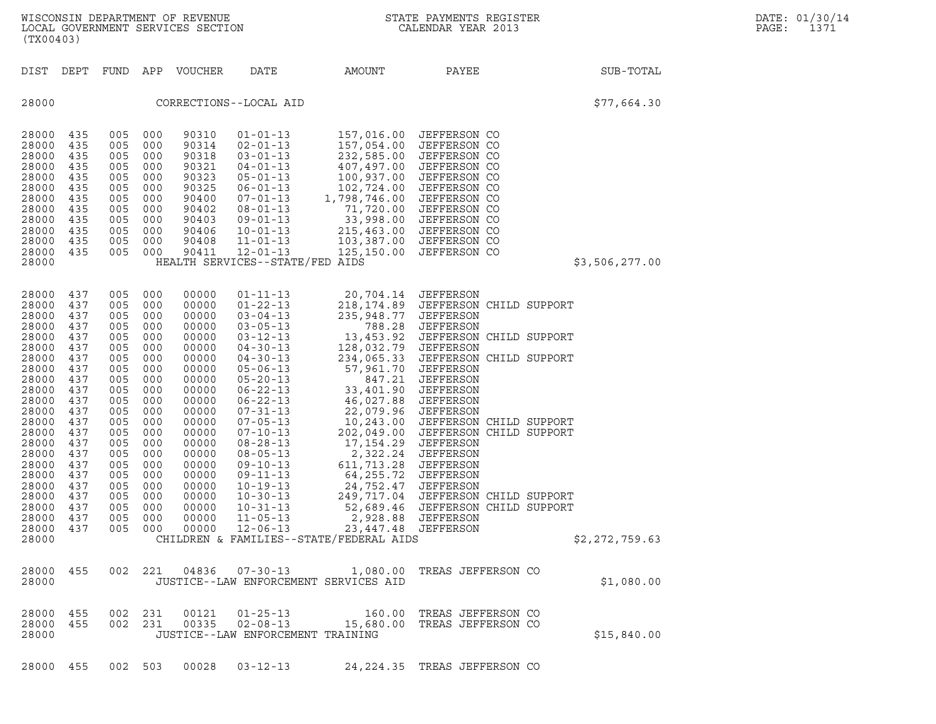| ON<br>WISCONSIN DEPARTMENT OF REVENUE<br>LOCAL GOVERNMENT SERVICES SECTION<br>(TX00403) |                                                                                                                                                                                                    |                                                                                                                                                                           |                                                                                                                                                 |                                                                                                                                                                       |                                                                                                                                                                                                             |                                                                                                                                                                                                                                                                                                                                                                                                                      |                                                                                                                                                                                                                                                                                                                                                | STATE PAYMENTS REGISTER<br>CALENDAR YEAR 2013                                                                                                                                                                                                                                                                                 |                | DATE: 01/30/14<br>PAGE:<br>1371 |
|-----------------------------------------------------------------------------------------|----------------------------------------------------------------------------------------------------------------------------------------------------------------------------------------------------|---------------------------------------------------------------------------------------------------------------------------------------------------------------------------|-------------------------------------------------------------------------------------------------------------------------------------------------|-----------------------------------------------------------------------------------------------------------------------------------------------------------------------|-------------------------------------------------------------------------------------------------------------------------------------------------------------------------------------------------------------|----------------------------------------------------------------------------------------------------------------------------------------------------------------------------------------------------------------------------------------------------------------------------------------------------------------------------------------------------------------------------------------------------------------------|------------------------------------------------------------------------------------------------------------------------------------------------------------------------------------------------------------------------------------------------------------------------------------------------------------------------------------------------|-------------------------------------------------------------------------------------------------------------------------------------------------------------------------------------------------------------------------------------------------------------------------------------------------------------------------------|----------------|---------------------------------|
|                                                                                         |                                                                                                                                                                                                    | DIST DEPT                                                                                                                                                                 |                                                                                                                                                 |                                                                                                                                                                       | FUND APP VOUCHER                                                                                                                                                                                            | DATE                                                                                                                                                                                                                                                                                                                                                                                                                 | AMOUNT                                                                                                                                                                                                                                                                                                                                         | PAYEE                                                                                                                                                                                                                                                                                                                         | SUB-TOTAL      |                                 |
|                                                                                         | 28000                                                                                                                                                                                              |                                                                                                                                                                           |                                                                                                                                                 |                                                                                                                                                                       |                                                                                                                                                                                                             | CORRECTIONS--LOCAL AID                                                                                                                                                                                                                                                                                                                                                                                               |                                                                                                                                                                                                                                                                                                                                                |                                                                                                                                                                                                                                                                                                                               | \$77,664.30    |                                 |
|                                                                                         | 28000<br>28000<br>28000<br>28000<br>28000<br>28000<br>28000<br>28000<br>28000<br>28000<br>28000<br>28000<br>28000                                                                                  | 435<br>435<br>435<br>435<br>435<br>435<br>435<br>435<br>435<br>435<br>435<br>435                                                                                          | 005<br>005<br>005<br>005<br>005<br>005<br>005<br>005<br>005<br>005                                                                              | 000<br>005 000<br>000<br>000<br>000<br>000<br>000<br>000<br>000<br>000<br>000<br>005 000                                                                              | 90310<br>90314<br>90318<br>90321<br>90323<br>90325<br>90400<br>90402<br>90403<br>90406<br>90408<br>90411                                                                                                    | $01 - 01 - 13$<br>$02 - 01 - 13$<br>$03 - 01 - 13$<br>$04 - 01 - 13$<br>$05 - 01 - 13$<br>$06 - 01 - 13$<br>$07 - 01 - 13$<br>$08 - 01 - 13$<br>$09 - 01 - 13$<br>$10 - 01 - 13$<br>$11 - 01 - 13$<br>$12 - 01 - 13$<br>HEALTH SERVICES--STATE/FED AIDS                                                                                                                                                              | 157,054.00 JEFFERSON CO<br>232,585.00 JEFFERSON CO<br>232,585.00 JEFFERSON CO<br>407,497.00 JEFFERSON CO<br>100,937.00 JEFFERSON CO<br>102,724.00 JEFFERSON CO<br>1,798,746.00 JEFFERSON CO<br>33,998.00 JEFFERSON CO<br>215,463.00 JEFFERSON CO<br>103,3                                                                                      | 157,016.00 JEFFERSON CO<br>157,054.00 JEFFERSON CO<br>125,150.00 JEFFERSON CO                                                                                                                                                                                                                                                 | \$3,506,277.00 |                                 |
|                                                                                         | 28000<br>28000<br>28000<br>28000<br>28000<br>28000<br>28000<br>28000<br>28000<br>28000<br>28000<br>28000<br>28000<br>28000<br>28000<br>28000<br>28000<br>28000<br>28000<br>28000<br>28000<br>28000 | 437<br>437<br>437<br>437<br>437<br>437<br>437<br>437<br>437<br>437<br>437<br>437<br>437<br>437<br>437<br>437<br>437<br>437<br>437<br>437<br>437<br>28000 437<br>28000 437 | 005<br>005<br>005<br>005<br>005<br>005<br>005<br>005<br>005<br>005<br>005<br>005<br>005<br>005<br>005<br>005<br>005<br>005<br>005<br>005<br>005 | 000<br>000<br>000<br>000<br>000<br>000<br>000<br>000<br>000<br>000<br>000<br>000<br>000<br>000<br>000<br>000<br>000<br>000<br>000<br>000<br>000<br>005 000<br>005 000 | 00000<br>00000<br>00000<br>00000<br>00000<br>00000<br>00000<br>00000<br>00000<br>00000<br>00000<br>00000<br>00000<br>00000<br>00000<br>00000<br>00000<br>00000<br>00000<br>00000<br>00000<br>00000<br>00000 | $01 - 11 - 13$<br>$01 - 22 - 13$<br>$03 - 04 - 13$<br>$03 - 05 - 13$<br>$03 - 12 - 13$<br>$04 - 30 - 13$<br>$04 - 30 - 13$<br>$05 - 06 - 13$<br>$05 - 20 - 13$<br>$06 - 22 - 13$<br>$06 - 22 - 13$<br>$07 - 31 - 13$<br>$07 - 05 - 13$<br>$07 - 10 - 13$<br>$08 - 28 - 13$<br>$08 - 05 - 13$<br>$09 - 10 - 13$<br>$09 - 11 - 13$<br>$10 - 19 - 13$<br>$10 - 30 - 13$<br>$10 - 31 - 13$<br>$11 - 05 - 13$<br>12-06-13 | 20,704.14 JEFFERSON<br>13,453.92 JEFFERSON<br>128,032.79 JEFFERSON<br>234,065.33 JEFFERSON<br>57,961.70 JEFFERSON<br>847.21 JEFFERSON<br>33,401.90 JEFFERSON<br>46,027.88 JEFFERSON<br>22,079.96 JEFFERSON<br>202,049.00 JEFFERSON<br>202,049.00 JEFFERSON<br>202,049.00 JEFFERSON<br><br>52,689.46<br>CHILDREN & FAMILIES--STATE/FEDERAL AIDS | 218,174.89 JEFFERSON CHILD SUPPORT<br>235,948.77 JEFFERSON<br>788.28 JEFFERSON<br>13,453.92 JEFFERSON CHILD SUPPORT<br>234,065.33 JEFFERSON CHILD SUPPORT<br>JEFFERSON CHILD SUPPORT<br>JEFFERSON CHILD SUPPORT<br>249,717.04 JEFFERSON CHILD SUPPORT<br>JEFFERSON CHILD SUPPORT<br>2,928.88 JEFFERSON<br>23,447.48 JEFFERSON | \$2,272,759.63 |                                 |
|                                                                                         | 28000                                                                                                                                                                                              | 28000 455                                                                                                                                                                 |                                                                                                                                                 |                                                                                                                                                                       | 002 221 04836                                                                                                                                                                                               | $07 - 30 - 13$                                                                                                                                                                                                                                                                                                                                                                                                       | JUSTICE--LAW ENFORCEMENT SERVICES AID                                                                                                                                                                                                                                                                                                          | 1,080.00 TREAS JEFFERSON CO                                                                                                                                                                                                                                                                                                   | \$1,080.00     |                                 |
|                                                                                         | 28000                                                                                                                                                                                              | 28000 455<br>28000 455                                                                                                                                                    |                                                                                                                                                 | 002 231<br>002 231                                                                                                                                                    | 00121<br>00335                                                                                                                                                                                              | $01 - 25 - 13$<br>$02 - 08 - 13$<br>JUSTICE--LAW ENFORCEMENT TRAINING                                                                                                                                                                                                                                                                                                                                                | 15,680.00                                                                                                                                                                                                                                                                                                                                      | 160.00 TREAS JEFFERSON CO<br>TREAS JEFFERSON CO                                                                                                                                                                                                                                                                               | \$15,840.00    |                                 |
|                                                                                         |                                                                                                                                                                                                    | 28000 455                                                                                                                                                                 |                                                                                                                                                 | 002 503                                                                                                                                                               | 00028                                                                                                                                                                                                       | $03 - 12 - 13$                                                                                                                                                                                                                                                                                                                                                                                                       |                                                                                                                                                                                                                                                                                                                                                | 24, 224.35 TREAS JEFFERSON CO                                                                                                                                                                                                                                                                                                 |                |                                 |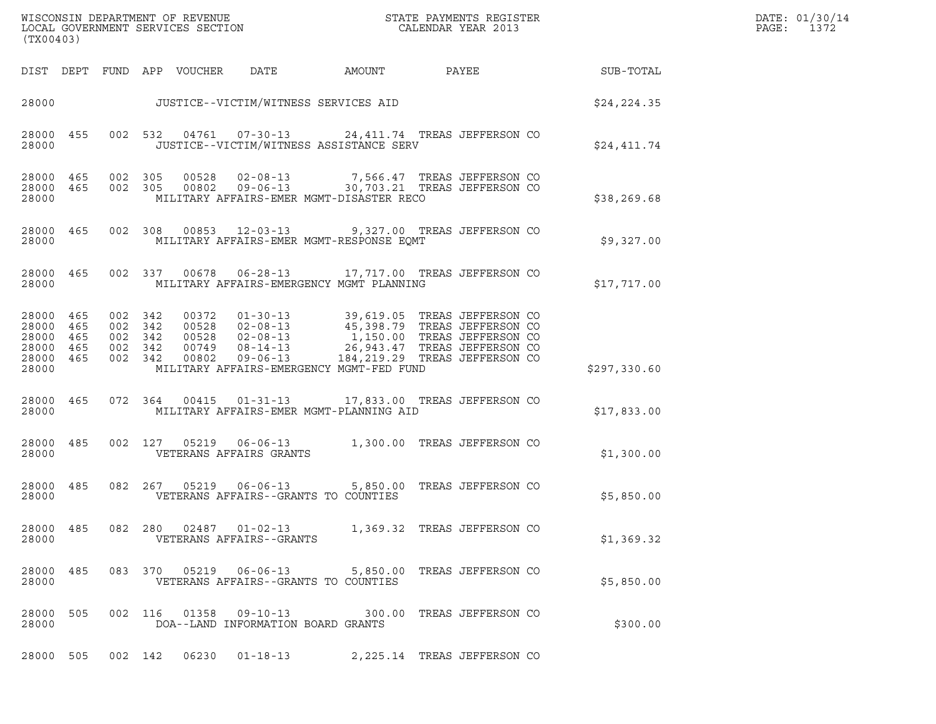| DATE: | 01/30/14 |
|-------|----------|
| PAGE: | 1372     |

| (TX00403) |                                                               |         |                                          |                            |                                                                |                                          |                                                                                                                                                                                      |                  | DATE: 01/30/14<br>PAGE:<br>1372 |
|-----------|---------------------------------------------------------------|---------|------------------------------------------|----------------------------|----------------------------------------------------------------|------------------------------------------|--------------------------------------------------------------------------------------------------------------------------------------------------------------------------------------|------------------|---------------------------------|
|           |                                                               |         |                                          | DIST DEPT FUND APP VOUCHER | DATE                                                           | <b>AMOUNT</b>                            | PAYEE                                                                                                                                                                                | <b>SUB-TOTAL</b> |                                 |
|           |                                                               |         |                                          |                            | JUSTICE--VICTIM/WITNESS SERVICES AID                           |                                          |                                                                                                                                                                                      | \$24, 224.35     |                                 |
| 28000     | 28000 455                                                     |         |                                          |                            |                                                                | JUSTICE--VICTIM/WITNESS ASSISTANCE SERV  | 002 532 04761 07-30-13 24,411.74 TREAS JEFFERSON CO                                                                                                                                  | \$24,411.74      |                                 |
| 28000     | 28000 465<br>28000 465                                        | 002 305 |                                          |                            |                                                                | MILITARY AFFAIRS-EMER MGMT-DISASTER RECO | 00528  02-08-13  7,566.47  TREAS JEFFERSON CO<br>002 305 00802 09-06-13 30,703.21 TREAS JEFFERSON CO                                                                                 | \$38, 269.68     |                                 |
| 28000     | 28000 465                                                     |         |                                          |                            |                                                                | MILITARY AFFAIRS-EMER MGMT-RESPONSE EOMT | 002 308 00853 12-03-13 9,327.00 TREAS JEFFERSON CO                                                                                                                                   | \$9,327.00       |                                 |
| 28000     | 28000 465                                                     |         |                                          |                            |                                                                | MILITARY AFFAIRS-EMERGENCY MGMT PLANNING | 002 337 00678 06-28-13 17,717.00 TREAS JEFFERSON CO                                                                                                                                  | \$17,717.00      |                                 |
| 28000     | 28000 465<br>28000 465<br>28000 465<br>28000 465<br>28000 465 | 002 342 | 002 342<br>002 342<br>002 342<br>002 342 |                            | 00802  09-06-13                                                | MILITARY AFFAIRS-EMERGENCY MGMT-FED FUND | 00372  01-30-13  39,619.05  TREAS JEFFERSON CO<br>00528  02-08-13  45,398.79  TREAS JEFFERSON CO<br>00749  08-14-13  26,943.47  TREAS JEFFERSON CO<br>184, 219.29 TREAS JEFFERSON CO | \$297,330.60     |                                 |
| 28000     | 28000 465                                                     |         |                                          |                            | 072 364 00415 01-31-13                                         | MILITARY AFFAIRS-EMER MGMT-PLANNING AID  | 17,833.00 TREAS JEFFERSON CO                                                                                                                                                         | \$17,833.00      |                                 |
| 28000     | 28000 485                                                     |         |                                          |                            | VETERANS AFFAIRS GRANTS                                        |                                          | 002 127 05219 06-06-13 1,300.00 TREAS JEFFERSON CO                                                                                                                                   | \$1,300.00       |                                 |
| 28000     | 28000 485                                                     |         |                                          |                            | 082 267 05219 06-06-13<br>VETERANS AFFAIRS--GRANTS TO COUNTIES |                                          | 5,850.00 TREAS JEFFERSON CO                                                                                                                                                          | \$5,850.00       |                                 |
| 28000     | 28000 485                                                     |         |                                          |                            | VETERANS AFFAIRS--GRANTS                                       |                                          | 082  280  02487  01-02-13   1,369.32  TREAS JEFFERSON CO                                                                                                                             | \$1,369.32       |                                 |
| 28000     | 28000 485                                                     |         |                                          |                            | VETERANS AFFAIRS--GRANTS TO COUNTIES                           |                                          | 083 370 05219 06-06-13 5,850.00 TREAS JEFFERSON CO                                                                                                                                   | \$5,850.00       |                                 |
| 28000     | 28000 505                                                     |         |                                          | 002 116 01358              | 09-10-13<br>DOA--LAND INFORMATION BOARD GRANTS                 |                                          | 300.00 TREAS JEFFERSON CO                                                                                                                                                            | \$300.00         |                                 |
|           | 28000 505                                                     |         |                                          |                            | 002 142 06230 01-18-13                                         |                                          | 2,225.14 TREAS JEFFERSON CO                                                                                                                                                          |                  |                                 |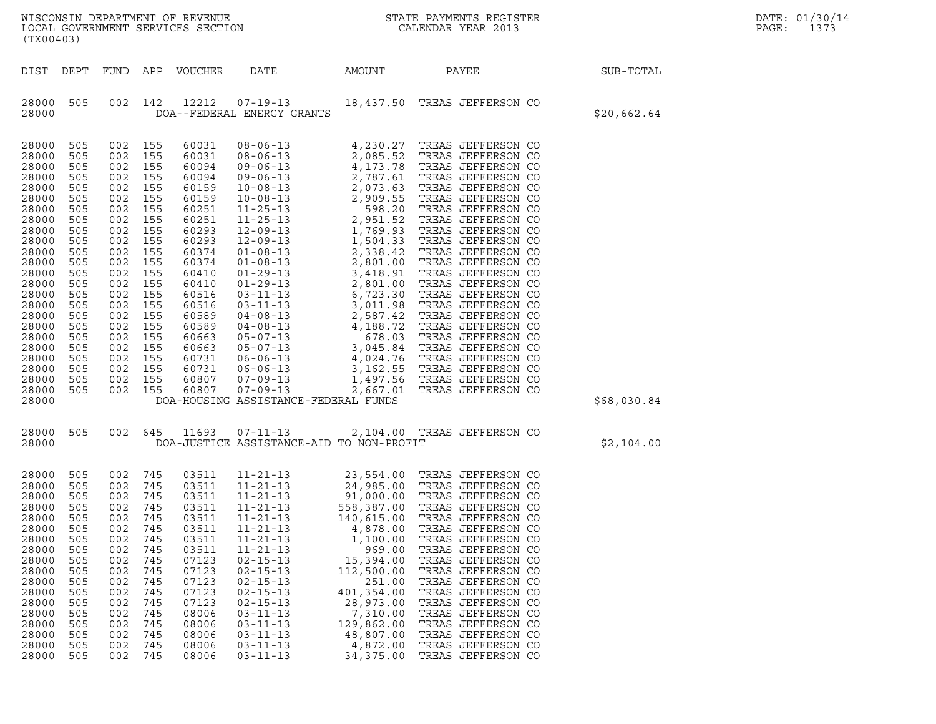| WISCONSIN DEPARTMENT OF REVENUE<br>LOCAL GOVERNMENT SERVICES SECTION<br>(TX00403) | STATE PAYMENTS REGISTER<br>CALENDAR YEAR 2013 | DATE: 01/30/14<br>PAGE:<br>1373 |
|-----------------------------------------------------------------------------------|-----------------------------------------------|---------------------------------|

| (TX00403)                                                                                                                                                                                                                     |                                                                                                                                                                      |                                                                                                                                                               |                                                                                                                                                                          |                                                                                                                                                                |                                                                                                                                                                                  |                                                                                                                              |                                                                                                                                                                                                                                                                                                                                                                                                                                                                                  |             |
|-------------------------------------------------------------------------------------------------------------------------------------------------------------------------------------------------------------------------------|----------------------------------------------------------------------------------------------------------------------------------------------------------------------|---------------------------------------------------------------------------------------------------------------------------------------------------------------|--------------------------------------------------------------------------------------------------------------------------------------------------------------------------|----------------------------------------------------------------------------------------------------------------------------------------------------------------|----------------------------------------------------------------------------------------------------------------------------------------------------------------------------------|------------------------------------------------------------------------------------------------------------------------------|----------------------------------------------------------------------------------------------------------------------------------------------------------------------------------------------------------------------------------------------------------------------------------------------------------------------------------------------------------------------------------------------------------------------------------------------------------------------------------|-------------|
| DIST                                                                                                                                                                                                                          | DEPT                                                                                                                                                                 | FUND                                                                                                                                                          | APP                                                                                                                                                                      | VOUCHER                                                                                                                                                        | AMOUNT<br>DATE                                                                                                                                                                   |                                                                                                                              | PAYEE                                                                                                                                                                                                                                                                                                                                                                                                                                                                            | SUB-TOTAL   |
| 28000<br>28000                                                                                                                                                                                                                | 505                                                                                                                                                                  | 002 142                                                                                                                                                       |                                                                                                                                                                          | 12212                                                                                                                                                          | $07 - 19 - 13$<br>DOA--FEDERAL ENERGY GRANTS                                                                                                                                     |                                                                                                                              | 18,437.50 TREAS JEFFERSON CO                                                                                                                                                                                                                                                                                                                                                                                                                                                     | \$20,662.64 |
| 28000<br>28000<br>28000<br>28000<br>28000<br>28000<br>28000<br>28000<br>28000<br>28000<br>28000<br>28000<br>28000<br>28000<br>28000<br>28000<br>28000<br>28000<br>28000<br>28000<br>28000<br>28000<br>28000<br>28000<br>28000 | 505<br>505<br>505<br>505<br>505<br>505<br>505<br>505<br>505<br>505<br>505<br>505<br>505<br>505<br>505<br>505<br>505<br>505<br>505<br>505<br>505<br>505<br>505<br>505 | 002<br>002<br>002<br>002<br>002<br>002<br>002<br>002<br>002<br>002<br>002<br>002<br>002<br>002<br>002<br>002<br>002<br>002<br>002<br>002<br>002<br>002<br>002 | 155<br>155<br>155<br>155<br>155<br>155<br>155<br>155<br>155<br>155<br>155<br>155<br>155<br>155<br>155<br>155<br>155<br>155<br>155<br>155<br>155<br>155<br>155<br>002 155 |                                                                                                                                                                | DOA-HOUSING ASSISTANCE-FEDERAL FUNDS                                                                                                                                             |                                                                                                                              |                                                                                                                                                                                                                                                                                                                                                                                                                                                                                  | \$68,030.84 |
| 28000<br>28000                                                                                                                                                                                                                | 505                                                                                                                                                                  | 002 645                                                                                                                                                       |                                                                                                                                                                          |                                                                                                                                                                | DOA-JUSTICE ASSISTANCE-AID TO NON-PROFIT                                                                                                                                         |                                                                                                                              | 11693  07-11-13  2,104.00  TREAS JEFFERSON CO                                                                                                                                                                                                                                                                                                                                                                                                                                    | \$2,104.00  |
| 28000<br>28000<br>28000<br>28000<br>28000<br>28000<br>28000<br>28000<br>28000<br>28000<br>28000<br>28000<br>28000<br>28000<br>28000<br>28000<br>28000<br>28000                                                                | 505<br>505<br>505<br>505<br>505<br>505<br>505<br>505<br>505<br>505<br>505<br>505<br>505<br>505<br>505<br>505<br>505<br>505                                           | 002<br>002<br>002<br>002<br>002<br>002<br>002<br>002<br>002<br>002<br>002<br>002<br>002<br>002<br>002<br>002<br>002<br>002                                    | 745<br>745<br>745<br>745<br>745<br>745<br>745<br>745<br>745<br>745<br>745<br>745<br>745<br>745<br>745<br>745<br>745<br>745                                               | 03511<br>03511<br>03511<br>03511<br>03511<br>03511<br>03511<br>03511<br>07123<br>07123<br>07123<br>07123<br>07123<br>08006<br>08006<br>08006<br>08006<br>08006 | $02 - 15 - 13$<br>$02 - 15 - 13$<br>$02 - 15 - 13$<br>$02 - 15 - 13$<br>$02 - 15 - 13$<br>$03 - 11 - 13$<br>$03 - 11 - 13$<br>$03 - 11 - 13$<br>$03 - 11 - 13$<br>$03 - 11 - 13$ | 15,394.00<br>112,500.00<br>251.00<br>401,354.00<br>28,973.00<br>7,310.00<br>129,862.00<br>48,807.00<br>4,872.00<br>34,375.00 | 11-21-13<br>23,554.00 TREAS JEFFERSON CO<br>11-21-13<br>24,985.00 TREAS JEFFERSON CO<br>11-21-13<br>558,387.00 TREAS JEFFERSON CO<br>11-21-13<br>4,878.00 TREAS JEFFERSON CO<br>11-21-13<br>4,878.00 TREAS JEFFERSON CO<br>11-21-13<br>1,100.00 TREA<br>TREAS JEFFERSON CO<br>TREAS JEFFERSON CO<br>TREAS JEFFERSON CO<br>TREAS JEFFERSON CO<br>TREAS JEFFERSON CO<br>TREAS JEFFERSON CO<br>TREAS JEFFERSON CO<br>TREAS JEFFERSON CO<br>TREAS JEFFERSON CO<br>TREAS JEFFERSON CO |             |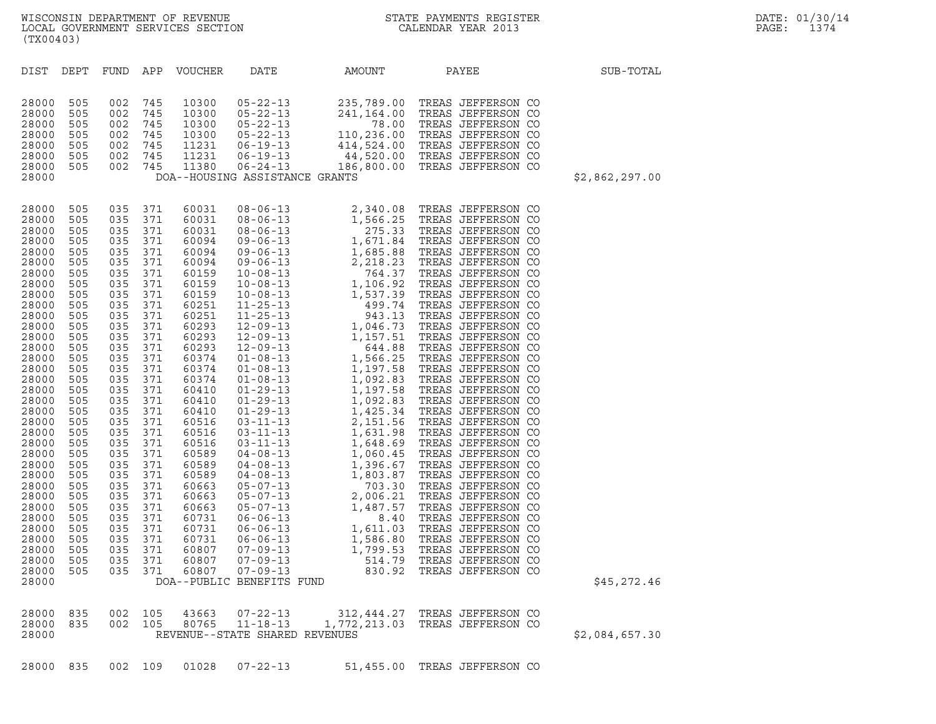| (TX00403)                                                                                                                                                                                                                                                                                                                        |                                                                                                                                                                                                                                            |                                                                                                                                                                                                                                                       |                                                                                                                                                                                                                                                   |             |                                |        |                                                                                                                                                                                                                                               |                |
|----------------------------------------------------------------------------------------------------------------------------------------------------------------------------------------------------------------------------------------------------------------------------------------------------------------------------------|--------------------------------------------------------------------------------------------------------------------------------------------------------------------------------------------------------------------------------------------|-------------------------------------------------------------------------------------------------------------------------------------------------------------------------------------------------------------------------------------------------------|---------------------------------------------------------------------------------------------------------------------------------------------------------------------------------------------------------------------------------------------------|-------------|--------------------------------|--------|-----------------------------------------------------------------------------------------------------------------------------------------------------------------------------------------------------------------------------------------------|----------------|
| DIST                                                                                                                                                                                                                                                                                                                             | DEPT                                                                                                                                                                                                                                       | FUND                                                                                                                                                                                                                                                  |                                                                                                                                                                                                                                                   | APP VOUCHER | DATE                           | AMOUNT | PAYEE                                                                                                                                                                                                                                         | SUB-TOTAL      |
| 28000<br>28000<br>28000<br>28000<br>28000<br>28000<br>28000<br>28000                                                                                                                                                                                                                                                             | 505<br>505<br>505<br>505<br>505                                                                                                                                                                                                            | 002<br>002<br>002<br>002<br>002<br>505 002<br>505 002                                                                                                                                                                                                 | 745<br>745<br>745<br>745<br>745<br>745<br>745                                                                                                                                                                                                     |             | DOA--HOUSING ASSISTANCE GRANTS |        | 10300 05-22-13 235,789.00 TREAS JEFFERSON CO<br>10300 05-22-13 241,164.00 TREAS JEFFERSON CO<br>10300 05-22-13 78.00 TREAS JEFFERSON CO<br>10300 05-22-13 110,236.00 TREAS JEFFERSON CO<br>11231 06-19-13 414,524.00 TREAS JEFFERSON CO<br>11 | \$2,862,297.00 |
| 28000<br>28000<br>28000<br>28000<br>28000<br>28000<br>28000<br>28000<br>28000<br>28000<br>28000<br>28000<br>28000<br>28000<br>28000<br>28000<br>28000<br>28000<br>28000<br>28000<br>28000<br>28000<br>28000<br>28000<br>28000<br>28000<br>28000<br>28000<br>28000<br>28000<br>28000<br>28000<br>28000<br>28000<br>28000<br>28000 | 505<br>505<br>505<br>505<br>505<br>505<br>505<br>505<br>505<br>505<br>505<br>505<br>505<br>505<br>505<br>505<br>505<br>505<br>505<br>505<br>505<br>505<br>505<br>505<br>505<br>505<br>505<br>505<br>505<br>505<br>505<br>505<br>505<br>505 | 505 035<br>035<br>035<br>035<br>035<br>035<br>035<br>035<br>035<br>035<br>035<br>035<br>035<br>035<br>035<br>035<br>035<br>035<br>035<br>035<br>035<br>035<br>035<br>035<br>035<br>035<br>035<br>035<br>035<br>035<br>035<br>035<br>035<br>035<br>035 | 371<br>371<br>371<br>371<br>371<br>371<br>371<br>371<br>371<br>371<br>371<br>371<br>371<br>371<br>371<br>371<br>371<br>371<br>371<br>371<br>371<br>371<br>371<br>371<br>371<br>371<br>371<br>371<br>371<br>371<br>371<br>371<br>371<br>371<br>371 |             | DOA--PUBLIC BENEFITS FUND      |        |                                                                                                                                                                                                                                               | \$45,272.46    |
| 28000<br>28000<br>28000                                                                                                                                                                                                                                                                                                          |                                                                                                                                                                                                                                            | 835 002 105<br>835 002 105                                                                                                                                                                                                                            |                                                                                                                                                                                                                                                   |             | REVENUE--STATE SHARED REVENUES |        | 43663  07-22-13  312,444.27  TREAS JEFFERSON CO<br>80765  11-18-13  1,772,213.03  TREAS JEFFERSON CO                                                                                                                                          | \$2,084,657.30 |

28000 835 002 109 01028 07-22-13 51,455.00 TREAS JEFFERSON CO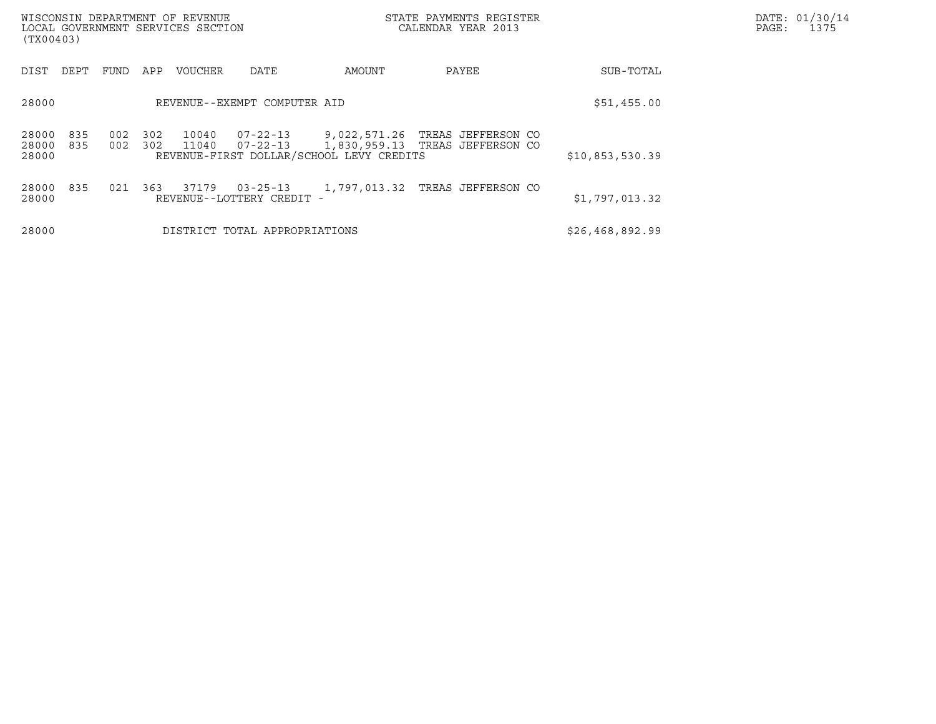| (TX00403)               |            |            |            | WISCONSIN DEPARTMENT OF REVENUE<br>LOCAL GOVERNMENT SERVICES SECTION |                                             |                                          | DATE: 01/30/14<br>PAGE:<br>1375                                             |                 |  |
|-------------------------|------------|------------|------------|----------------------------------------------------------------------|---------------------------------------------|------------------------------------------|-----------------------------------------------------------------------------|-----------------|--|
| DIST                    | DEPT       | FUND       | APP        | <b>VOUCHER</b>                                                       | DATE                                        | AMOUNT                                   | PAYEE                                                                       | SUB-TOTAL       |  |
| 28000                   |            |            |            |                                                                      | REVENUE--EXEMPT COMPUTER AID                |                                          |                                                                             | \$51,455.00     |  |
| 28000<br>28000<br>28000 | 835<br>835 | 002<br>002 | 302<br>302 | 10040<br>11040                                                       | 07-22-13                                    | REVENUE-FIRST DOLLAR/SCHOOL LEVY CREDITS | 07-22-13 9,022,571.26 TREAS JEFFERSON CO<br>1,830,959.13 TREAS JEFFERSON CO | \$10,853,530.39 |  |
| 28000<br>28000          | 835        | 021        | 363        | 37179                                                                | $03 - 25 - 13$<br>REVENUE--LOTTERY CREDIT - |                                          | 1,797,013.32 TREAS JEFFERSON CO                                             | \$1,797,013.32  |  |
| 28000                   |            |            |            |                                                                      | DISTRICT TOTAL APPROPRIATIONS               |                                          |                                                                             | \$26,468,892.99 |  |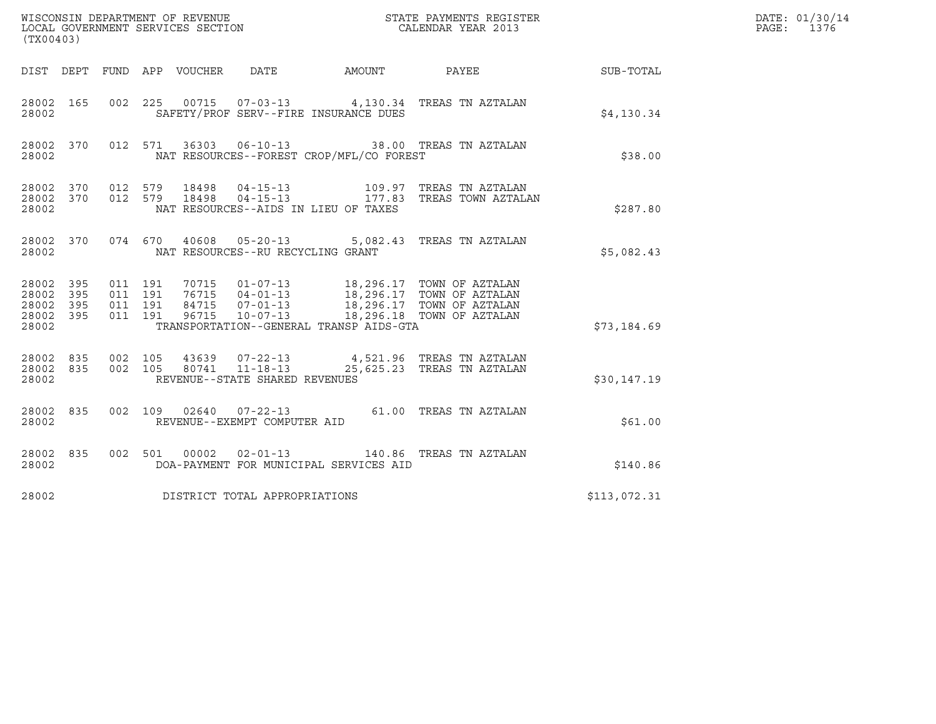| (TX00403)                                         |            |                                          | $\tt WISCONSIM DEPARTMENT OF REVENUE$ $\tt WISCONSIN DEPARTMENT SERVICES SECTION$ $\tt SERVICES SECTION$ $\tt CALENDAR YEAR$ $2013$ |                                   |                                          | DATE: 01/30/14<br>PAGE:<br>1376                                                                                                                                              |              |  |
|---------------------------------------------------|------------|------------------------------------------|-------------------------------------------------------------------------------------------------------------------------------------|-----------------------------------|------------------------------------------|------------------------------------------------------------------------------------------------------------------------------------------------------------------------------|--------------|--|
|                                                   |            |                                          | DIST DEPT FUND APP VOUCHER                                                                                                          | DATE                              | AMOUNT PAYEE                             |                                                                                                                                                                              | SUB-TOTAL    |  |
| 28002 165<br>28002                                |            |                                          |                                                                                                                                     |                                   | SAFETY/PROF SERV--FIRE INSURANCE DUES    | 002 225 00715 07-03-13 4,130.34 TREAS TN AZTALAN                                                                                                                             | \$4,130.34   |  |
| 28002 370<br>28002                                |            |                                          |                                                                                                                                     |                                   | NAT RESOURCES--FOREST CROP/MFL/CO FOREST | 012 571 36303 06-10-13 38.00 TREAS TN AZTALAN                                                                                                                                | \$38.00      |  |
| 28002 370 012 579<br>28002 370<br>28002           |            | 012 579                                  | 18498<br>18498                                                                                                                      |                                   | NAT RESOURCES--AIDS IN LIEU OF TAXES     | 04-15-13 109.97 TREAS TN AZTALAN<br>04-15-13 177.83 TREAS TOWN AZTALAN                                                                                                       | \$287.80     |  |
| 28002 370<br>28002                                |            |                                          |                                                                                                                                     | NAT RESOURCES--RU RECYCLING GRANT |                                          | 074 670 40608 05-20-13 5,082.43 TREAS TN AZTALAN                                                                                                                             | \$5,082.43   |  |
| 28002 395<br>28002<br>28002<br>28002 395<br>28002 | 395<br>395 | 011 191<br>011 191<br>011 191<br>011 191 | 96715                                                                                                                               | $10 - 07 - 13$                    | TRANSPORTATION--GENERAL TRANSP AIDS-GTA  | 70715  01-07-13   18,296.17   TOWN OF AZTALAN<br>76715  04-01-13   18,296.17   TOWN OF AZTALAN<br>84715  07-01-13   18,296.17   TOWN OF AZTALAN<br>18,296.18 TOWN OF AZTALAN | \$73,184.69  |  |
| 28002 835<br>28002 835<br>28002                   |            | 002 105                                  |                                                                                                                                     | REVENUE--STATE SHARED REVENUES    |                                          | $\begin{array}{cccc} 002 & 105 & 43639 & 07-22-13 & 4,521.96 & \text{TREAS TN AZTALAN} \\ 002 & 105 & 80741 & 11-18-13 & 25,625.23 & \text{TREAS TN AZTALAN} \end{array}$    | \$30,147.19  |  |
| 28002 835<br>28002                                |            |                                          |                                                                                                                                     | REVENUE--EXEMPT COMPUTER AID      |                                          | 002 109 02640 07-22-13 61.00 TREAS TN AZTALAN                                                                                                                                | \$61.00      |  |
| 28002 835<br>28002                                |            |                                          | 002 501 00002                                                                                                                       | $02 - 01 - 13$                    | DOA-PAYMENT FOR MUNICIPAL SERVICES AID   | 140.86 TREAS TN AZTALAN                                                                                                                                                      | \$140.86     |  |
| 28002                                             |            |                                          | DISTRICT TOTAL APPROPRIATIONS                                                                                                       |                                   |                                          |                                                                                                                                                                              | \$113,072.31 |  |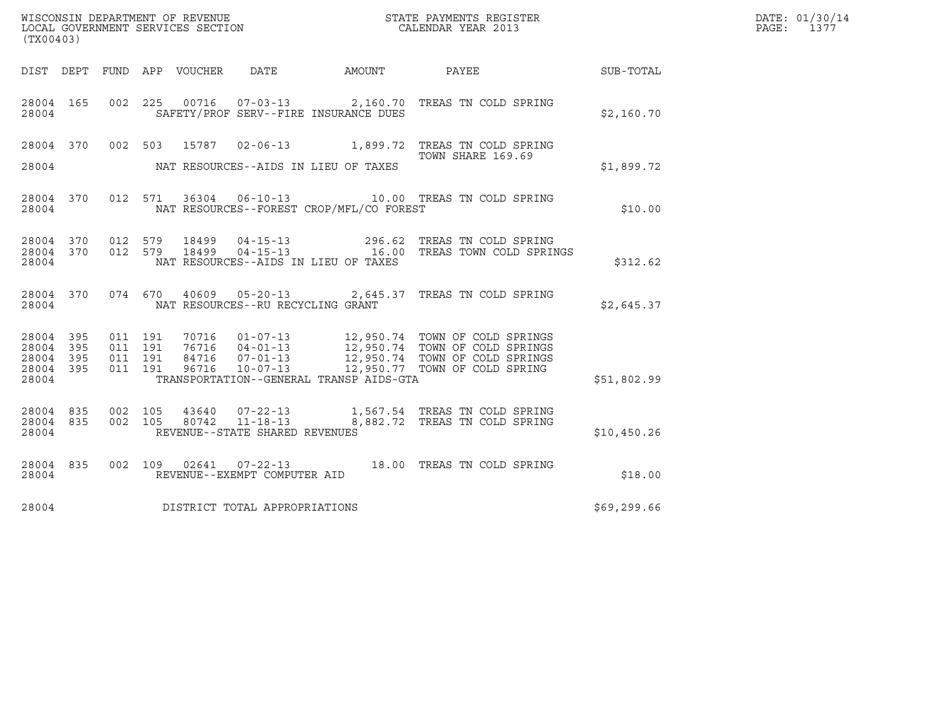| (TX00403)                                                                                                           | WISCONSIN DEPARTMENT OF REVENUE<br>LOCAL GOVERNMENT SERVICES SECTION                                    | STATE PAYMENTS REGISTER<br>CALENDAR YEAR 2013                                  |              | DATE: 01/30/14<br>PAGE:<br>1377 |
|---------------------------------------------------------------------------------------------------------------------|---------------------------------------------------------------------------------------------------------|--------------------------------------------------------------------------------|--------------|---------------------------------|
|                                                                                                                     | DIST DEPT FUND APP VOUCHER DATE<br>AMOUNT                                                               | <b>PAYEE</b>                                                                   | SUB-TOTAL    |                                 |
| 28004 165<br>28004                                                                                                  | 002 225 00716 07-03-13 2,160.70 TREAS TN COLD SPRING<br>SAFETY/PROF SERV--FIRE INSURANCE DUES           |                                                                                | \$2,160.70   |                                 |
| 28004 370<br>002 503<br>28004                                                                                       | 15787<br>NAT RESOURCES--AIDS IN LIEU OF TAXES                                                           | 02-06-13 1,899.72 TREAS TN COLD SPRING<br>TOWN SHARE 169.69                    | \$1,899.72   |                                 |
| 28004                                                                                                               | 28004 370 012 571 36304 06-10-13 10.00 TREAS TN COLD SPRING<br>NAT RESOURCES--FOREST CROP/MFL/CO FOREST |                                                                                | \$10.00      |                                 |
| 28004 370<br>012 579<br>012 579<br>28004<br>370<br>28004                                                            | 18499<br>18499<br>NAT RESOURCES--AIDS IN LIEU OF TAXES                                                  | 04-15-13 296.62 TREAS TN COLD SPRING<br>04-15-13 16.00 TREAS TOWN COLD SPRINGS | \$312.62     |                                 |
| 28004 370<br>074 670<br>28004                                                                                       | 40609  05-20-13  2,645.37  TREAS TN COLD SPRING<br>NAT RESOURCES--RU RECYCLING GRANT                    |                                                                                | \$2,645.37   |                                 |
| 28004<br>- 395<br>011 191<br>011 191<br>395<br>28004<br>011 191<br>395<br>28004<br>395<br>011 191<br>28004<br>28004 | TRANSPORTATION--GENERAL TRANSP AIDS-GTA                                                                 |                                                                                | \$51,802.99  |                                 |
| 28004 835<br>002 105<br>835<br>002 105<br>28004<br>28004                                                            | 43640<br>$11 - 18 - 13$<br>80742<br>REVENUE--STATE SHARED REVENUES                                      | 8,882.72 TREAS TN COLD SPRING                                                  | \$10,450.26  |                                 |
| 28004 835<br>28004                                                                                                  | 002  109  02641  07-22-13  18.00  TREAS TN COLD SPRING<br>REVENUE--EXEMPT COMPUTER AID                  |                                                                                | \$18.00      |                                 |
| 28004                                                                                                               | DISTRICT TOTAL APPROPRIATIONS                                                                           |                                                                                | \$69, 299.66 |                                 |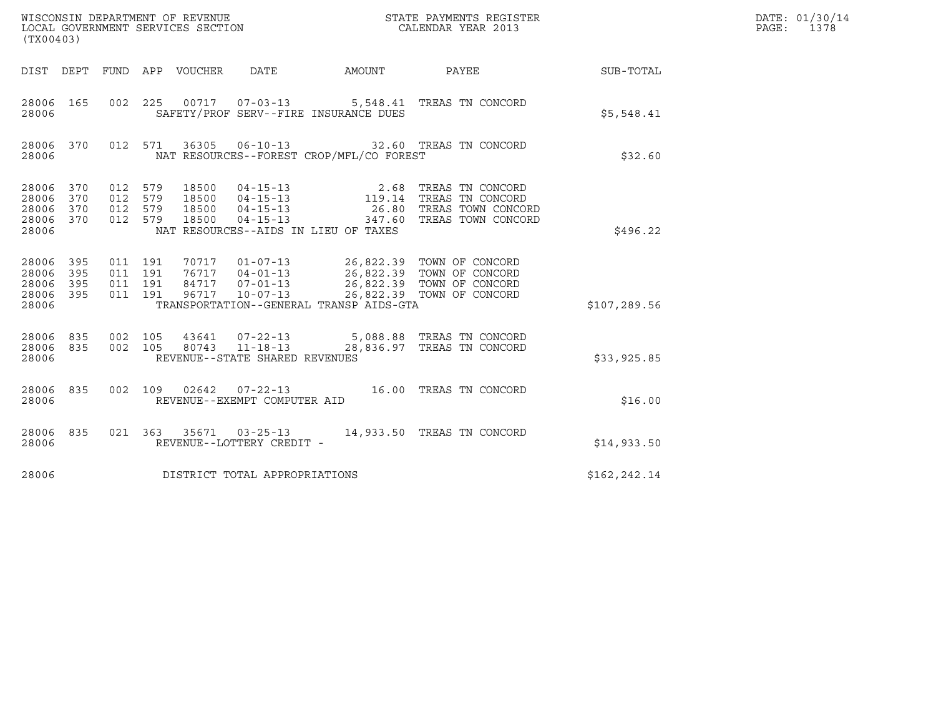| (TX00403)                                 |                          |                                          |         |                                  | WISCONSIN DEPARTMENT OF REVENUE<br>LOCAL GOVERNMENT SERVICES SECTION |                                                                                                                                                                                                                                         | STATE PAYMENTS REGISTER<br>CALENDAR YEAR 2013                                                                                                                          |              | DATE: 01/30/14<br>PAGE: 1378 |
|-------------------------------------------|--------------------------|------------------------------------------|---------|----------------------------------|----------------------------------------------------------------------|-----------------------------------------------------------------------------------------------------------------------------------------------------------------------------------------------------------------------------------------|------------------------------------------------------------------------------------------------------------------------------------------------------------------------|--------------|------------------------------|
|                                           |                          |                                          |         | DIST DEPT FUND APP VOUCHER DATE  |                                                                      |                                                                                                                                                                                                                                         | AMOUNT PAYEE SUB-TOTAL                                                                                                                                                 |              |                              |
| 28006 165<br>28006                        |                          | 002 225                                  |         |                                  |                                                                      | SAFETY/PROF SERV--FIRE INSURANCE DUES                                                                                                                                                                                                   | 00717  07-03-13  5,548.41  TREAS TN CONCORD                                                                                                                            | \$5,548.41   |                              |
| 28006 370<br>28006                        |                          |                                          |         |                                  |                                                                      | NAT RESOURCES--FOREST CROP/MFL/CO FOREST                                                                                                                                                                                                | 012 571 36305 06-10-13 32.60 TREAS TN CONCORD                                                                                                                          | \$32.60      |                              |
| 28006<br>28006<br>28006<br>28006<br>28006 | 370<br>370<br>370<br>370 | 012<br>012 579<br>012 579<br>012 579     | 579     | 18500<br>18500<br>18500<br>18500 |                                                                      | $\begin{array}{cccc} 04\texttt{-}15\texttt{-}13 & & 2.68 \\ 04\texttt{-}15\texttt{-}13 & & 119.14 \\ 04\texttt{-}15\texttt{-}13 & & 26.80 \\ 04\texttt{-}15\texttt{-}13 & & 347.60 \end{array}$<br>NAT RESOURCES--AIDS IN LIEU OF TAXES | TREAS TN CONCORD<br>TREAS TN CONCORD<br>TREAS TOWN CONCORD<br>TREAS TOWN CONCORD                                                                                       | \$496.22     |                              |
| 28006<br>28006<br>28006<br>28006<br>28006 | 395<br>395<br>395<br>395 | 011 191<br>011 191<br>011 191<br>011 191 |         |                                  | 96717 10-07-13                                                       | TRANSPORTATION--GENERAL TRANSP AIDS-GTA                                                                                                                                                                                                 | 70717  01-07-13  26,822.39  TOWN OF CONCORD<br>76717  04-01-13  26,822.39  TOWN OF CONCORD<br>84717  07-01-13  26,822.39  TOWN OF CONCORD<br>26,822.39 TOWN OF CONCORD | \$107,289.56 |                              |
| 28006<br>28006<br>28006                   | 835<br>835               | 002 105<br>002 105                       |         |                                  | 80743 11-18-13<br>REVENUE--STATE SHARED REVENUES                     |                                                                                                                                                                                                                                         | 43641 07-22-13 5,088.88 TREAS TN CONCORD<br>28,836.97 TREAS TN CONCORD                                                                                                 | \$33,925.85  |                              |
| 28006 835<br>28006                        |                          |                                          |         |                                  | REVENUE--EXEMPT COMPUTER AID                                         |                                                                                                                                                                                                                                         | 002 109 02642 07-22-13 16.00 TREAS TN CONCORD                                                                                                                          | \$16.00      |                              |
| 28006<br>28006                            | 835                      |                                          | 021 363 |                                  | REVENUE--LOTTERY CREDIT -                                            |                                                                                                                                                                                                                                         | 35671  03-25-13  14,933.50  TREAS TN CONCORD                                                                                                                           | \$14,933.50  |                              |
| 28006                                     |                          |                                          |         |                                  | DISTRICT TOTAL APPROPRIATIONS                                        |                                                                                                                                                                                                                                         |                                                                                                                                                                        | \$162,242.14 |                              |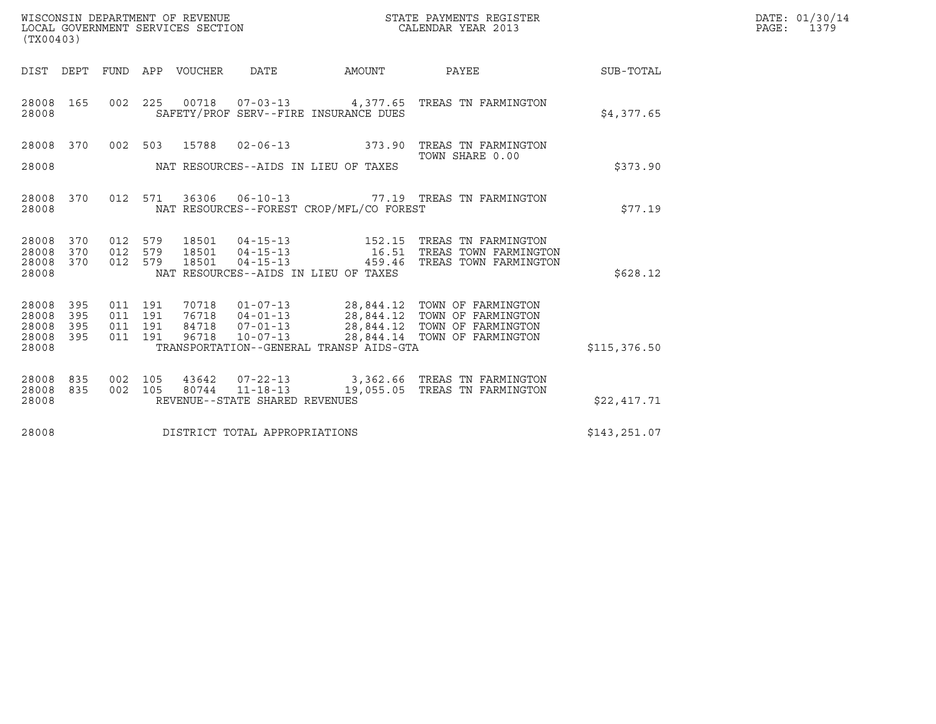| WISCONSIN DEPARTMENT OF REVENUE<br>LOCAL GOVERNMENT SERVICES SECTION<br>(TX00403) |                                                                                                                                                                                                 |                           | STATE PAYMENTS REGISTER<br>CALENDAR YEAR 2013                                                            |               | DATE: 01/30/14<br>PAGE:<br>1379 |
|-----------------------------------------------------------------------------------|-------------------------------------------------------------------------------------------------------------------------------------------------------------------------------------------------|---------------------------|----------------------------------------------------------------------------------------------------------|---------------|---------------------------------|
| DIST DEPT                                                                         | FUND APP VOUCHER<br>DATE                                                                                                                                                                        | AMOUNT                    | PAYEE                                                                                                    | SUB-TOTAL     |                                 |
| 28008<br>165<br>28008                                                             | 002 225<br>00718<br>SAFETY/PROF SERV--FIRE INSURANCE DUES                                                                                                                                       |                           | 07-03-13 4,377.65 TREAS TN FARMINGTON                                                                    | \$4,377.65    |                                 |
| 28008<br>370<br>002                                                               | 503<br>15788<br>$02 - 06 - 13$                                                                                                                                                                  | 373.90                    | TREAS TN FARMINGTON<br>TOWN SHARE 0.00                                                                   |               |                                 |
| 28008                                                                             | NAT RESOURCES--AIDS IN LIEU OF TAXES                                                                                                                                                            |                           |                                                                                                          | \$373.90      |                                 |
| 28008 370<br>28008                                                                | 012 571<br>36306<br>NAT RESOURCES--FOREST CROP/MFL/CO FOREST                                                                                                                                    |                           | 06-10-13 77.19 TREAS TN FARMINGTON                                                                       | \$77.19       |                                 |
| 28008<br>012<br>370<br>012<br>28008<br>370<br>370<br>28008<br>28008               | 579<br>18501<br>$04 - 15 - 13$<br>579<br>$04 - 15 - 13$<br>18501<br>012 579<br>$04 - 15 - 13$<br>18501<br>NAT RESOURCES--AIDS IN LIEU OF TAXES                                                  | 152.15<br>16.51<br>459.46 | TREAS TN FARMINGTON<br>TREAS TOWN FARMINGTON<br>TREAS TOWN FARMINGTON                                    | \$628.12      |                                 |
| 28008<br>395<br>395<br>28008<br>28008<br>395<br>395<br>28008<br>28008             | 011 191<br>$01 - 07 - 13$<br>70718<br>011 191<br>76718<br>$04 - 01 - 13$<br>011 191<br>84718<br>$07 - 01 - 13$<br>011 191<br>96718<br>$10 - 07 - 13$<br>TRANSPORTATION--GENERAL TRANSP AIDS-GTA | 28,844.12<br>28,844.14    | 28,844.12 TOWN OF FARMINGTON<br>28,844.12 TOWN OF FARMINGTON<br>TOWN OF FARMINGTON<br>TOWN OF FARMINGTON | \$115,376.50  |                                 |
| 28008<br>835<br>28008<br>835<br>28008                                             | 002 105<br>43642<br>07-22-13<br>002 105<br>80744<br>$11 - 18 - 13$<br>REVENUE--STATE SHARED REVENUES                                                                                            |                           | 3,362.66 TREAS TN FARMINGTON<br>19,055.05 TREAS TN FARMINGTON                                            | \$22,417.71   |                                 |
| 28008                                                                             | DISTRICT TOTAL APPROPRIATIONS                                                                                                                                                                   |                           |                                                                                                          | \$143, 251.07 |                                 |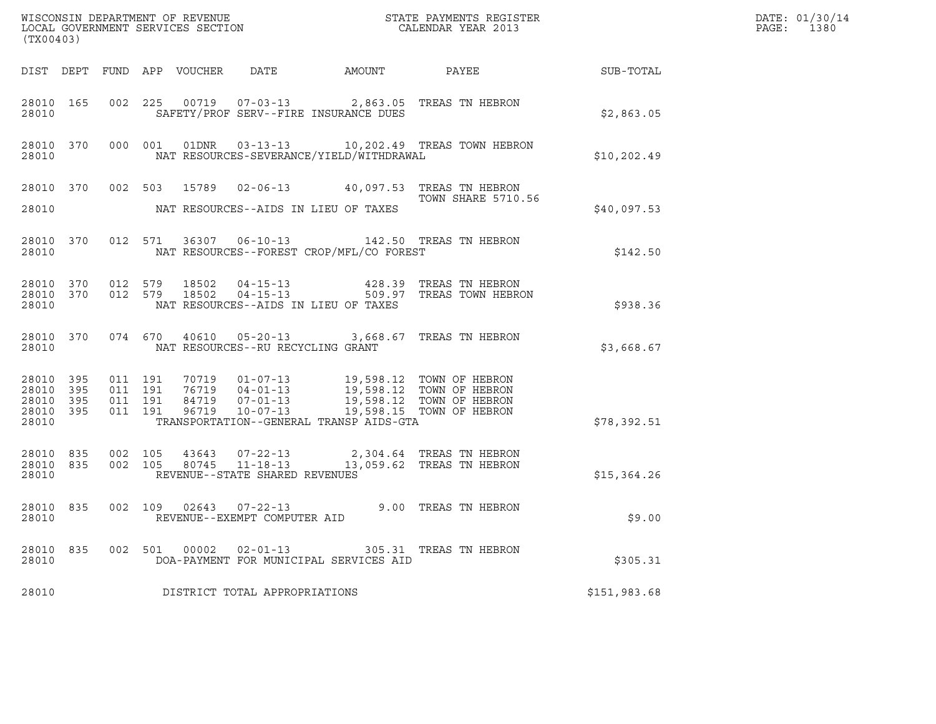| (TX00403)                                             |     |                               |         |                                   |                                          |                                                                                                                                                                                                             |              | DATE: 01/30/14<br>PAGE:<br>1380 |
|-------------------------------------------------------|-----|-------------------------------|---------|-----------------------------------|------------------------------------------|-------------------------------------------------------------------------------------------------------------------------------------------------------------------------------------------------------------|--------------|---------------------------------|
|                                                       |     |                               |         |                                   |                                          | DIST DEPT FUND APP VOUCHER DATE AMOUNT PAYEE THE SUB-TOTAL                                                                                                                                                  |              |                                 |
| 28010 165<br>28010                                    |     |                               |         |                                   | SAFETY/PROF SERV--FIRE INSURANCE DUES    | 002 225 00719 07-03-13 2,863.05 TREAS TN HEBRON                                                                                                                                                             | \$2,863.05   |                                 |
| 28010                                                 |     |                               |         |                                   | NAT RESOURCES-SEVERANCE/YIELD/WITHDRAWAL | 28010 370 000 001 01DNR 03-13-13 10,202.49 TREAS TOWN HEBRON                                                                                                                                                | \$10, 202.49 |                                 |
|                                                       |     |                               |         |                                   |                                          | 28010 370 002 503 15789 02-06-13 40,097.53 TREAS TN HEBRON<br>TOWN SHARE 5710.56                                                                                                                            |              |                                 |
| 28010                                                 |     |                               |         |                                   | NAT RESOURCES--AIDS IN LIEU OF TAXES     |                                                                                                                                                                                                             | \$40,097.53  |                                 |
| 28010                                                 |     |                               |         |                                   | NAT RESOURCES--FOREST CROP/MFL/CO FOREST | 28010 370 012 571 36307 06-10-13 142.50 TREAS TN HEBRON                                                                                                                                                     | \$142.50     |                                 |
| 28010                                                 |     |                               |         |                                   | NAT RESOURCES--AIDS IN LIEU OF TAXES     | $28010$ 370 012 579 18502 04-15-13 428.39 TREAS TN HEBRON 28010 370 012 579 18502 04-15-13 509.97 TREAS TOWN HEBRON                                                                                         | \$938.36     |                                 |
| 28010                                                 |     |                               |         | NAT RESOURCES--RU RECYCLING GRANT |                                          | 28010 370 074 670 40610 05-20-13 3,668.67 TREAS TN HEBRON                                                                                                                                                   | \$3,668.67   |                                 |
| 28010 395<br>28010<br>28010 395<br>28010 395<br>28010 | 395 | 011 191<br>011 191<br>011 191 | 011 191 |                                   | TRANSPORTATION--GENERAL TRANSP AIDS-GTA  | 70719  01-07-13  19,598.12  TOWN OF HEBRON<br>76719  04-01-13  19,598.12  TOWN OF HEBRON<br>84719  07-01-13  19,598.12  TOWN OF HEBRON<br>96719  10-07-13  19,598.15  TOWN OF HEBRON                        | \$78,392.51  |                                 |
| 28010                                                 |     |                               |         | REVENUE--STATE SHARED REVENUES    |                                          | $\begin{array}{cccccccc} 28010 & 835 & 002 & 105 & 43643 & 07-22-13 & & 2,304.64 & \text{TREAS TN HEBRON} \\ 28010 & 835 & 002 & 105 & 80745 & 11-18-13 & & 13,059.62 & \text{TREAS TN HEBRON} \end{array}$ | \$15,364.26  |                                 |
| 28010                                                 |     |                               |         | REVENUE--EXEMPT COMPUTER AID      |                                          | 28010 835 002 109 02643 07-22-13 9.00 TREAS TN HEBRON                                                                                                                                                       | \$9.00       |                                 |
| 28010 835<br>28010                                    |     | 002 501                       |         | 00002  02-01-13                   | DOA-PAYMENT FOR MUNICIPAL SERVICES AID   | 305.31 TREAS TN HEBRON                                                                                                                                                                                      | \$305.31     |                                 |
| 28010                                                 |     |                               |         | DISTRICT TOTAL APPROPRIATIONS     |                                          |                                                                                                                                                                                                             | \$151,983.68 |                                 |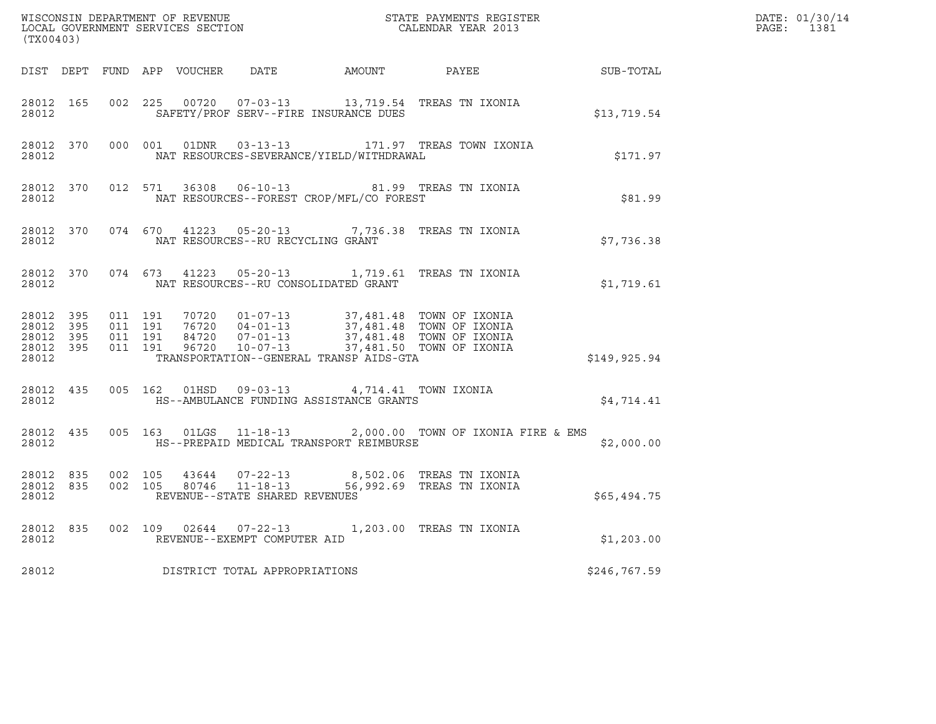| (TX00403)                       |                        |             |  |                                         |                                                                                                        |                                                                                                                                                                                                                                                                                                                                                         |              | DATE: 01/30/14<br>PAGE: 1381 |
|---------------------------------|------------------------|-------------|--|-----------------------------------------|--------------------------------------------------------------------------------------------------------|---------------------------------------------------------------------------------------------------------------------------------------------------------------------------------------------------------------------------------------------------------------------------------------------------------------------------------------------------------|--------------|------------------------------|
|                                 |                        |             |  |                                         |                                                                                                        | DIST DEPT FUND APP VOUCHER DATE AMOUNT PAYEE PAYER SUB-TOTAL                                                                                                                                                                                                                                                                                            |              |                              |
|                                 |                        | 28012 28012 |  |                                         | SAFETY/PROF SERV--FIRE INSURANCE DUES                                                                  | 28012 165 002 225 00720 07-03-13 13,719.54 TREAS TN IXONIA                                                                                                                                                                                                                                                                                              | \$13,719.54  |                              |
|                                 |                        |             |  |                                         | 28012 NAT RESOURCES-SEVERANCE/YIELD/WITHDRAWAL                                                         | 28012 370 000 001 01DNR 03-13-13 171.97 TREAS TOWN IXONIA                                                                                                                                                                                                                                                                                               | \$171.97     |                              |
| 28012                           | 28012 370              |             |  |                                         | NAT RESOURCES--FOREST CROP/MFL/CO FOREST                                                               | 012 571 36308 06-10-13 81.99 TREAS TN IXONIA                                                                                                                                                                                                                                                                                                            | \$81.99      |                              |
|                                 |                        |             |  | 28012 NAT RESOURCES--RU RECYCLING GRANT |                                                                                                        | 28012 370 074 670 41223 05-20-13 7,736.38 TREAS TN IXONIA                                                                                                                                                                                                                                                                                               | \$7,736.38   |                              |
|                                 |                        |             |  |                                         | 28012 NAT RESOURCES--RU CONSOLIDATED GRANT                                                             | 28012 370 074 673 41223 05-20-13 1,719.61 TREAS TN IXONIA                                                                                                                                                                                                                                                                                               | \$1,719.61   |                              |
| 28012 395<br>28012 395<br>28012 | 28012 395<br>28012 395 | 011 191     |  |                                         | TRANSPORTATION--GENERAL TRANSP AIDS-GTA                                                                | $\begin{array}{cccc} 011 & 191 & 70720 & 01\texttt{-}07\texttt{-}13 \\ 011 & 191 & 76720 & 04\texttt{-}01\texttt{-}13 \\ 011 & 191 & 84720 & 07\texttt{-}01\texttt{-}13 \\ 011 & 191 & 84720 & 07\texttt{-}01\texttt{-}13 \\ 011 & 191 & 96720 & 10\texttt{-}07\texttt{-}13 \\ \end{array} \qquad \begin{array}{c} 37,481.48 & \texttt{TOWN OF IXONIA}$ | \$149,925.94 |                              |
|                                 |                        |             |  |                                         | 28012 435 005 162 01HSD 09-03-13 4,714.41 TOWN IXONIA<br>28012 HS--AMBULANCE FUNDING ASSISTANCE GRANTS |                                                                                                                                                                                                                                                                                                                                                         | \$4,714.41   |                              |
|                                 |                        |             |  |                                         | 28012 THS--PREPAID MEDICAL TRANSPORT REIMBURSE                                                         | 28012 435 005 163 01LGS 11-18-13 2,000.00 TOWN OF IXONIA FIRE & EMS                                                                                                                                                                                                                                                                                     | \$2,000.00   |                              |
| 28012                           |                        |             |  | REVENUE--STATE SHARED REVENUES          |                                                                                                        | $\begin{array}{cccccccc} 28012 & 835 & 002 & 105 & 43644 & 07-22-13 & & & 8,502.06 & \text{TREAS TN IXONIA} \\ 28012 & 835 & 002 & 105 & 80746 & 11-18-13 & & & 56,992.69 & \text{TREAS TN IXONIA} \end{array}$                                                                                                                                         | \$65,494.75  |                              |
|                                 |                        |             |  | 28012 REVENUE--EXEMPT COMPUTER AID      |                                                                                                        | 28012 835 002 109 02644 07-22-13 1,203.00 TREAS TN IXONIA                                                                                                                                                                                                                                                                                               | \$1,203.00   |                              |
| 28012                           |                        |             |  | DISTRICT TOTAL APPROPRIATIONS           |                                                                                                        |                                                                                                                                                                                                                                                                                                                                                         | \$246,767.59 |                              |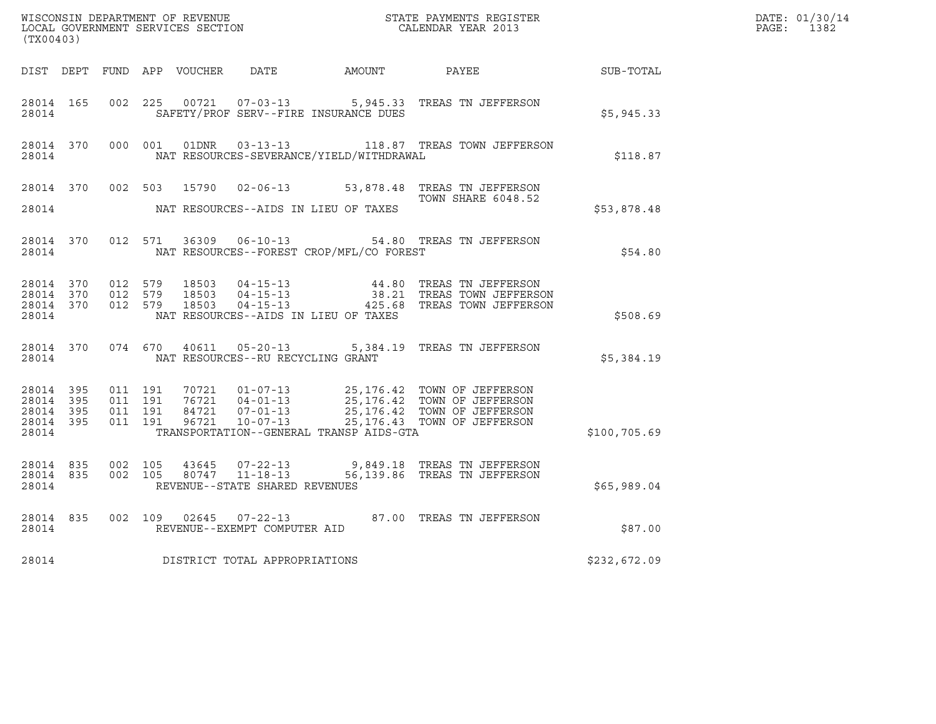| $\tt WISCONSIM DEPARTMENT OF REVENUE$ $\tt TOCAL EONDRNENTS REGISTER$<br>LOCAL GOVERNMENT SERVICES SECTION<br>$\tt CALENDAR YEAR$<br>2013<br>(TX00403) |  |                                          |         |  |                                         |                                          |                                                                                                                                                                                                  |              | DATE: 01/30/14<br>PAGE: 1382 |
|--------------------------------------------------------------------------------------------------------------------------------------------------------|--|------------------------------------------|---------|--|-----------------------------------------|------------------------------------------|--------------------------------------------------------------------------------------------------------------------------------------------------------------------------------------------------|--------------|------------------------------|
|                                                                                                                                                        |  |                                          |         |  |                                         |                                          | DIST DEPT FUND APP VOUCHER DATE AMOUNT PAYEE SUB-TOTAL                                                                                                                                           |              |                              |
| 28014 165<br>28014                                                                                                                                     |  | 002 225                                  |         |  |                                         | SAFETY/PROF SERV--FIRE INSURANCE DUES    | 00721  07-03-13  5,945.33  TREAS TN JEFFERSON                                                                                                                                                    | \$5,945.33   |                              |
| 28014                                                                                                                                                  |  |                                          |         |  |                                         | NAT RESOURCES-SEVERANCE/YIELD/WITHDRAWAL | 28014 370 000 001 01DNR 03-13-13 118.87 TREAS TOWN JEFFERSON                                                                                                                                     | \$118.87     |                              |
|                                                                                                                                                        |  |                                          |         |  |                                         |                                          | 28014 370 002 503 15790 02-06-13 53,878.48 TREAS TN JEFFERSON<br>TOWN SHARE 6048.52                                                                                                              | \$53,878.48  |                              |
| 28014                                                                                                                                                  |  |                                          |         |  |                                         | NAT RESOURCES--FOREST CROP/MFL/CO FOREST | 28014 370 012 571 36309 06-10-13 54.80 TREAS TN JEFFERSON                                                                                                                                        | \$54.80      |                              |
| 28014                                                                                                                                                  |  |                                          |         |  |                                         | NAT RESOURCES--AIDS IN LIEU OF TAXES     | 28014 370 012 579 18503 04-15-13 44.80 TREAS TN JEFFERSON<br>28014 370 012 579 18503 04-15-13 38.21 TREAS TOWN JEFFERSON<br>28014 370 012 579 18503 04-15-13 425.68 TREAS TOWN JEFFERSON         | \$508.69     |                              |
|                                                                                                                                                        |  |                                          |         |  | 28014 NAT RESOURCES--RU RECYCLING GRANT |                                          | 28014 370 074 670 40611 05-20-13 5,384.19 TREAS TN JEFFERSON                                                                                                                                     | \$5,384.19   |                              |
| 28014 395<br>28014 395<br>28014 395<br>28014 395<br>28014                                                                                              |  | 011 191<br>011 191<br>011 191<br>011 191 |         |  |                                         | TRANSPORTATION--GENERAL TRANSP AIDS-GTA  | 70721  01-07-13  25,176.42  TOWN OF JEFFERSON<br>76721  04-01-13  25,176.42  TOWN OF JEFFERSON<br>84721  07-01-13  25,176.42  TOWN OF JEFFERSON<br>96721  10-07-13  26,176.43  TOWN OF JEFFERSON | \$100,705.69 |                              |
| 28014 835<br>28014                                                                                                                                     |  | 28014 835 002 105                        | 002 105 |  | REVENUE--STATE SHARED REVENUES          |                                          |                                                                                                                                                                                                  | \$65,989.04  |                              |
| 28014                                                                                                                                                  |  |                                          |         |  | REVENUE--EXEMPT COMPUTER AID            |                                          | 28014 835 002 109 02645 07-22-13 87.00 TREAS TN JEFFERSON                                                                                                                                        | \$87.00      |                              |
| 28014                                                                                                                                                  |  |                                          |         |  | DISTRICT TOTAL APPROPRIATIONS           |                                          |                                                                                                                                                                                                  | \$232,672.09 |                              |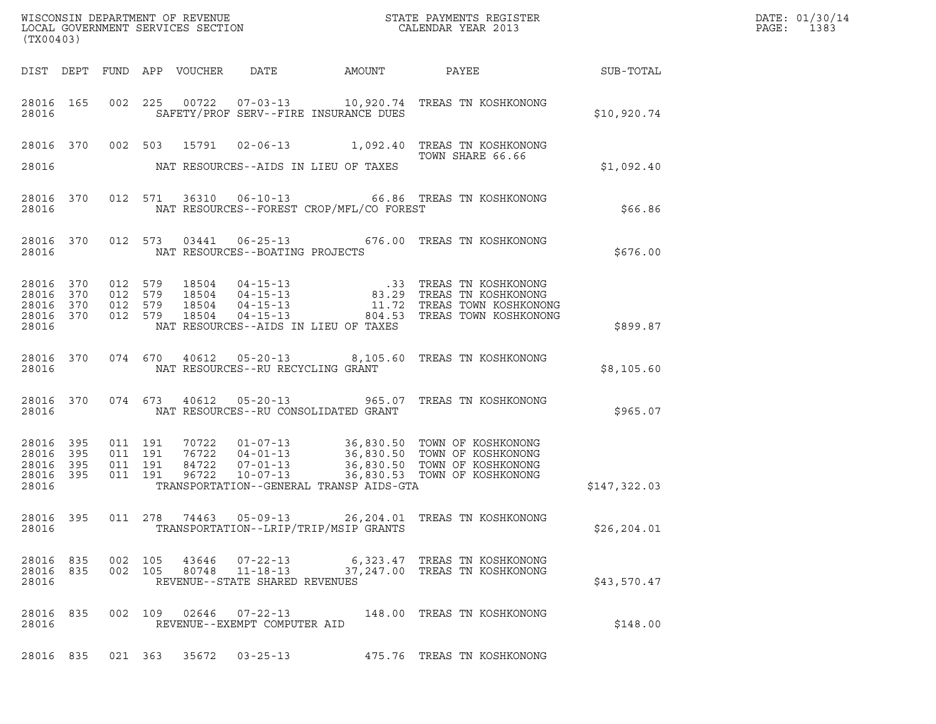| (TX00403)                                                 |                    |                                          |       |                                                                    |                                          |                                                                                                                                                                                                                                                                                                                                                                                                                          |              |  |  |  |  |  |
|-----------------------------------------------------------|--------------------|------------------------------------------|-------|--------------------------------------------------------------------|------------------------------------------|--------------------------------------------------------------------------------------------------------------------------------------------------------------------------------------------------------------------------------------------------------------------------------------------------------------------------------------------------------------------------------------------------------------------------|--------------|--|--|--|--|--|
|                                                           |                    |                                          |       |                                                                    |                                          | DIST DEPT FUND APP VOUCHER DATE AMOUNT PAYEE TO SUB-TOTAL                                                                                                                                                                                                                                                                                                                                                                |              |  |  |  |  |  |
| 28016                                                     |                    |                                          |       |                                                                    | SAFETY/PROF SERV--FIRE INSURANCE DUES    | 28016  165  002  225  00722  07-03-13  10,920.74  TREAS TN KOSHKONONG                                                                                                                                                                                                                                                                                                                                                    | \$10,920.74  |  |  |  |  |  |
|                                                           |                    |                                          |       |                                                                    |                                          | 28016 370 002 503 15791 02-06-13 1,092.40 TREAS TN KOSHKONONG<br>TOWN SHARE 66.66                                                                                                                                                                                                                                                                                                                                        |              |  |  |  |  |  |
| 28016                                                     |                    |                                          |       |                                                                    | NAT RESOURCES--AIDS IN LIEU OF TAXES     |                                                                                                                                                                                                                                                                                                                                                                                                                          | \$1,092.40   |  |  |  |  |  |
| 28016                                                     |                    |                                          |       |                                                                    | NAT RESOURCES--FOREST CROP/MFL/CO FOREST | 28016 370 012 571 36310 06-10-13 66.86 TREAS TN KOSHKONONG                                                                                                                                                                                                                                                                                                                                                               | \$66.86      |  |  |  |  |  |
| 28016                                                     |                    |                                          |       | NAT RESOURCES--BOATING PROJECTS                                    |                                          | 28016 370 012 573 03441 06-25-13 676.00 TREAS TN KOSHKONONG                                                                                                                                                                                                                                                                                                                                                              | \$676.00     |  |  |  |  |  |
| 28016 370<br>28016 370<br>28016 370<br>28016 370<br>28016 | 012 579<br>012 579 | 012 579<br>012 579                       |       |                                                                    | NAT RESOURCES--AIDS IN LIEU OF TAXES     | $\begin{tabular}{c c c c c c c c c c} \multicolumn{1}{c}{\textbf{18504}} & \multicolumn{1}{c}{\textbf{04-15-13}} & \multicolumn{1}{c}{\textbf{18504}} & \multicolumn{1}{c}{\textbf{04-15-13}} & \multicolumn{1}{c}{\textbf{18504}} & \multicolumn{1}{c}{\textbf{04-15-13}} & \multicolumn{1}{c}{\textbf{18504}} & \multicolumn{1}{c}{\textbf{04-15-13}} & \multicolumn{1}{c}{\textbf{11.72}} & \multicolumn{1}{c}{\text$ | \$899.87     |  |  |  |  |  |
| 28016                                                     |                    |                                          |       | NAT RESOURCES--RU RECYCLING GRANT                                  |                                          | 28016 370 074 670 40612 05-20-13 8,105.60 TREAS TN KOSHKONONG                                                                                                                                                                                                                                                                                                                                                            | \$8,105.60   |  |  |  |  |  |
| 28016                                                     |                    |                                          |       |                                                                    | NAT RESOURCES--RU CONSOLIDATED GRANT     | 28016 370 074 673 40612 05-20-13 965.07 TREAS TN KOSHKONONG                                                                                                                                                                                                                                                                                                                                                              | \$965.07     |  |  |  |  |  |
| 28016 395<br>28016 395<br>28016 395<br>28016 395<br>28016 |                    | 011 191<br>011 191<br>011 191<br>011 191 |       |                                                                    | TRANSPORTATION--GENERAL TRANSP AIDS-GTA  | 70722  01-07-13  36,830.50 TOWN OF KOSHKONONG<br>76722  04-01-13  36,830.50 TOWN OF KOSHKONONG<br>84722  07-01-13  36,830.50 TOWN OF KOSHKONONG<br>96722  10-07-13  36,830.53 TOWN OF KOSHKONONG                                                                                                                                                                                                                         | \$147,322.03 |  |  |  |  |  |
| 28016 395<br>28016                                        |                    |                                          |       |                                                                    | TRANSPORTATION--LRIP/TRIP/MSIP GRANTS    | 011  278  74463  05-09-13  26, 204.01  TREAS TN KOSHKONONG                                                                                                                                                                                                                                                                                                                                                               | \$26, 204.01 |  |  |  |  |  |
| 28016 835<br>28016 835<br>28016                           | 002 105            | 002 105                                  | 43646 | $07 - 22 - 13$<br>80748 11-18-13<br>REVENUE--STATE SHARED REVENUES |                                          | 6,323.47 TREAS TN KOSHKONONG<br>37,247.00 TREAS TN KOSHKONONG                                                                                                                                                                                                                                                                                                                                                            | \$43,570.47  |  |  |  |  |  |
| 28016 835<br>28016                                        |                    |                                          |       | 002 109 02646 07-22-13<br>REVENUE--EXEMPT COMPUTER AID             |                                          | 148.00 TREAS TN KOSHKONONG                                                                                                                                                                                                                                                                                                                                                                                               | \$148.00     |  |  |  |  |  |
| 28016 835                                                 |                    | 021 363                                  | 35672 | $03 - 25 - 13$                                                     |                                          | 475.76 TREAS TN KOSHKONONG                                                                                                                                                                                                                                                                                                                                                                                               |              |  |  |  |  |  |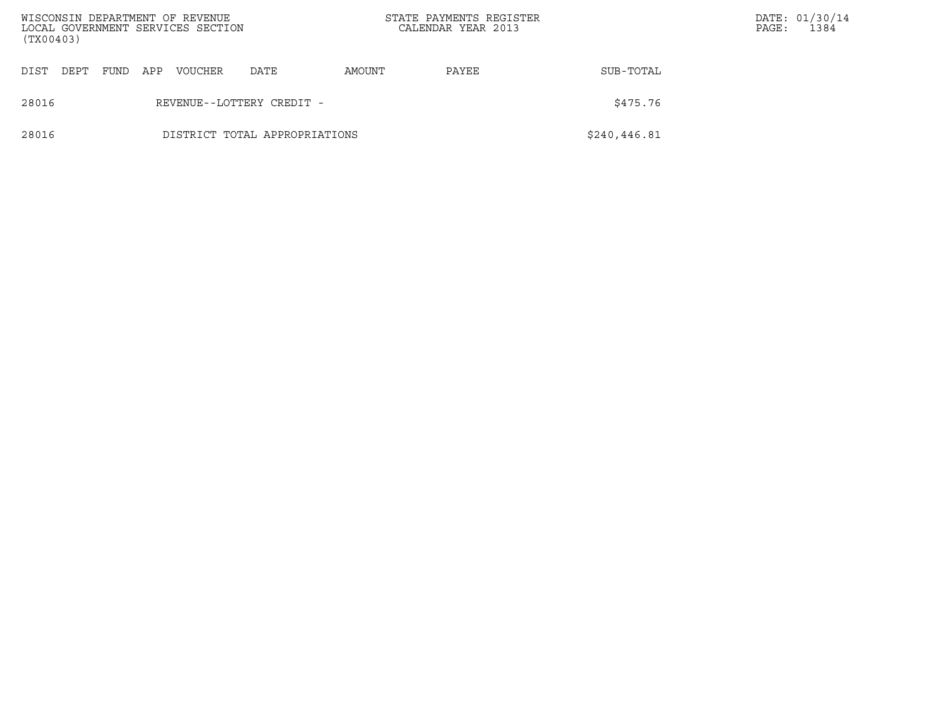| (TX00403) |                                               |  |  | WISCONSIN DEPARTMENT OF REVENUE<br>LOCAL GOVERNMENT SERVICES SECTION |                               |        | STATE PAYMENTS REGISTER<br>CALENDAR YEAR 2013 |              | PAGE: | DATE: 01/30/14<br>1384 |
|-----------|-----------------------------------------------|--|--|----------------------------------------------------------------------|-------------------------------|--------|-----------------------------------------------|--------------|-------|------------------------|
| DIST      | FUND<br><b>VOUCHER</b><br>DEPT<br>APP<br>DATE |  |  |                                                                      |                               | AMOUNT | PAYEE                                         | SUB-TOTAL    |       |                        |
| 28016     |                                               |  |  |                                                                      | REVENUE--LOTTERY CREDIT -     |        |                                               | \$475.76     |       |                        |
| 28016     |                                               |  |  |                                                                      | DISTRICT TOTAL APPROPRIATIONS |        |                                               | \$240,446.81 |       |                        |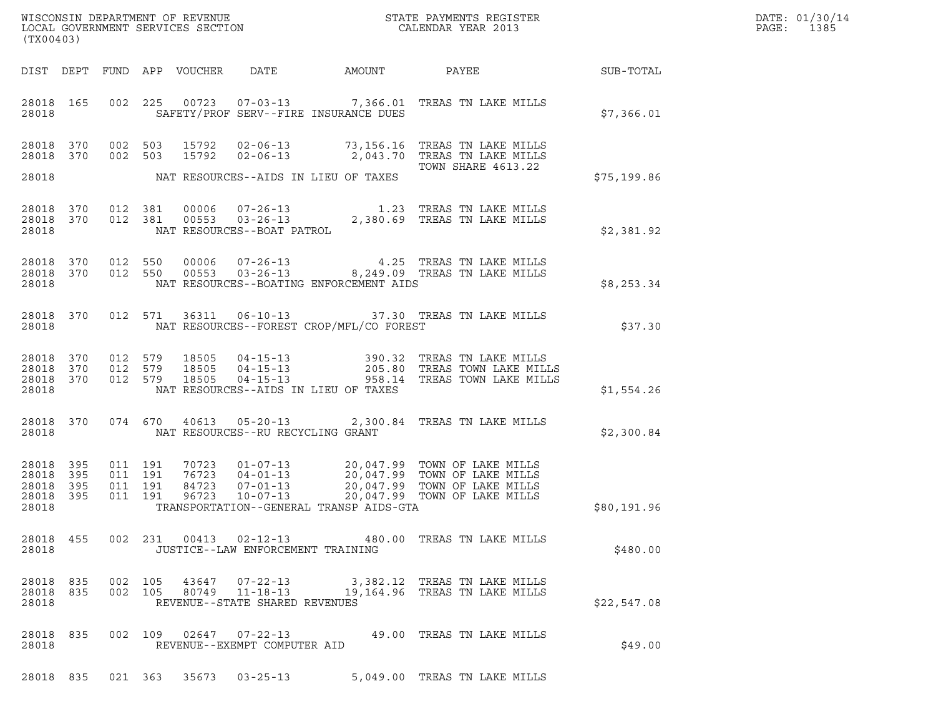| DATE: | 01/30/14 |
|-------|----------|
| PAGE: | 1385     |

| (TX00403)                                                 |  |                                          |                                   |                                            |                                                                                                                                                                                             | $R = \frac{1}{2}$ | DATE: 01/30/14<br>PAGE:<br>1385 |
|-----------------------------------------------------------|--|------------------------------------------|-----------------------------------|--------------------------------------------|---------------------------------------------------------------------------------------------------------------------------------------------------------------------------------------------|-------------------|---------------------------------|
|                                                           |  |                                          |                                   | DIST DEPT FUND APP VOUCHER DATE AMOUNT     | PAYEE SUB-TOTAL                                                                                                                                                                             |                   |                                 |
| 28018 165<br>28018                                        |  |                                          |                                   | SAFETY/PROF SERV--FIRE INSURANCE DUES      | 002 225 00723 07-03-13 7,366.01 TREAS TN LAKE MILLS                                                                                                                                         | \$7,366.01        |                                 |
| 28018 370<br>28018 370                                    |  |                                          |                                   |                                            | 002 503 15792 02-06-13 73,156.16 TREAS TN LAKE MILLS<br>002 503 15792 02-06-13 2,043.70 TREAS TN LAKE MILLS<br>TOWN SHARE 4613.22                                                           |                   |                                 |
|                                                           |  |                                          |                                   | 28018 MAT RESOURCES--AIDS IN LIEU OF TAXES |                                                                                                                                                                                             | \$75,199.86       |                                 |
| 28018 370<br>28018 370<br>28018                           |  | 012 381<br>012 381                       |                                   |                                            |                                                                                                                                                                                             | \$2,381.92        |                                 |
| 28018 370<br>28018 370<br>28018                           |  |                                          |                                   | NAT RESOURCES--BOATING ENFORCEMENT AIDS    | 012 550 00006 07-26-13 4.25 TREAS TN LAKE MILLS<br>012 550 00553 03-26-13 8,249.09 TREAS TN LAKE MILLS                                                                                      | \$8,253.34        |                                 |
| 28018                                                     |  |                                          |                                   | NAT RESOURCES--FOREST CROP/MFL/CO FOREST   | 28018 370 012 571 36311 06-10-13 37.30 TREAS TN LAKE MILLS                                                                                                                                  | \$37.30           |                                 |
| 28018 370<br>28018 370<br>28018 370<br>28018              |  |                                          |                                   | NAT RESOURCES--AIDS IN LIEU OF TAXES       | 012 579 18505 04-15-13 390.32 TREAS TN LAKE MILLS<br>012 579 18505 04-15-13 205.80 TREAS TOWN LAKE MILLS<br>012 579 18505 04-15-13 958.14 TREAS TOWN LAKE MILLS                             | \$1,554.26        |                                 |
| 28018                                                     |  |                                          | NAT RESOURCES--RU RECYCLING GRANT |                                            | 28018 370 074 670 40613 05-20-13 2,300.84 TREAS TN LAKE MILLS                                                                                                                               | \$2,300.84        |                                 |
| 28018 395<br>28018 395<br>28018 395<br>28018 395<br>28018 |  | 011 191<br>011 191<br>011 191<br>011 191 |                                   | TRANSPORTATION--GENERAL TRANSP AIDS-GTA    | 70723  01-07-13  20,047.99  TOWN OF LAKE MILLS<br>76723 04-01-13 20,047.99 TOWN OF LAKE MILLS<br>84723 07-01-13 20,047.99 TOWN OF LAKE MILLS<br>96723 10-07-13 20,047.99 TOWN OF LAKE MILLS | \$80,191.96       |                                 |
| 28018                                                     |  |                                          |                                   | JUSTICE--LAW ENFORCEMENT TRAINING          | 28018 455 002 231 00413 02-12-13 480.00 TREAS TN LAKE MILLS                                                                                                                                 | \$480.00          |                                 |
| 28018 835<br>28018 835<br>28018                           |  | 002 105                                  | REVENUE--STATE SHARED REVENUES    |                                            | 43647  07-22-13  3,382.12  TREAS TN LAKE MILLS<br>002  105  80749  11-18-13  19,164.96  TREAS TN LAKE MILLS                                                                                 | \$22,547.08       |                                 |
| 28018 835<br>28018                                        |  |                                          | REVENUE--EXEMPT COMPUTER AID      |                                            | 002 109 02647 07-22-13 49.00 TREAS TN LAKE MILLS                                                                                                                                            | \$49.00           |                                 |

28018 835 021 363 35673 03-25-13 5,049.00 TREAS TN LAKE MILLS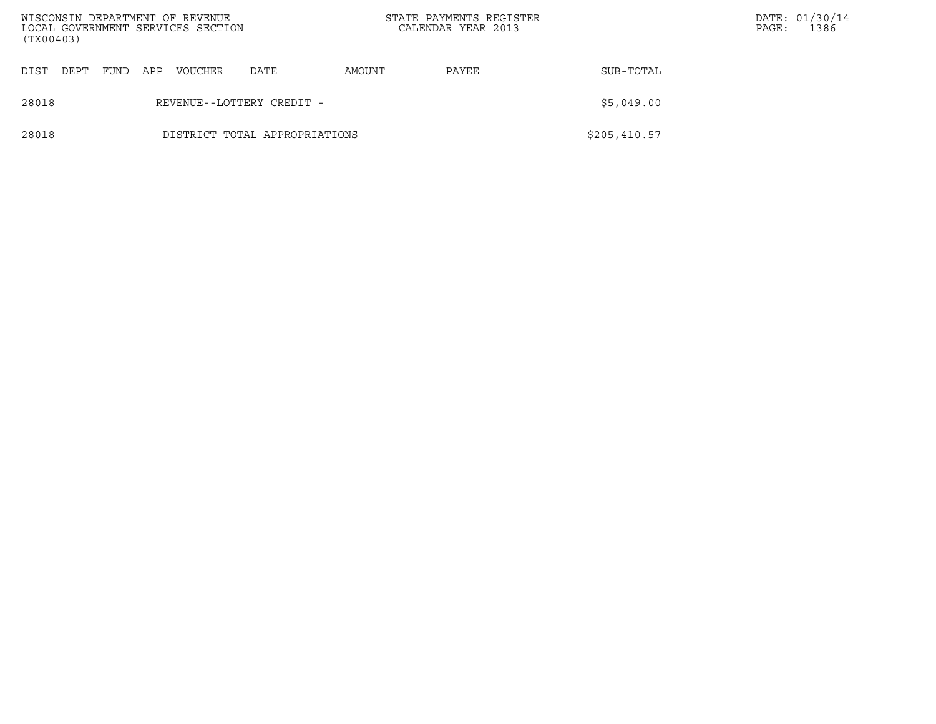| (TX00403) |      |      |     | WISCONSIN DEPARTMENT OF REVENUE<br>LOCAL GOVERNMENT SERVICES SECTION |                               | STATE PAYMENTS REGISTER<br>CALENDAR YEAR 2013 |       |               | PAGE: | DATE: 01/30/14<br>1386 |
|-----------|------|------|-----|----------------------------------------------------------------------|-------------------------------|-----------------------------------------------|-------|---------------|-------|------------------------|
| DIST      | DEPT | FUND | APP | <b>VOUCHER</b>                                                       | DATE                          | AMOUNT                                        | PAYEE | SUB-TOTAL     |       |                        |
| 28018     |      |      |     |                                                                      | REVENUE--LOTTERY CREDIT -     |                                               |       | \$5,049.00    |       |                        |
| 28018     |      |      |     |                                                                      | DISTRICT TOTAL APPROPRIATIONS |                                               |       | \$205, 410.57 |       |                        |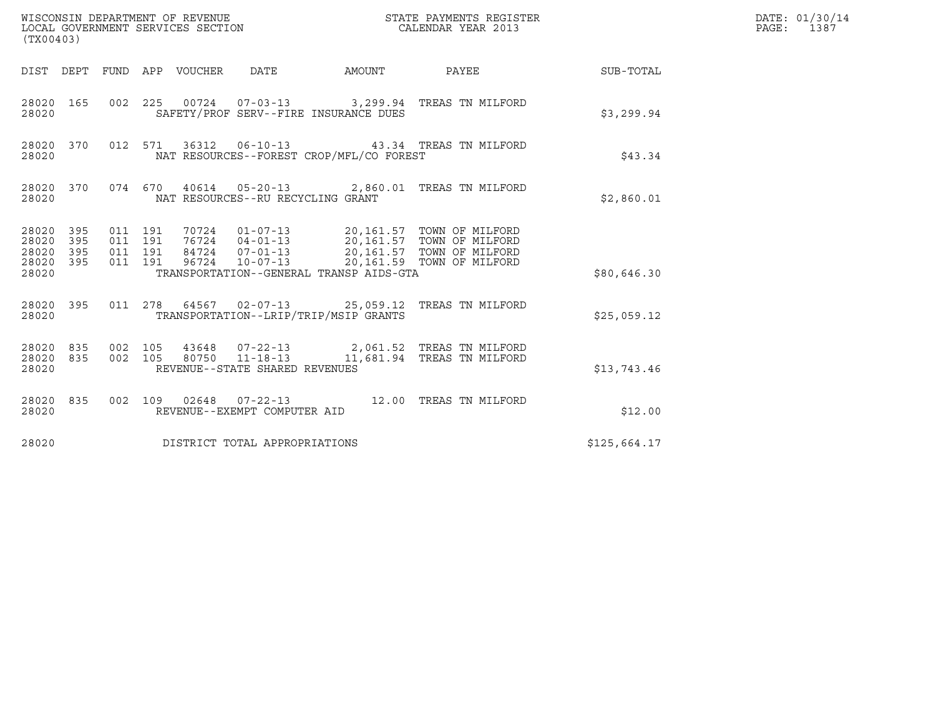| (TX00403)                                 |                          |                               |         | WISCONSIN DEPARTMENT OF REVENUE<br>LOCAL GOVERNMENT SERVICES SECTION |                                                  | $\frac{1}{2}$                            | STATE PAYMENTS REGISTER<br>CALENDAR YEAR 2013                                                                                                                                            |              | DATE: 01/30/14<br>$\mathtt{PAGE}$ :<br>1387 |
|-------------------------------------------|--------------------------|-------------------------------|---------|----------------------------------------------------------------------|--------------------------------------------------|------------------------------------------|------------------------------------------------------------------------------------------------------------------------------------------------------------------------------------------|--------------|---------------------------------------------|
|                                           | DIST DEPT                |                               |         | FUND APP VOUCHER DATE                                                |                                                  | AMOUNT                                   | PAYEE                                                                                                                                                                                    | SUB-TOTAL    |                                             |
| 28020 165<br>28020                        |                          |                               |         |                                                                      |                                                  | SAFETY/PROF SERV--FIRE INSURANCE DUES    | 002  225  00724  07-03-13  3,299.94  TREAS TN MILFORD                                                                                                                                    | \$3,299.94   |                                             |
| 28020 370<br>28020                        |                          |                               |         |                                                                      |                                                  | NAT RESOURCES--FOREST CROP/MFL/CO FOREST | 012 571 36312 06-10-13 43.34 TREAS TN MILFORD                                                                                                                                            | \$43.34      |                                             |
| 28020 370<br>28020                        |                          |                               |         |                                                                      | NAT RESOURCES--RU RECYCLING GRANT                |                                          | 074 670 40614 05-20-13 2,860.01 TREAS TN MILFORD                                                                                                                                         | \$2,860.01   |                                             |
| 28020<br>28020<br>28020<br>28020<br>28020 | 395<br>395<br>395<br>395 | 011 191<br>011 191<br>011 191 | 011 191 |                                                                      |                                                  | TRANSPORTATION--GENERAL TRANSP AIDS-GTA  | 70724  01-07-13  20,161.57  TOWN OF MILFORD<br>76724  04-01-13  20,161.57  TOWN OF MILFORD<br>84724  07-01-13  20,161.57  TOWN OF MILFORD<br>96724  10-07-13  20,161.59  TOWN OF MILFORD | \$80,646.30  |                                             |
| 28020 395<br>28020                        |                          |                               |         |                                                                      |                                                  | TRANSPORTATION--LRIP/TRIP/MSIP GRANTS    | 011  278  64567  02-07-13  25,059.12  TREAS TN MILFORD                                                                                                                                   | \$25,059.12  |                                             |
| 28020<br>28020<br>28020                   | 835<br>835               | 002 105<br>002 105            |         | 80750                                                                | $11 - 18 - 13$<br>REVENUE--STATE SHARED REVENUES |                                          | 43648  07-22-13  2,061.52  TREAS TN MILFORD<br>11,681.94 TREAS TN MILFORD                                                                                                                | \$13,743.46  |                                             |
| 28020 835<br>28020                        |                          |                               |         |                                                                      | REVENUE--EXEMPT COMPUTER AID                     |                                          | 002 109 02648 07-22-13 12.00 TREAS TN MILFORD                                                                                                                                            | \$12.00      |                                             |
| 28020                                     |                          |                               |         |                                                                      | DISTRICT TOTAL APPROPRIATIONS                    |                                          |                                                                                                                                                                                          | \$125,664.17 |                                             |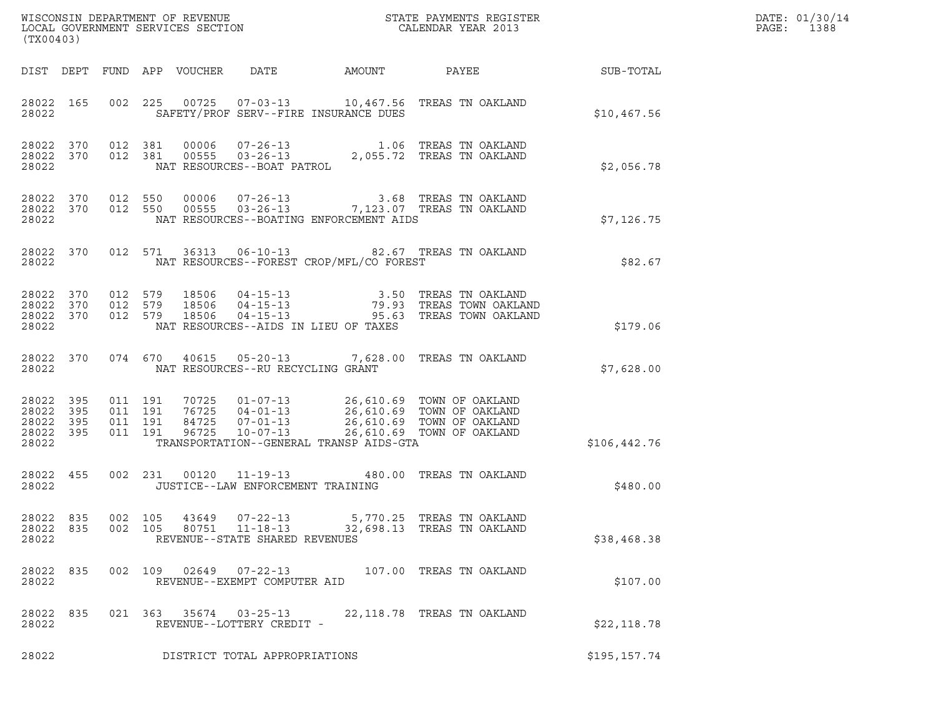| (TX00403)                                         |            |                   |                                          |                            |                                                              |                                          | ${\tt WISCOONSIM\ DEPARTMENT\ OF\ REVENUE}\qquad \qquad {\tt STATE\ PAYMENTS\ REGISTER\ LOCAL\ GOVERNMENT\ SERVICES\ SECTION\qquad \qquad {\tt CALENDAR\ YEAR\ 2013}$                                          |                 | DATE: 01/30/14<br>PAGE:<br>1388 |
|---------------------------------------------------|------------|-------------------|------------------------------------------|----------------------------|--------------------------------------------------------------|------------------------------------------|----------------------------------------------------------------------------------------------------------------------------------------------------------------------------------------------------------------|-----------------|---------------------------------|
|                                                   |            |                   |                                          | DIST DEPT FUND APP VOUCHER |                                                              | DATE AMOUNT                              |                                                                                                                                                                                                                | PAYEE SUB-TOTAL |                                 |
| 28022 165<br>28022                                |            |                   |                                          |                            |                                                              | SAFETY/PROF SERV--FIRE INSURANCE DUES    | 002  225  00725  07-03-13  10,467.56  TREAS TN OAKLAND                                                                                                                                                         | \$10,467.56     |                                 |
| 28022 370<br>28022                                |            | 28022 370 012 381 | 012 381                                  |                            |                                                              |                                          |                                                                                                                                                                                                                | \$2,056.78      |                                 |
| 28022                                             |            |                   |                                          |                            |                                                              | NAT RESOURCES--BOATING ENFORCEMENT AIDS  | $\begin{array}{cccccccc} 28022 & 370 & 012 & 550 & 00006 & 07-26-13 & & & & 3.68 & \text{TREAS TN OAKLAND} \\ 28022 & 370 & 012 & 550 & 00555 & 03-26-13 & & & 7,123.07 & \text{TREAS TN OAKLAND} \end{array}$ | \$7,126.75      |                                 |
| 28022 370<br>28022                                |            |                   |                                          |                            |                                                              | NAT RESOURCES--FOREST CROP/MFL/CO FOREST | 012 571 36313 06-10-13 82.67 TREAS TN OAKLAND                                                                                                                                                                  | \$82.67         |                                 |
| 28022 370<br>28022<br>28022 370<br>28022          | 370        |                   | 012 579<br>012 579<br>012 579            | 18506<br>18506<br>18506    |                                                              | NAT RESOURCES--AIDS IN LIEU OF TAXES     |                                                                                                                                                                                                                | \$179.06        |                                 |
| 28022 370<br>28022                                |            |                   |                                          |                            |                                                              | NAT RESOURCES--RU RECYCLING GRANT        | 074 670 40615 05-20-13 7,628.00 TREAS TN OAKLAND                                                                                                                                                               | \$7,628.00      |                                 |
| 28022 395<br>28022<br>28022<br>28022 395<br>28022 | 395<br>395 |                   | 011 191<br>011 191<br>011 191<br>011 191 |                            |                                                              | TRANSPORTATION--GENERAL TRANSP AIDS-GTA  | 70725  01-07-13  26,610.69  TOWN OF OAKLAND<br>76725  04-01-13  26,610.69  TOWN OF OAKLAND<br>84725  07-01-13  26,610.69  TOWN OF OAKLAND<br>96725  10-07-13  26,610.69  TOWN OF OAKLAND                       | \$106, 442.76   |                                 |
| 28022 455<br>28022                                |            |                   |                                          |                            |                                                              | JUSTICE--LAW ENFORCEMENT TRAINING        | 002 231 00120 11-19-13 480.00 TREAS TN OAKLAND                                                                                                                                                                 | \$480.00        |                                 |
| 28022 835<br>28022 835<br>28022                   |            | 002 105           | 002 105                                  | 43649<br>80751             | $07 - 22 - 13$<br>11-18-13<br>REVENUE--STATE SHARED REVENUES |                                          | 5,770.25 TREAS TN OAKLAND<br>32,698.13 TREAS TN OAKLAND                                                                                                                                                        | \$38,468.38     |                                 |
| 28022 835<br>28022                                |            |                   |                                          |                            | 002 109 02649 07-22-13<br>REVENUE--EXEMPT COMPUTER AID       |                                          | 107.00 TREAS TN OAKLAND                                                                                                                                                                                        | \$107.00        |                                 |
| 28022 835<br>28022                                |            |                   |                                          |                            | 021 363 35674 03-25-13<br>REVENUE--LOTTERY CREDIT -          |                                          | 22,118.78 TREAS TN OAKLAND                                                                                                                                                                                     | \$22,118.78     |                                 |
| 28022                                             |            |                   |                                          |                            | DISTRICT TOTAL APPROPRIATIONS                                |                                          |                                                                                                                                                                                                                | \$195,157.74    |                                 |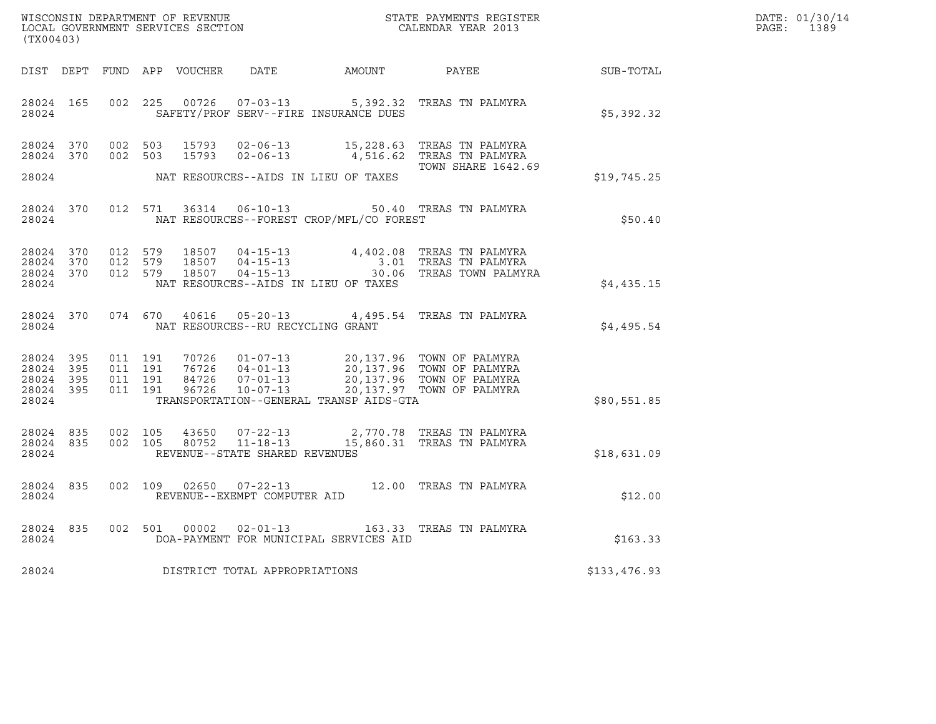| WISCONSIN DEPARTMENT OF REVENUE   | STATE PAYMENTS REGISTER | DATE: 01/30/14 |
|-----------------------------------|-------------------------|----------------|
| LOCAL GOVERNMENT SERVICES SECTION | CALENDAR YEAR 2013      | 1389<br>PAGE:  |

| (TX00403) |  |  |                                         |                                            | WISCONSIN DEPARTMENT OF REVENUE<br>LOCAL GOVERNMENT SERVICES SECTION CALENDAR YEAR 2013                                                                                                                                                                                                                                |              | DATE: 01/30/14<br>PAGE: 1389 |
|-----------|--|--|-----------------------------------------|--------------------------------------------|------------------------------------------------------------------------------------------------------------------------------------------------------------------------------------------------------------------------------------------------------------------------------------------------------------------------|--------------|------------------------------|
|           |  |  |                                         |                                            | DIST DEPT FUND APP VOUCHER DATE AMOUNT PAYEE PAYES SUB-TOTAL                                                                                                                                                                                                                                                           |              |                              |
| 28024     |  |  |                                         | SAFETY/PROF SERV--FIRE INSURANCE DUES      | 28024 165 002 225 00726 07-03-13 5,392.32 TREAS TN PALMYRA                                                                                                                                                                                                                                                             | \$5,392.32   |                              |
|           |  |  |                                         |                                            | $\begin{array}{cccccccc} 28024 & 370 & 002 & 503 & 15793 & 02-06-13 & & 15,228.63 & \text{TREAS TN PALMYRA} \\ 28024 & 370 & 002 & 503 & 15793 & 02-06-13 & & 4,516.62 & \text{TREAS TN PALMYRA} \end{array}$<br>TOWN SHARE 1642.69                                                                                    |              |                              |
|           |  |  |                                         | 28024 NAT RESOURCES--AIDS IN LIEU OF TAXES |                                                                                                                                                                                                                                                                                                                        | \$19,745.25  |                              |
| 28024     |  |  |                                         | NAT RESOURCES--FOREST CROP/MFL/CO FOREST   | 28024 370 012 571 36314 06-10-13 50.40 TREAS TN PALMYRA                                                                                                                                                                                                                                                                | \$50.40      |                              |
| 28024     |  |  |                                         | NAT RESOURCES--AIDS IN LIEU OF TAXES       | $\begin{array}{cccccccc} 28024 & 370 & 012 & 579 & 18507 & 04-15-13 & & 4,402.08 & \text{TREAS TN PALMYRA} \\ 28024 & 370 & 012 & 579 & 18507 & 04-15-13 & & 3.01 & \text{TREAS TN PALMYRA} \\ 28024 & 370 & 012 & 579 & 18507 & 04-15-13 & & 30.06 & \text{TREAS TOWN PALMYRA} \end{array}$                           | \$4,435.15   |                              |
|           |  |  | 28024 NAT RESOURCES--RU RECYCLING GRANT |                                            | 28024 370 074 670 40616 05-20-13 4,495.54 TREAS TN PALMYRA                                                                                                                                                                                                                                                             | \$4,495.54   |                              |
| 28024     |  |  |                                         | TRANSPORTATION--GENERAL TRANSP AIDS-GTA    | $\begin{array}{cccccccc} 28024 & 395 & 011 & 191 & 70726 & 01-07-13 & 20,137.96 & \text{TOWN OF PALMYRA} \\ 28024 & 395 & 011 & 191 & 76726 & 04-01-13 & 20,137.96 & \text{TOWN OF PALMYRA} \\ 28024 & 395 & 011 & 191 & 84726 & 07-01-13 & 20,137.96 & \text{TOWN OF PALMYRA} \\ 28024 & 395 & 011 & 191 & 96726 & 1$ | \$80,551.85  |                              |
|           |  |  | 28024 REVENUE--STATE SHARED REVENUES    |                                            | $\begin{array}{cccccccc} 28024 & 835 & 002 & 105 & 43650 & 07-22-13 & & 2,770.78 & \text{TREAS TN PALMYRA} \\ 28024 & 835 & 002 & 105 & 80752 & 11-18-13 & & 15,860.31 & \text{TREAS TN PALMYRA} \end{array}$                                                                                                          | \$18,631.09  |                              |
|           |  |  | 28024 REVENUE--EXEMPT COMPUTER AID      |                                            | 28024 835 002 109 02650 07-22-13 12.00 TREAS TN PALMYRA                                                                                                                                                                                                                                                                | \$12.00      |                              |
| 28024     |  |  |                                         | DOA-PAYMENT FOR MUNICIPAL SERVICES AID     | 28024 835 002 501 00002 02-01-13 163.33 TREAS TN PALMYRA                                                                                                                                                                                                                                                               | \$163.33     |                              |
| 28024     |  |  | DISTRICT TOTAL APPROPRIATIONS           |                                            |                                                                                                                                                                                                                                                                                                                        | \$133,476.93 |                              |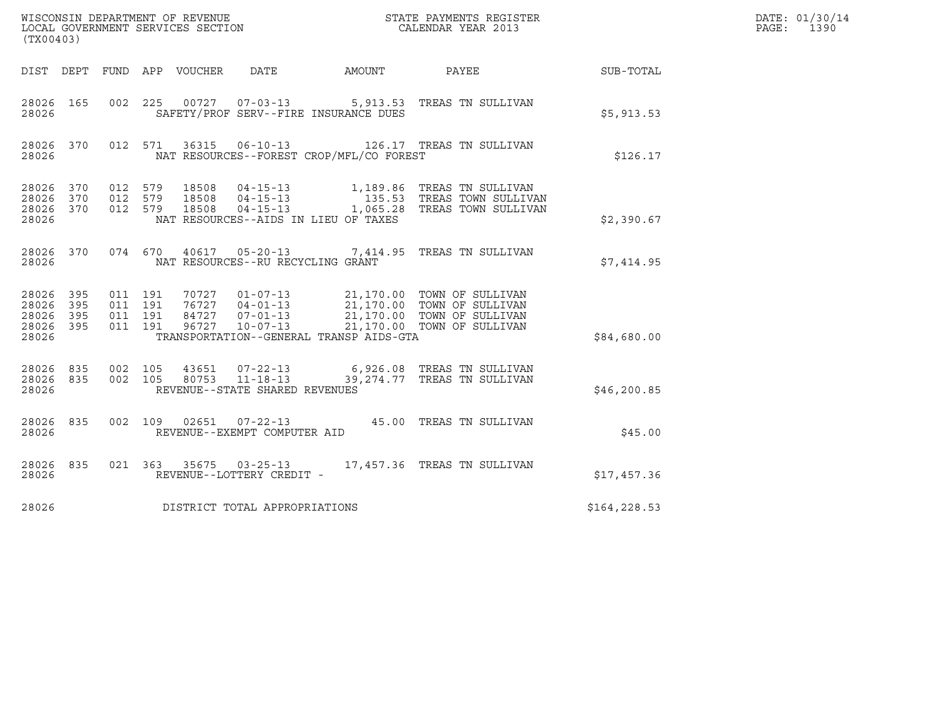|                                                   |              |                                          |         | LOCAL GOVERNMENT SERVICES SECTION |                                                                    |                                          | ${\tt WISCO} {\tt NSM} {\tt NEMR} {\tt NEMR} {\tt NEMR} {\tt NEMR} {\tt NEMR} {\tt NEMR} {\tt NEMR} {\tt NEMR} {\tt NEMR} {\tt NEMR} {\tt NEMR} {\tt NEMR} {\tt NEMR} {\tt NEMR} {\tt NEMR} {\tt NEMR} {\tt NEMR} {\tt NEMR} {\tt NEMR} {\tt NEMR} {\tt NEMR} {\tt NEMR} {\tt NEMR} {\tt NEMR} {\tt NEMR} {\tt NEMR} {\tt NEMR} {\tt NEMR} {\tt NEMR} {\tt NEMR} {\tt NEMR} {\tt NEMR} {\tt NEMR} {\tt NEMR} {\tt NEMR}$ |               | DATE: 01/30/14<br>PAGE:<br>1390 |
|---------------------------------------------------|--------------|------------------------------------------|---------|-----------------------------------|--------------------------------------------------------------------|------------------------------------------|--------------------------------------------------------------------------------------------------------------------------------------------------------------------------------------------------------------------------------------------------------------------------------------------------------------------------------------------------------------------------------------------------------------------------|---------------|---------------------------------|
| (TX00403)                                         |              |                                          |         |                                   |                                                                    |                                          |                                                                                                                                                                                                                                                                                                                                                                                                                          |               |                                 |
|                                                   |              |                                          |         | DIST DEPT FUND APP VOUCHER        | DATE                                                               | AMOUNT                                   | PAYEE                                                                                                                                                                                                                                                                                                                                                                                                                    | SUB-TOTAL     |                                 |
| 28026 165<br>28026                                |              | 002 225                                  |         |                                   | 00727 07-03-13                                                     | SAFETY/PROF SERV--FIRE INSURANCE DUES    | 5,913.53 TREAS TN SULLIVAN                                                                                                                                                                                                                                                                                                                                                                                               | \$5,913.53    |                                 |
| 28026 370<br>28026                                |              | 012 571                                  |         |                                   |                                                                    | NAT RESOURCES--FOREST CROP/MFL/CO FOREST |                                                                                                                                                                                                                                                                                                                                                                                                                          | \$126.17      |                                 |
| 28026<br>28026<br>28026 370<br>28026              | 370<br>370   | 012 579<br>012 579<br>012 579            |         | 18508<br>18508                    | 18508 04-15-13<br>$04 - 15 - 13$<br>$04 - 15 - 13$                 | NAT RESOURCES--AIDS IN LIEU OF TAXES     | 1,189.86 TREAS TN SULLIVAN<br>135.53 TREAS TOWN SULLIVAN<br>1,065.28 TREAS TOWN SULLIVAN                                                                                                                                                                                                                                                                                                                                 | \$2,390.67    |                                 |
| 28026 370<br>28026                                |              | 074 670                                  |         |                                   | NAT RESOURCES--RU RECYCLING GRANT                                  |                                          | 40617  05-20-13  7,414.95  TREAS TN SULLIVAN                                                                                                                                                                                                                                                                                                                                                                             | \$7,414.95    |                                 |
| 28026<br>28026 395<br>28026<br>28026 395<br>28026 | 395<br>- 395 | 011 191<br>011 191<br>011 191<br>011 191 |         | 96727                             | 76727 04-01-13<br>84727 07-01-13<br>$10 - 07 - 13$                 | TRANSPORTATION--GENERAL TRANSP AIDS-GTA  | 70727  01-07-13  21,170.00 TOWN OF SULLIVAN<br>76727  04-01-13  21,170.00 TOWN OF SULLIVAN<br>21,170.00 TOWN OF SULLIVAN<br>21,170.00 TOWN OF SULLIVAN                                                                                                                                                                                                                                                                   | \$84,680.00   |                                 |
| 28026 835<br>28026 835<br>28026                   |              | 002 105<br>002 105                       |         | 43651<br>80753                    | $07 - 22 - 13$<br>$11 - 18 - 13$<br>REVENUE--STATE SHARED REVENUES |                                          | 6,926.08 TREAS TN SULLIVAN<br>39,274.77 TREAS TN SULLIVAN                                                                                                                                                                                                                                                                                                                                                                | \$46, 200.85  |                                 |
| 28026 835<br>28026                                |              | 002 109                                  |         | 02651                             | 07-22-13<br>REVENUE--EXEMPT COMPUTER AID                           |                                          | 45.00 TREAS TN SULLIVAN                                                                                                                                                                                                                                                                                                                                                                                                  | \$45.00       |                                 |
| 28026 835<br>28026                                |              |                                          | 021 363 |                                   | 35675 03-25-13<br>REVENUE--LOTTERY CREDIT -                        |                                          | 17,457.36 TREAS TN SULLIVAN                                                                                                                                                                                                                                                                                                                                                                                              | \$17,457.36   |                                 |
| 28026                                             |              |                                          |         |                                   | DISTRICT TOTAL APPROPRIATIONS                                      |                                          |                                                                                                                                                                                                                                                                                                                                                                                                                          | \$164, 228.53 |                                 |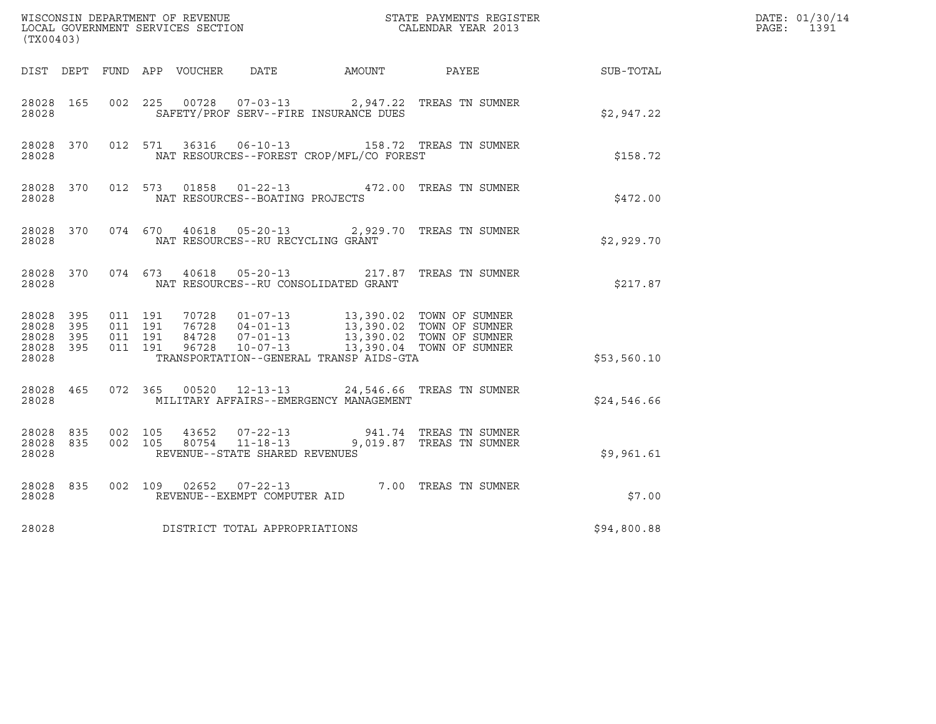| (TX00403)                           |                    |                                          |         |                                                                        |                                          |                                                                                                                                                                                      |                                                           | DATE: 01/30/14<br>PAGE: 1391 |
|-------------------------------------|--------------------|------------------------------------------|---------|------------------------------------------------------------------------|------------------------------------------|--------------------------------------------------------------------------------------------------------------------------------------------------------------------------------------|-----------------------------------------------------------|------------------------------|
|                                     |                    |                                          |         |                                                                        |                                          |                                                                                                                                                                                      | DIST DEPT FUND APP VOUCHER DATE AMOUNT PAYEE TO SUB-TOTAL |                              |
| 28028 165<br>28028                  |                    |                                          |         |                                                                        | SAFETY/PROF SERV--FIRE INSURANCE DUES    | 002 225 00728 07-03-13 2,947.22 TREAS TN SUMNER                                                                                                                                      | \$2,947.22                                                |                              |
| 28028                               | 28028 370          |                                          | 012 571 |                                                                        | NAT RESOURCES--FOREST CROP/MFL/CO FOREST | 36316  06-10-13   158.72   TREAS TN SUMNER                                                                                                                                           | \$158.72                                                  |                              |
| 28028                               | 28028 370          |                                          |         | NAT RESOURCES--BOATING PROJECTS                                        |                                          | 012 573 01858 01-22-13 472.00 TREAS TN SUMNER                                                                                                                                        | \$472.00                                                  |                              |
| 28028                               | 28028 370          |                                          |         | NAT RESOURCES--RU RECYCLING GRANT                                      |                                          | 074 670 40618 05-20-13 2,929.70 TREAS TN SUMNER                                                                                                                                      | \$2,929.70                                                |                              |
|                                     | 28028 370<br>28028 |                                          |         |                                                                        | NAT RESOURCES--RU CONSOLIDATED GRANT     | 074 673 40618 05-20-13 217.87 TREAS TN SUMNER                                                                                                                                        | \$217.87                                                  |                              |
| 28028 395<br>28028 395<br>28028 395 | 28028 395          | 011 191<br>011 191<br>011 191<br>011 191 |         |                                                                        |                                          | 70728  01-07-13  13,390.02  TOWN OF SUMNER<br>76728  04-01-13  13,390.02  TOWN OF SUMNER<br>84728  07-01-13  13,390.02  TOWN OF SUMNER<br>96728  10-07-13  13,390.04  TOWN OF SUMNER |                                                           |                              |
| 28028                               |                    |                                          |         |                                                                        | TRANSPORTATION--GENERAL TRANSP AIDS-GTA  |                                                                                                                                                                                      | \$53,560.10                                               |                              |
| 28028                               | 28028 465          |                                          |         |                                                                        | MILITARY AFFAIRS--EMERGENCY MANAGEMENT   | 072 365 00520 12-13-13 24,546.66 TREAS TN SUMNER                                                                                                                                     | \$24,546.66                                               |                              |
| 28028 835<br>28028 835<br>28028     |                    | 002 105<br>002 105                       |         | 43652 07-22-13<br>$80754$ $11-18-13$<br>REVENUE--STATE SHARED REVENUES |                                          | 941.74   TREAS TN SUMNER<br>9,019.87 TREAS TN SUMNER                                                                                                                                 | \$9,961.61                                                |                              |
| 28028 835<br>28028                  |                    |                                          |         |                                                                        |                                          | 002   109   02652   07-22-13   7.00 TREAS TN SUMNER   REVENUE--EXEMPT COMPUTER AID                                                                                                   | \$7.00                                                    |                              |
| 28028                               |                    |                                          |         | DISTRICT TOTAL APPROPRIATIONS                                          |                                          |                                                                                                                                                                                      | \$94,800.88                                               |                              |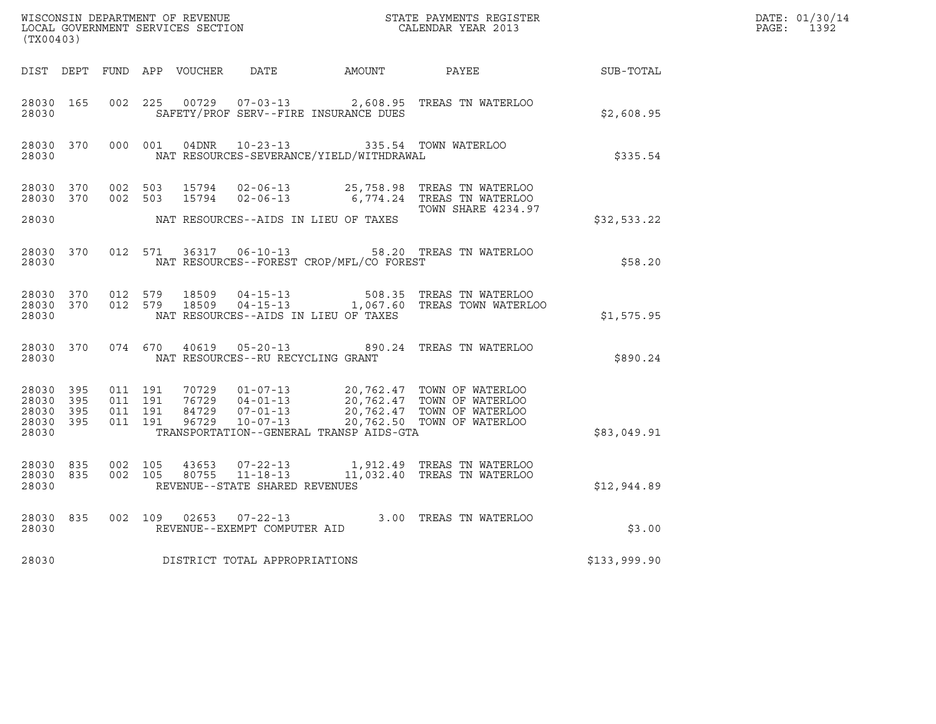| (TX00403)                                                 |                               |         |                                         |                                                                                                   | ${\tt WISCONSIM\ DEPARTMENT\ OF\ REVENUE}\qquad \qquad {\tt STATE\ PAYMENTS\ REGISTER} \\ {\tt LOCAL\ GOVERNMENT\ SERVICES\ SECTION}\qquad \qquad {\tt CALENDAR\ YEAR\ 2013}}$           | $\mathcal{L}(\mathcal{L}^{\mathcal{L}}_{\mathcal{L}})$ and $\mathcal{L}^{\mathcal{L}}_{\mathcal{L}}$ and $\mathcal{L}^{\mathcal{L}}_{\mathcal{L}}$ and $\mathcal{L}^{\mathcal{L}}_{\mathcal{L}}$ | DATE: 01/30/14<br>PAGE: 1392 |
|-----------------------------------------------------------|-------------------------------|---------|-----------------------------------------|---------------------------------------------------------------------------------------------------|------------------------------------------------------------------------------------------------------------------------------------------------------------------------------------------|--------------------------------------------------------------------------------------------------------------------------------------------------------------------------------------------------|------------------------------|
|                                                           |                               |         |                                         |                                                                                                   | DIST DEPT FUND APP VOUCHER DATE AMOUNT PAYEE PAYER SUB-TOTAL                                                                                                                             |                                                                                                                                                                                                  |                              |
| 28030 165<br>28030                                        |                               |         |                                         | SAFETY/PROF SERV--FIRE INSURANCE DUES                                                             | 002 225 00729 07-03-13 2,608.95 TREAS TN WATERLOO                                                                                                                                        | \$2,608.95                                                                                                                                                                                       |                              |
| 28030                                                     |                               |         |                                         | 28030 370 000 001 04DNR 10-23-13 335.54 TOWN WATERLOO<br>NAT RESOURCES-SEVERANCE/YIELD/WITHDRAWAL |                                                                                                                                                                                          | \$335.54                                                                                                                                                                                         |                              |
|                                                           |                               |         |                                         |                                                                                                   | 28030 370 002 503 15794 02-06-13 25,758.98 TREAS TN WATERLOO<br>28030 370 002 503 15794 02-06-13 6,774.24 TREAS TN WATERLOO<br><b>TOWN SHARE 4234.97</b>                                 |                                                                                                                                                                                                  |                              |
|                                                           |                               |         |                                         | 28030 NAT RESOURCES--AIDS IN LIEU OF TAXES                                                        |                                                                                                                                                                                          | \$32,533.22                                                                                                                                                                                      |                              |
|                                                           |                               |         |                                         | 28030 NAT RESOURCES--FOREST CROP/MFL/CO FOREST                                                    | 28030 370 012 571 36317 06-10-13 58.20 TREAS TN WATERLOO                                                                                                                                 | \$58.20                                                                                                                                                                                          |                              |
| 28030                                                     |                               |         |                                         | NAT RESOURCES--AIDS IN LIEU OF TAXES                                                              | 28030 370 012 579 18509 04-15-13 508.35 TREAS TN WATERLOO<br>28030 370 012 579 18509 04-15-13 1,067.60 TREAS TOWN WATERLOO                                                               | \$1,575.95                                                                                                                                                                                       |                              |
|                                                           |                               |         | 28030 NAT RESOURCES--RU RECYCLING GRANT |                                                                                                   | 28030 370 074 670 40619 05-20-13 890.24 TREAS TN WATERLOO                                                                                                                                | \$890.24                                                                                                                                                                                         |                              |
| 28030 395<br>28030 395<br>28030 395<br>28030 395<br>28030 | 011 191<br>011 191<br>011 191 | 011 191 |                                         | TRANSPORTATION--GENERAL TRANSP AIDS-GTA                                                           | 70729  01-07-13  20,762.47 TOWN OF WATERLOO<br>76729  04-01-13  20,762.47 TOWN OF WATERLOO<br>84729  07-01-13  20,762.47 TOWN OF WATERLOO<br>96729  10-07-13  20,762.50 TOWN OF WATERLOO | \$83,049.91                                                                                                                                                                                      |                              |
| 28030 835<br>28030                                        | 28030 835 002 105             | 002 105 | REVENUE--STATE SHARED REVENUES          |                                                                                                   |                                                                                                                                                                                          | \$12,944.89                                                                                                                                                                                      |                              |
| 28030                                                     |                               |         | REVENUE--EXEMPT COMPUTER AID            |                                                                                                   | 28030 835 002 109 02653 07-22-13 3.00 TREAS TN WATERLOO                                                                                                                                  | \$3.00                                                                                                                                                                                           |                              |
| 28030                                                     |                               |         | DISTRICT TOTAL APPROPRIATIONS           |                                                                                                   |                                                                                                                                                                                          | \$133,999.90                                                                                                                                                                                     |                              |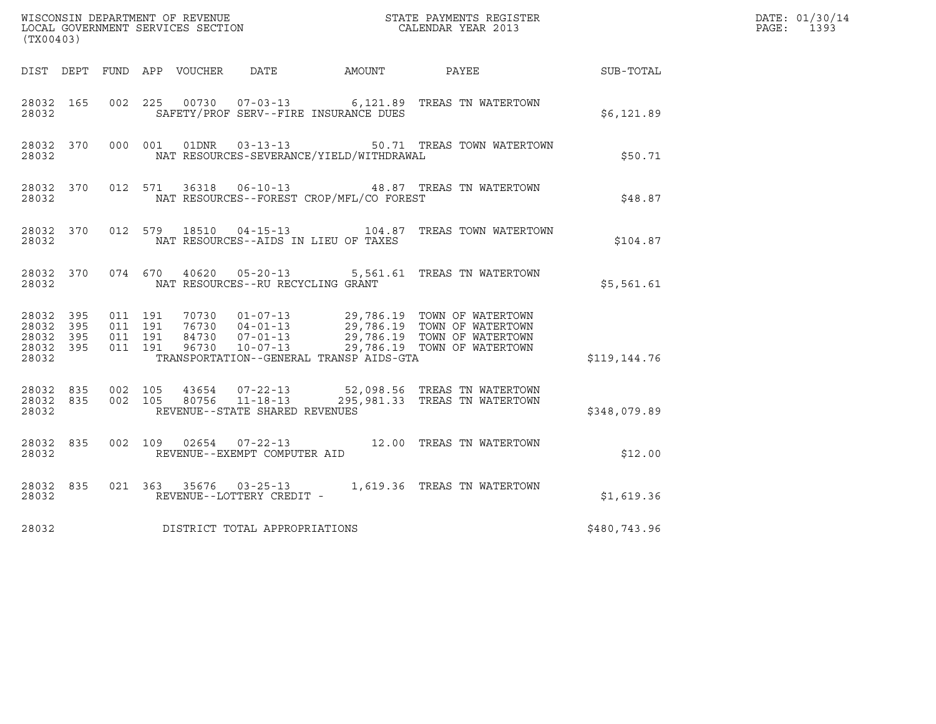| (TX00403)                                             |                        |                                          |         |                |                                                  |                                              | ${\tt WISCOONSIM\ DEPARTMENT\ OF\ REVENUE}\ {\tt NSCONSIN\ DEPARTMENT\ SERVICES\ SECTION}\ {\tt CALENDAR\ YEAR\ 2013}$                                                                           |              | DATE: 01/30/14<br>PAGE:<br>1393 |
|-------------------------------------------------------|------------------------|------------------------------------------|---------|----------------|--------------------------------------------------|----------------------------------------------|--------------------------------------------------------------------------------------------------------------------------------------------------------------------------------------------------|--------------|---------------------------------|
|                                                       |                        |                                          |         |                |                                                  | DIST DEPT FUND APP VOUCHER DATE AMOUNT PAYEE |                                                                                                                                                                                                  | SUB-TOTAL    |                                 |
| 28032 165<br>28032                                    |                        |                                          |         |                |                                                  | SAFETY/PROF SERV--FIRE INSURANCE DUES        | 002 225 00730 07-03-13 6,121.89 TREAS TN WATERTOWN                                                                                                                                               | \$6,121.89   |                                 |
| 28032                                                 | 28032 370              |                                          | 000 001 |                | 01DNR        03-13-13                            | NAT RESOURCES-SEVERANCE/YIELD/WITHDRAWAL     | 50.71 TREAS TOWN WATERTOWN                                                                                                                                                                       | \$50.71      |                                 |
| 28032 370<br>28032                                    |                        |                                          |         | 012 571 36318  |                                                  | NAT RESOURCES--FOREST CROP/MFL/CO FOREST     | 06-10-13 48.87 TREAS TN WATERTOWN                                                                                                                                                                | \$48.87      |                                 |
| 28032                                                 | 28032 370              |                                          |         |                |                                                  | NAT RESOURCES--AIDS IN LIEU OF TAXES         | 012 579 18510 04-15-13 104.87 TREAS TOWN WATERTOWN                                                                                                                                               | \$104.87     |                                 |
| 28032                                                 | 28032 370              |                                          |         |                | NAT RESOURCES--RU RECYCLING GRANT                |                                              | 074 670 40620 05-20-13 5,561.61 TREAS TN WATERTOWN                                                                                                                                               | \$5,561.61   |                                 |
| 28032 395<br>28032 395<br>28032<br>28032 395<br>28032 | 395                    | 011 191<br>011 191<br>011 191<br>011 191 |         |                |                                                  | TRANSPORTATION--GENERAL TRANSP AIDS-GTA      | 70730  01-07-13  29,786.19  TOWN OF WATERTOWN<br>76730  04-01-13  29,786.19  TOWN OF WATERTOWN<br>84730  07-01-13  29,786.19  TOWN OF WATERTOWN<br>96730  10-07-13  29,786.19  TOWN OF WATERTOWN | \$119,144.76 |                                 |
| 28032                                                 | 28032 835<br>28032 835 | 002 105                                  | 002 105 | 43654<br>80756 | $11 - 18 - 13$<br>REVENUE--STATE SHARED REVENUES |                                              | 07-22-13 52,098.56 TREAS TN WATERTOWN<br>295,981.33 TREAS TN WATERTOWN                                                                                                                           | \$348,079.89 |                                 |
| 28032 835<br>28032                                    |                        |                                          | 002 109 | 02654          | REVENUE--EXEMPT COMPUTER AID                     |                                              | 07-22-13 12.00 TREAS TN WATERTOWN                                                                                                                                                                | \$12.00      |                                 |
| 28032 835<br>28032                                    |                        |                                          |         |                | REVENUE--LOTTERY CREDIT -                        |                                              | 021 363 35676 03-25-13 1,619.36 TREAS TN WATERTOWN                                                                                                                                               | \$1,619.36   |                                 |
| 28032                                                 |                        |                                          |         |                | DISTRICT TOTAL APPROPRIATIONS                    |                                              |                                                                                                                                                                                                  | \$480,743.96 |                                 |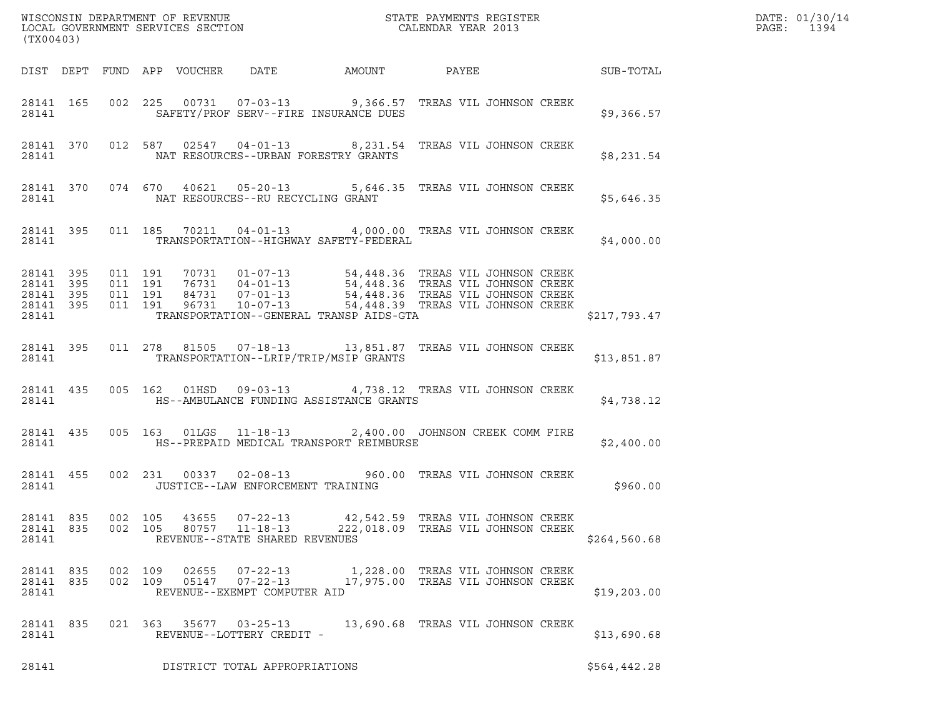| (TX00403)                                                 |                    |                |                                                                    |                                                                                                             |                                    |              | DATE: 01/30/14<br>PAGE:<br>1394 |
|-----------------------------------------------------------|--------------------|----------------|--------------------------------------------------------------------|-------------------------------------------------------------------------------------------------------------|------------------------------------|--------------|---------------------------------|
|                                                           |                    |                |                                                                    |                                                                                                             |                                    |              |                                 |
| 28141                                                     |                    |                |                                                                    | 28141 165 002 225 00731 07-03-13 9,366.57 TREAS VIL JOHNSON CREEK<br>SAFETY/PROF SERV--FIRE INSURANCE DUES  |                                    | \$9,366.57   |                                 |
| 28141                                                     |                    |                |                                                                    | 28141 370 012 587 02547 04-01-13 8,231.54 TREAS VIL JOHNSON CREEK<br>NAT RESOURCES--URBAN FORESTRY GRANTS   |                                    | \$8,231.54   |                                 |
|                                                           | 28141              |                |                                                                    | 28141 370 074 670 40621 05-20-13 5,646.35 TREAS VIL JOHNSON CREEK<br>NAT RESOURCES--RU RECYCLING GRANT      |                                    | \$5,646.35   |                                 |
|                                                           | 28141              |                |                                                                    | 28141 395 011 185 70211 04-01-13 4,000.00 TREAS VIL JOHNSON CREEK<br>TRANSPORTATION--HIGHWAY SAFETY-FEDERAL |                                    | \$4,000.00   |                                 |
| 28141 395<br>28141 395<br>28141 395<br>28141 395<br>28141 |                    |                |                                                                    | TRANSPORTATION--GENERAL TRANSP AIDS-GTA                                                                     |                                    | \$217,793.47 |                                 |
| 28141 395                                                 | 28141              |                |                                                                    | 011  278  81505  07-18-13  13,851.87  TREAS VIL JOHNSON CREEK<br>TRANSPORTATION--LRIP/TRIP/MSIP GRANTS      |                                    | \$13,851.87  |                                 |
| 28141 435<br>28141                                        |                    |                |                                                                    | 005 162 01HSD 09-03-13 4,738.12 TREAS VIL JOHNSON CREEK<br>HS--AMBULANCE FUNDING ASSISTANCE GRANTS          |                                    | \$4,738.12   |                                 |
| 28141 435<br>28141                                        |                    |                |                                                                    | 005 163 01LGS 11-18-13 2,400.00 JOHNSON CREEK COMM FIRE<br>HS--PREPAID MEDICAL TRANSPORT REIMBURSE          |                                    | \$2,400.00   |                                 |
| 28141                                                     |                    |                |                                                                    | 28141 455 002 231 00337 02-08-13 960.00 TREAS VIL JOHNSON CREEK<br>JUSTICE--LAW ENFORCEMENT TRAINING        |                                    | \$960.00     |                                 |
| 28141 835<br>28141 835<br>28141                           | 002 105<br>002 105 | 43655<br>80757 | $07 - 22 - 13$<br>$11 - 18 - 13$<br>REVENUE--STATE SHARED REVENUES | 42,542.59   TREAS VIL JOHNSON CREEK                                                                         | 222,018.09 TREAS VIL JOHNSON CREEK | \$264,560.68 |                                 |
| 28141 835<br>28141 835<br>28141                           | 002 109<br>002 109 |                | 02655 07-22-13<br>REVENUE--EXEMPT COMPUTER AID                     | 05147  07-22-13   17,975.00   TREAS VIL JOHNSON CREEK                                                       | 1,228.00 TREAS VIL JOHNSON CREEK   | \$19,203.00  |                                 |
| 28141 835<br>28141                                        |                    |                | 021 363 35677 03-25-13<br>REVENUE--LOTTERY CREDIT -                | 13,690.68 TREAS VIL JOHNSON CREEK                                                                           |                                    | \$13,690.68  |                                 |
| 28141                                                     |                    |                | DISTRICT TOTAL APPROPRIATIONS                                      |                                                                                                             |                                    | \$564,442.28 |                                 |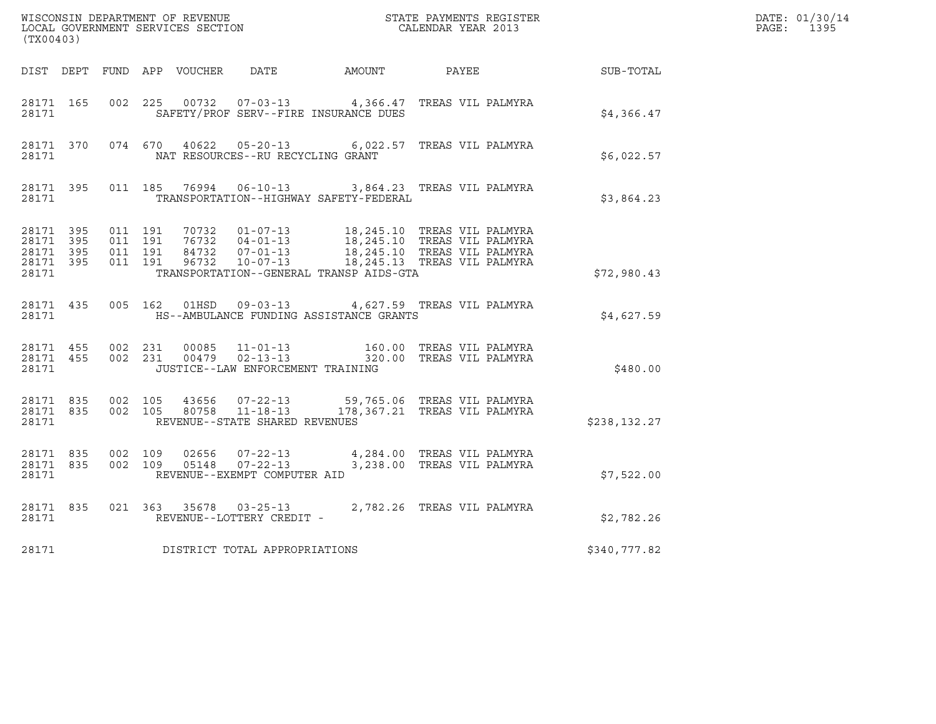| (TX00403)          |  |  |                                   |                                                                                                                                                                                                                                                                                                                                                                     |  |              | DATE: 01/30/14<br>PAGE: 1395 |
|--------------------|--|--|-----------------------------------|---------------------------------------------------------------------------------------------------------------------------------------------------------------------------------------------------------------------------------------------------------------------------------------------------------------------------------------------------------------------|--|--------------|------------------------------|
|                    |  |  |                                   | DIST DEPT FUND APP VOUCHER DATE AMOUNT PAYEE                                                                                                                                                                                                                                                                                                                        |  | SUB-TOTAL    |                              |
| 28171 165<br>28171 |  |  |                                   | 002 225 00732 07-03-13 4,366.47 TREAS VIL PALMYRA<br>SAFETY/PROF SERV--FIRE INSURANCE DUES                                                                                                                                                                                                                                                                          |  | \$4,366.47   |                              |
| 28171              |  |  | NAT RESOURCES--RU RECYCLING GRANT | 28171 370 074 670 40622 05-20-13 6,022.57 TREAS VIL PALMYRA                                                                                                                                                                                                                                                                                                         |  | \$6,022.57   |                              |
| 28171              |  |  |                                   | 28171 395 011 185 76994 06-10-13 3,864.23 TREAS VIL PALMYRA<br>TRANSPORTATION--HIGHWAY SAFETY-FEDERAL                                                                                                                                                                                                                                                               |  | \$3,864.23   |                              |
| 28171              |  |  |                                   | $\begin{array}{cccccccc} 28171 & 395 & 011 & 191 & 70732 & 01-07-13 & & 18,245.10 & \text{TREAS VIL PALMYRA} \\ 28171 & 395 & 011 & 191 & 76732 & 04-01-13 & & 18,245.10 & \text{TREAS VIL PALMYRA} \\ 28171 & 395 & 011 & 191 & 84732 & 07-01-13 & & 18,245.10 & \text{TREAS VIL PALMYRA} \\ 28171 & 395 & 011 & 191 &$<br>TRANSPORTATION--GENERAL TRANSP AIDS-GTA |  | \$72,980.43  |                              |
| 28171              |  |  |                                   | 28171 435 005 162 01HSD 09-03-13 4,627.59 TREAS VIL PALMYRA<br>HS--AMBULANCE FUNDING ASSISTANCE GRANTS                                                                                                                                                                                                                                                              |  | \$4,627.59   |                              |
| 28171              |  |  | JUSTICE--LAW ENFORCEMENT TRAINING | $\begin{array}{cccccccc} 28171 & 455 & 002 & 231 & 00085 & 11-01-13 & & & 160.00 & \text{TREAS VII} & \text{PALMYRA} \\ 28171 & 455 & 002 & 231 & 00479 & 02-13-13 & & & 320.00 & \text{TREAS VII} & \text{PALMYRA} \end{array}$                                                                                                                                    |  | \$480.00     |                              |
| 28171              |  |  | REVENUE--STATE SHARED REVENUES    | $\begin{array}{cccc} 28171 & 835 & 002 & 105 & 43656 & 07-22-13 & 59,765.06 & \text{TREAS VII PALMYRA} \\ 28171 & 835 & 002 & 105 & 80758 & 11-18-13 & 178,367.21 & \text{TREAS VII PALMYRA} \end{array}$                                                                                                                                                           |  | \$238,132.27 |                              |
| 28171              |  |  | REVENUE--EXEMPT COMPUTER AID      | 28171 835 002 109 02656 07-22-13 4,284.00 TREAS VIL PALMYRA<br>28171 835 002 109 05148 07-22-13 3,238.00 TREAS VIL PALMYRA                                                                                                                                                                                                                                          |  | \$7,522.00   |                              |
| 28171              |  |  | REVENUE--LOTTERY CREDIT -         | 28171 835 021 363 35678 03-25-13 2,782.26 TREAS VIL PALMYRA                                                                                                                                                                                                                                                                                                         |  | \$2,782.26   |                              |
| 28171              |  |  | DISTRICT TOTAL APPROPRIATIONS     |                                                                                                                                                                                                                                                                                                                                                                     |  | \$340,777.82 |                              |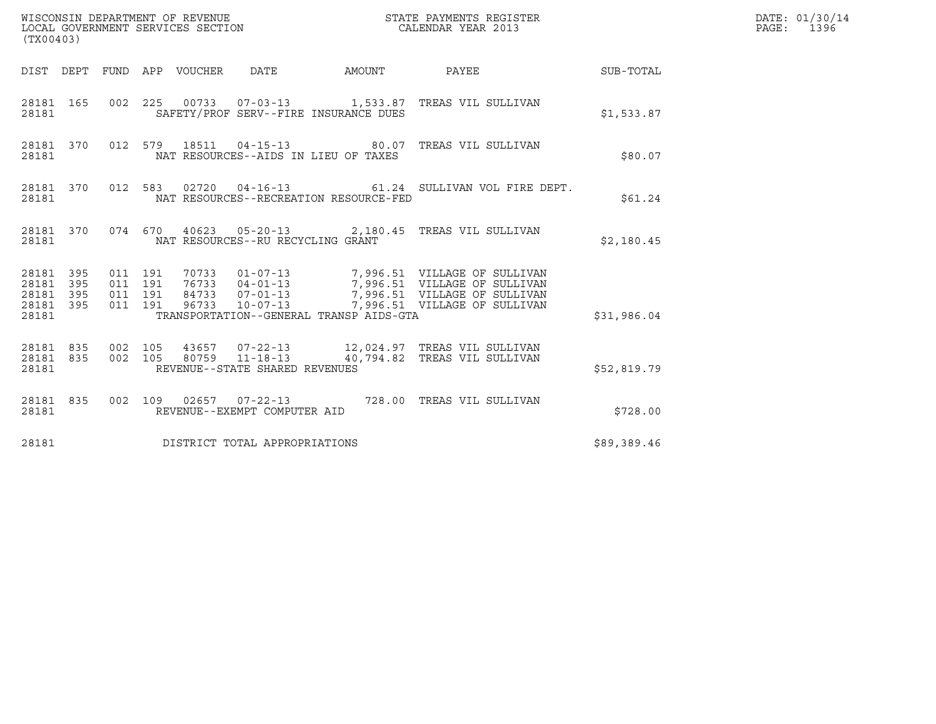| (TX00403)                                         |            |                                          |  |                                                  |                                                                                                                                                                                                      |             | DATE: 01/30/14<br>PAGE: 1396 |
|---------------------------------------------------|------------|------------------------------------------|--|--------------------------------------------------|------------------------------------------------------------------------------------------------------------------------------------------------------------------------------------------------------|-------------|------------------------------|
|                                                   |            |                                          |  | DIST DEPT FUND APP VOUCHER DATE AMOUNT           | PAYEE                                                                                                                                                                                                | SUB-TOTAL   |                              |
| 28181 165<br>28181                                |            |                                          |  | SAFETY/PROF SERV--FIRE INSURANCE DUES            | 002 225 00733 07-03-13 1,533.87 TREAS VIL SULLIVAN                                                                                                                                                   | \$1,533.87  |                              |
| 28181 370<br>28181                                |            |                                          |  | NAT RESOURCES--AIDS IN LIEU OF TAXES             | 012 579 18511 04-15-13 80.07 TREAS VIL SULLIVAN                                                                                                                                                      | \$80.07     |                              |
| 28181 370<br>28181                                |            |                                          |  | NAT RESOURCES--RECREATION RESOURCE-FED           | 012 583 02720 04-16-13 61.24 SULLIVAN VOL FIRE DEPT.                                                                                                                                                 | \$61.24     |                              |
| 28181 370<br>28181                                |            |                                          |  | NAT RESOURCES--RU RECYCLING GRANT                | 074 670 40623 05-20-13 2,180.45 TREAS VIL SULLIVAN                                                                                                                                                   | \$2,180.45  |                              |
| 28181 395<br>28181<br>28181<br>28181 395<br>28181 | 395<br>395 | 011 191<br>011 191<br>011 191<br>011 191 |  | TRANSPORTATION--GENERAL TRANSP AIDS-GTA          | 70733  01-07-13  7,996.51  VILLAGE OF SULLIVAN<br>76733  04-01-13  7,996.51  VILLAGE OF SULLIVAN<br>84733  07-01-13  7,996.51  VILLAGE OF SULLIVAN<br>96733  10-07-13  7,996.51  VILLAGE OF SULLIVAN | \$31,986.04 |                              |
| 28181 835<br>28181 835<br>28181                   |            | 002 105<br>002 105                       |  | 80759 11-18-13<br>REVENUE--STATE SHARED REVENUES | 43657  07-22-13   12,024.97   TREAS VIL SULLIVAN<br>40,794.82 TREAS VIL SULLIVAN                                                                                                                     | \$52,819.79 |                              |
| 28181 835<br>28181                                |            |                                          |  | REVENUE--EXEMPT COMPUTER AID                     | 002 109 02657 07-22-13 728.00 TREAS VIL SULLIVAN                                                                                                                                                     | \$728.00    |                              |
| 28181                                             |            |                                          |  | DISTRICT TOTAL APPROPRIATIONS                    |                                                                                                                                                                                                      | \$89,389.46 |                              |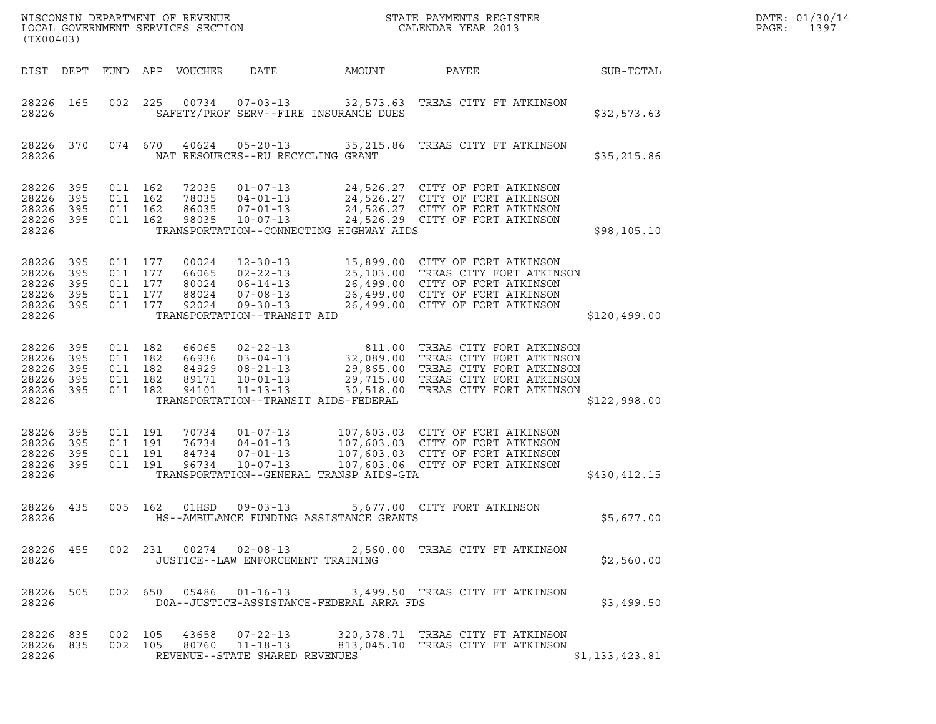| (TX00403)                                          |                                 |                                                     |         | WISCONSIN DEPARTMENT OF REVENUE<br>LOCAL GOVERNMENT SERVICES SECTION |                                                                                                                       |                                          | STATE PAYMENTS REGISTER<br>CALENDAR YEAR 2013                                                                                                                                           |                | DATE: 01/30/14<br>PAGE:<br>1397 |
|----------------------------------------------------|---------------------------------|-----------------------------------------------------|---------|----------------------------------------------------------------------|-----------------------------------------------------------------------------------------------------------------------|------------------------------------------|-----------------------------------------------------------------------------------------------------------------------------------------------------------------------------------------|----------------|---------------------------------|
|                                                    |                                 |                                                     |         | DIST DEPT FUND APP VOUCHER                                           | DATE                                                                                                                  | AMOUNT                                   | PAYEE                                                                                                                                                                                   | SUB-TOTAL      |                                 |
| 28226 165<br>28226                                 |                                 | 002                                                 | 225     | 00734                                                                | $07 - 03 - 13$                                                                                                        | SAFETY/PROF SERV--FIRE INSURANCE DUES    | 32,573.63 TREAS CITY FT ATKINSON                                                                                                                                                        | \$32,573.63    |                                 |
| 28226 370<br>28226                                 |                                 |                                                     | 074 670 | 40624                                                                | NAT RESOURCES--RU RECYCLING GRANT                                                                                     | $05 - 20 - 13$ 35, 215.86                | TREAS CITY FT ATKINSON                                                                                                                                                                  | \$35, 215.86   |                                 |
| 28226<br>28226<br>28226<br>28226<br>28226          | 395<br>395<br>395<br>395        | 011 162<br>011 162<br>011 162<br>011 162            |         | 72035<br>78035<br>86035<br>98035                                     | $01 - 07 - 13$<br>$04 - 01 - 13$<br>$07 - 01 - 13$<br>$10 - 07 - 13$                                                  | TRANSPORTATION--CONNECTING HIGHWAY AIDS  | 24,526.27 CITY OF FORT ATKINSON<br>24,526.27 CITY OF FORT ATKINSON<br>24,526.27 CITY OF FORT ATKINSON<br>24,526.29 CITY OF FORT ATKINSON                                                | \$98,105.10    |                                 |
| 28226<br>28226<br>28226<br>28226<br>28226<br>28226 | 395<br>395<br>395<br>395<br>395 | 011 177<br>011 177<br>011 177<br>011 177<br>011 177 |         | 00024<br>66065<br>80024<br>88024<br>92024                            | $12 - 30 - 13$<br>$02 - 22 - 13$<br>$06 - 14 - 13$<br>$07 - 08 - 13$<br>$09 - 30 - 13$<br>TRANSPORTATION--TRANSIT AID |                                          | 15,899.00 CITY OF FORT ATKINSON<br>25,103.00 TREAS CITY FORT ATKINSON<br>26,499.00 CITY OF FORT ATKINSON<br>26,499.00 CITY OF FORT ATKINSON<br>26,499.00 CITY OF FORT ATKINSON          | \$120,499.00   |                                 |
| 28226<br>28226<br>28226<br>28226<br>28226<br>28226 | 395<br>395<br>395<br>395<br>395 | 011 182<br>011 182<br>011 182<br>011 182<br>011 182 |         | 66065<br>66936<br>84929<br>89171<br>94101                            | $02 - 22 - 13$<br>$03 - 04 - 13$<br>$08 - 21 - 13$<br>$10 - 01 - 13$<br>$11 - 13 - 13$                                | TRANSPORTATION--TRANSIT AIDS-FEDERAL     | 811.00 TREAS CITY FORT ATKINSON<br>32,089.00 TREAS CITY FORT ATKINSON<br>29,865.00 TREAS CITY FORT ATKINSON<br>29,715.00 TREAS CITY FORT ATKINSON<br>30,518.00 TREAS CITY FORT ATKINSON | \$122,998.00   |                                 |
| 28226<br>28226<br>28226<br>28226<br>28226          | 395<br>395<br>395<br>395        | 011 191<br>011 191<br>011<br>011 191                | 191     | 70734<br>76734<br>84734<br>96734                                     | $01 - 07 - 13$<br>$04 - 01 - 13$<br>$07 - 01 - 13$<br>$10 - 07 - 13$                                                  | TRANSPORTATION--GENERAL TRANSP AIDS-GTA  | 107,603.03 CITY OF FORT ATKINSON<br>107,603.03 CITY OF FORT ATKINSON<br>107,603.03 CITY OF FORT ATKINSON<br>107,603.06 CITY OF FORT ATKINSON                                            | \$430,412.15   |                                 |
| 28226 435<br>28226                                 |                                 | 005 162                                             |         | 01HSD                                                                | $09 - 03 - 13$                                                                                                        | HS--AMBULANCE FUNDING ASSISTANCE GRANTS  | 5,677.00 CITY FORT ATKINSON                                                                                                                                                             | \$5,677.00     |                                 |
| 28226                                              |                                 |                                                     |         |                                                                      | JUSTICE--LAW ENFORCEMENT TRAINING                                                                                     |                                          | 28226 455 002 231 00274 02-08-13 2,560.00 TREAS CITY FT ATKINSON                                                                                                                        | \$2,560.00     |                                 |
| 28226                                              |                                 |                                                     |         |                                                                      |                                                                                                                       | DOA--JUSTICE-ASSISTANCE-FEDERAL ARRA FDS | 28226 505 002 650 05486 01-16-13 3,499.50 TREAS CITY FT ATKINSON                                                                                                                        | \$3,499.50     |                                 |
| 28226 835<br>28226                                 |                                 | 28226 835 002 105<br>002 105                        |         |                                                                      | REVENUE--STATE SHARED REVENUES                                                                                        |                                          | 43658  07-22-13  320,378.71  TREAS CITY FT ATKINSON<br>80760  11-18-13  813,045.10  TREAS CITY FT ATKINSON                                                                              | \$1,133,423.81 |                                 |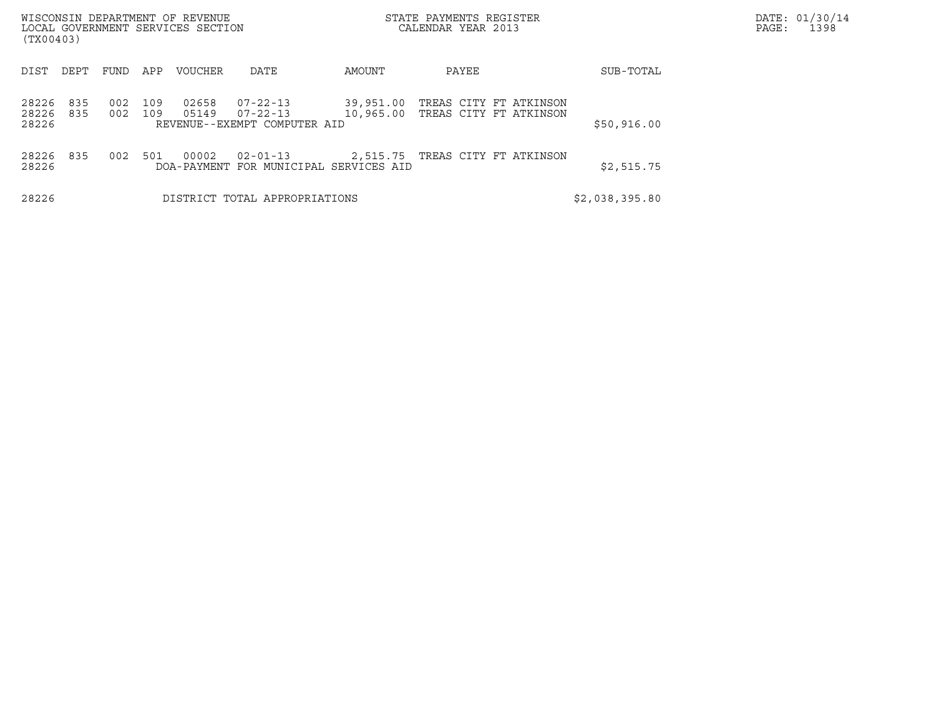| WISCONSIN DEPARTMENT OF REVENUE<br>LOCAL GOVERNMENT SERVICES SECTION<br>(TX00403) |            |            |                      |                                                                  |                        | STATE PAYMENTS REGISTER<br>CALENDAR YEAR 2013 | DATE: 01/30/14<br>1398<br>PAGE:                  |                |  |
|-----------------------------------------------------------------------------------|------------|------------|----------------------|------------------------------------------------------------------|------------------------|-----------------------------------------------|--------------------------------------------------|----------------|--|
| DIST<br>DEPT                                                                      | FUND       | APP        | <b>VOUCHER</b>       | DATE                                                             | AMOUNT                 | PAYEE                                         |                                                  | SUB-TOTAL      |  |
| 835<br>28226<br>28226<br>835<br>28226                                             | 002<br>002 | 109<br>109 | 02658<br>05149       | $07 - 22 - 13$<br>$07 - 22 - 13$<br>REVENUE--EXEMPT COMPUTER AID | 39,951.00<br>10,965.00 |                                               | TREAS CITY FT ATKINSON<br>TREAS CITY FT ATKINSON | \$50,916.00    |  |
| 835<br>28226<br>28226                                                             | 002        | 501        | 00002<br>DOA-PAYMENT | $02 - 01 - 13$<br>FOR MUNICIPAL SERVICES AID                     | 2,515.75               |                                               | TREAS CITY FT ATKINSON                           | \$2,515.75     |  |
| 28226                                                                             |            |            |                      | DISTRICT TOTAL APPROPRIATIONS                                    |                        |                                               |                                                  | \$2,038,395.80 |  |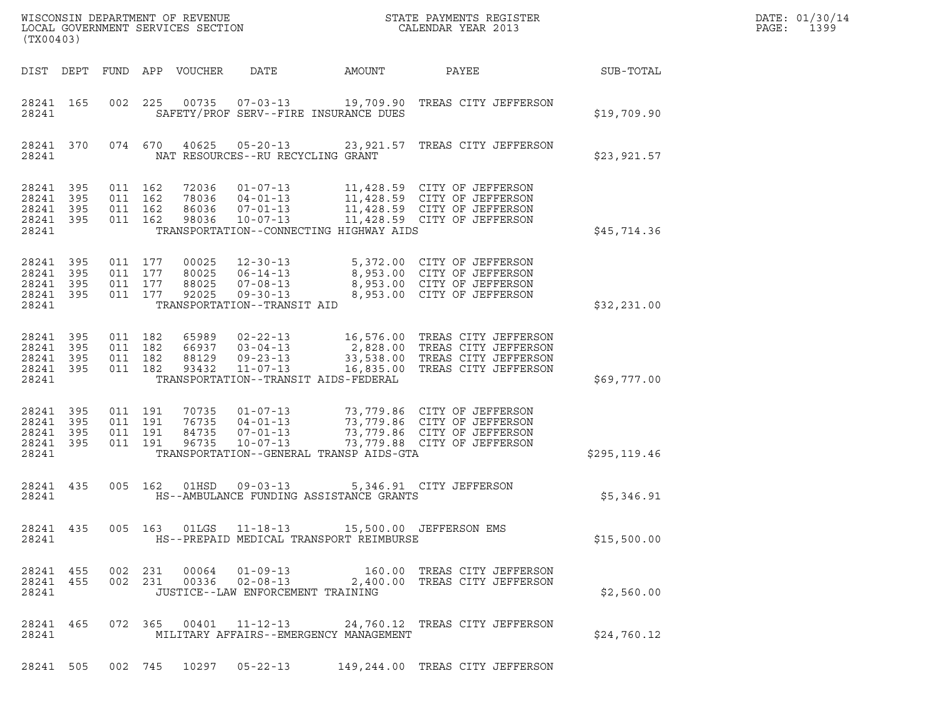| (TX00403)                                 |                          |                               | WISCONSIN DEPARTMENT OF REVENUE<br>LOCAL GOVERNMENT SERVICES SECTION |                                                                                                     |                                                                                                | STATE PAYMENTS REGISTER<br>CALENDAR YEAR 2013                                                                             |               | DATE: 01/30/14<br>PAGE:<br>1399 |
|-------------------------------------------|--------------------------|-------------------------------|----------------------------------------------------------------------|-----------------------------------------------------------------------------------------------------|------------------------------------------------------------------------------------------------|---------------------------------------------------------------------------------------------------------------------------|---------------|---------------------------------|
| DIST DEPT                                 |                          |                               | FUND APP VOUCHER                                                     | DATE                                                                                                | AMOUNT                                                                                         | PAYEE                                                                                                                     | SUB-TOTAL     |                                 |
| 28241 165<br>28241                        |                          | 002                           | 225                                                                  | 00735 07-03-13                                                                                      | SAFETY/PROF SERV--FIRE INSURANCE DUES                                                          | 19,709.90 TREAS CITY JEFFERSON                                                                                            | \$19,709.90   |                                 |
| 28241 370<br>28241                        |                          |                               | 074 670<br>40625                                                     | $05 - 20 - 13$<br>NAT RESOURCES--RU RECYCLING GRANT                                                 |                                                                                                | 23,921.57 TREAS CITY JEFFERSON                                                                                            | \$23,921.57   |                                 |
| 28241<br>28241<br>28241<br>28241<br>28241 | 395<br>395<br>395<br>395 | 011 162<br>011 162<br>011 162 | 72036<br>78036<br>86036<br>011 162<br>98036                          | $01 - 07 - 13$<br>$04 - 01 - 13$<br>$07 - 01 - 13$<br>$10 - 07 - 13$                                | TRANSPORTATION--CONNECTING HIGHWAY AIDS                                                        | 11,428.59 CITY OF JEFFERSON<br>11,428.59 CITY OF JEFFERSON<br>11,428.59 CITY OF JEFFERSON<br>11,428.59 CITY OF JEFFERSON  | \$45,714.36   |                                 |
| 28241<br>28241<br>28241<br>28241<br>28241 | 395<br>395<br>395<br>395 | 011 177<br>011 177            | 011 177<br>00025<br>80025<br>88025<br>011 177<br>92025               | $12 - 30 - 13$<br>$06 - 14 - 13$<br>$07 - 08 - 13$<br>$09 - 30 - 13$<br>TRANSPORTATION--TRANSIT AID |                                                                                                | 5,372.00 CITY OF JEFFERSON<br>8,953.00 CITY OF JEFFERSON<br>8,953.00 CITY OF JEFFERSON<br>8,953.00 CITY OF JEFFERSON      | \$32,231.00   |                                 |
| 28241<br>28241<br>28241<br>28241<br>28241 | 395<br>395<br>395<br>395 | 011 182<br>011 182<br>011 182 | 65989<br>66937<br>88129<br>011 182<br>93432                          | $02 - 22 - 13$<br>$03 - 04 - 13$<br>$09 - 23 - 13$<br>11-07-13                                      | 16,835.00<br>TRANSPORTATION--TRANSIT AIDS-FEDERAL                                              | 16,576.00 TREAS CITY JEFFERSON<br>2,828.00 TREAS CITY JEFFERSON<br>33,538.00 TREAS CITY JEFFERSON<br>TREAS CITY JEFFERSON | \$69,777.00   |                                 |
| 28241<br>28241<br>28241<br>28241<br>28241 | 395<br>395<br>395<br>395 | 011 191<br>011 191<br>011 191 | 70735<br>76735<br>84735<br>011 191<br>96735                          | 01-07-13<br>$04 - 01 - 13$<br>$07 - 01 - 13$<br>$10 - 07 - 13$                                      | TRANSPORTATION--GENERAL TRANSP AIDS-GTA                                                        | 73,779.86 CITY OF JEFFERSON<br>73,779.86 CITY OF JEFFERSON<br>73,779.86 CITY OF JEFFERSON<br>73,779.88 CITY OF JEFFERSON  | \$295, 119.46 |                                 |
| 28241 435<br>28241                        |                          |                               | 005 162<br>01HSD                                                     | 09-03-13                                                                                            | HS--AMBULANCE FUNDING ASSISTANCE GRANTS                                                        | 5,346.91 CITY JEFFERSON                                                                                                   | \$5,346.91    |                                 |
| 28241 435<br>28241                        |                          |                               |                                                                      |                                                                                                     | 005  163  01LGS  11-18-13  15,500.00  JEFFERSON EMS<br>HS--PREPAID MEDICAL TRANSPORT REIMBURSE |                                                                                                                           | \$15,500.00   |                                 |
| 28241 455<br>28241 455<br>28241           |                          |                               | 002 231<br>002 231                                                   | 00064 01-09-13<br>JUSTICE--LAW ENFORCEMENT TRAINING                                                 |                                                                                                | 160.00 TREAS CITY JEFFERSON<br>00336 02-08-13 2,400.00 TREAS CITY JEFFERSON                                               | \$2,560.00    |                                 |
| 28241 465<br>28241                        |                          |                               |                                                                      |                                                                                                     | MILITARY AFFAIRS--EMERGENCY MANAGEMENT                                                         | 072  365  00401  11-12-13  24,760.12  TREAS CITY JEFFERSON                                                                | \$24,760.12   |                                 |
| 28241 505                                 |                          |                               |                                                                      |                                                                                                     |                                                                                                | 002 745 10297 05-22-13 149,244.00 TREAS CITY JEFFERSON                                                                    |               |                                 |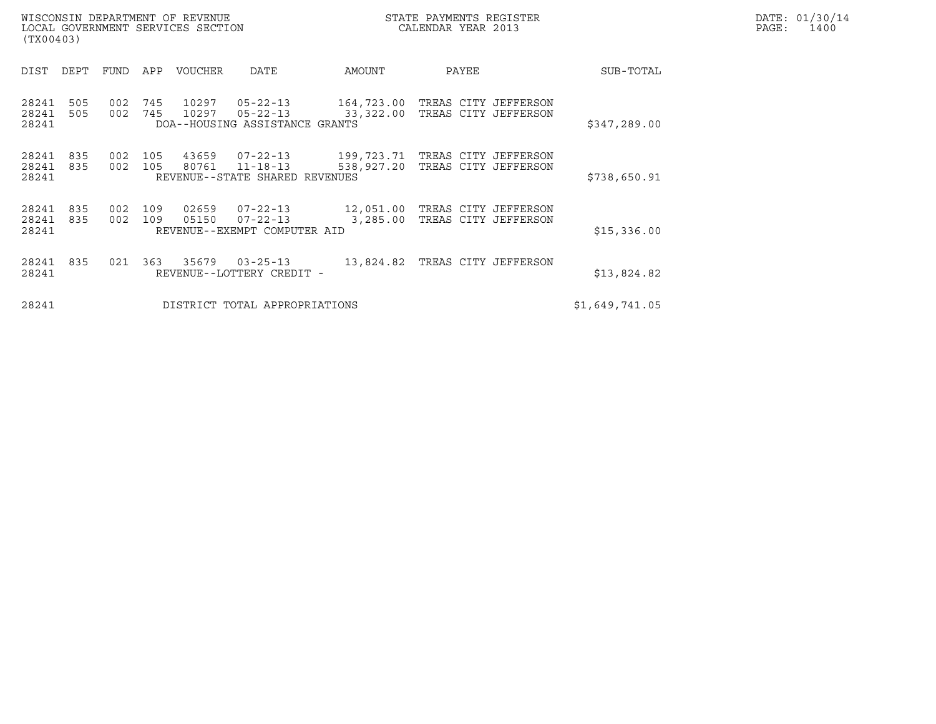| (TX00403)                             | WISCONSIN DEPARTMENT OF REVENUE<br>LOCAL GOVERNMENT SERVICES SECTION |                                                                        | STATE PAYMENTS REGISTER<br>CALENDAR YEAR 2013                      |                | DATE: 01/30/14<br>$\mathtt{PAGE}$ :<br>1400 |
|---------------------------------------|----------------------------------------------------------------------|------------------------------------------------------------------------|--------------------------------------------------------------------|----------------|---------------------------------------------|
| DIST<br>DEPT                          | FUND<br>APP<br>VOUCHER                                               | <b>DATE</b><br>AMOUNT                                                  | PAYEE                                                              | SUB-TOTAL      |                                             |
| 28241<br>505<br>28241<br>505<br>28241 | 002<br>745<br>10297<br>002<br>745<br>10297                           | $05 - 22 - 13$<br>$05 - 22 - 13$<br>DOA--HOUSING ASSISTANCE GRANTS     | 164,723.00 TREAS CITY JEFFERSON<br>33,322.00 TREAS CITY JEFFERSON  | \$347,289.00   |                                             |
| 835<br>28241<br>28241<br>835<br>28241 | 002<br>105<br>43659<br>80761<br>002<br>105                           | $07 - 22 - 13$<br>$11 - 18 - 13$<br>REVENUE--STATE SHARED REVENUES     | 199,723.71 TREAS CITY JEFFERSON<br>538,927.20 TREAS CITY JEFFERSON | \$738,650.91   |                                             |
| 28241<br>835<br>28241<br>835<br>28241 | 002<br>109<br>02659<br>002<br>109<br>05150                           | 07-22-13<br>$07 - 22 - 13$<br>3,285.00<br>REVENUE--EXEMPT COMPUTER AID | 12,051.00 TREAS CITY JEFFERSON<br>TREAS CITY JEFFERSON             | \$15,336.00    |                                             |
| 28241<br>835<br>28241                 | 35679<br>021<br>363                                                  | $03 - 25 - 13$<br>REVENUE--LOTTERY CREDIT -                            | 13,824.82 TREAS CITY JEFFERSON                                     | \$13,824.82    |                                             |
| 28241                                 |                                                                      | DISTRICT TOTAL APPROPRIATIONS                                          |                                                                    | \$1,649,741.05 |                                             |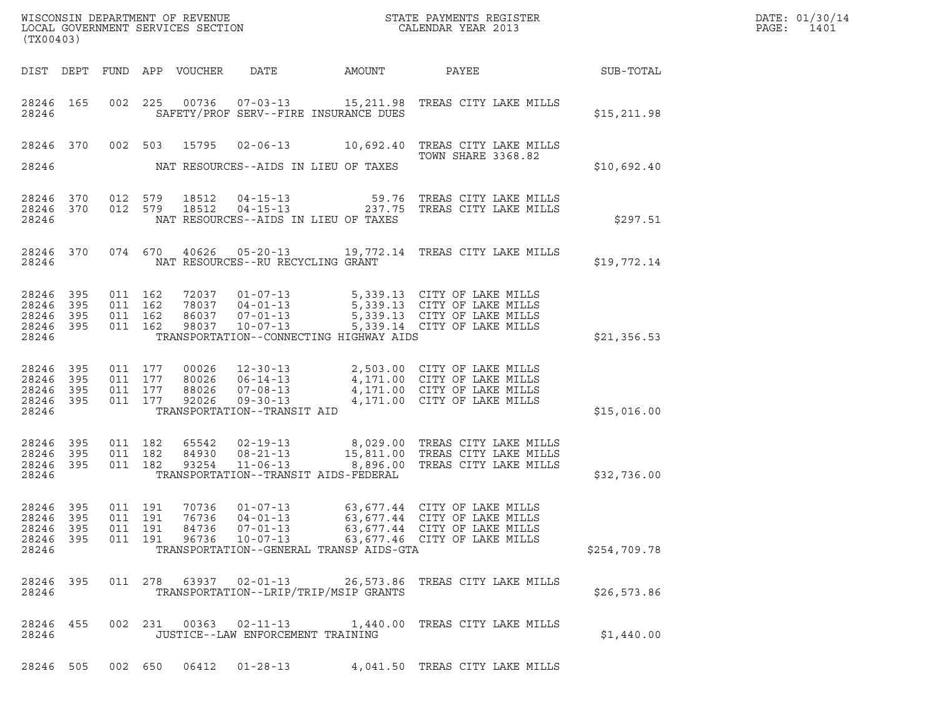|                | (TX00403)                                        |                                          |                                  |                                                                      |                                         |                                                                                                                                                                 |              | DATE: 01/30/14<br>PAGE:<br>1401 |
|----------------|--------------------------------------------------|------------------------------------------|----------------------------------|----------------------------------------------------------------------|-----------------------------------------|-----------------------------------------------------------------------------------------------------------------------------------------------------------------|--------------|---------------------------------|
|                |                                                  |                                          | DIST DEPT FUND APP VOUCHER       | DATE                                                                 | AMOUNT                                  | PAYEE SUB-TOTAL                                                                                                                                                 |              |                                 |
| 28246          | 28246 165                                        |                                          |                                  |                                                                      | SAFETY/PROF SERV--FIRE INSURANCE DUES   | 002 225 00736 07-03-13 15,211.98 TREAS CITY LAKE MILLS                                                                                                          | \$15,211.98  |                                 |
| 28246          |                                                  |                                          |                                  |                                                                      | NAT RESOURCES--AIDS IN LIEU OF TAXES    | 28246 370 002 503 15795 02-06-13 10,692.40 TREAS CITY LAKE MILLS<br><b>TOWN SHARE 3368.82</b>                                                                   | \$10,692.40  |                                 |
| 28246          | 28246 370<br>28246 370                           |                                          | 012 579 18512<br>012 579 18512   | NAT RESOURCES--AIDS IN LIEU OF TAXES                                 |                                         | 04-15-13 59.76 TREAS CITY LAKE MILLS<br>04-15-13 237.75 TREAS CITY LAKE MILLS                                                                                   | \$297.51     |                                 |
| 28246          | 28246 370                                        |                                          | 074 670 40626                    | NAT RESOURCES--RU RECYCLING GRANT                                    |                                         | 05-20-13 19,772.14 TREAS CITY LAKE MILLS                                                                                                                        | \$19,772.14  |                                 |
| 28246<br>28246 | 28246 395<br>395<br>28246 395<br>28246 395       | 011 162<br>011 162<br>011 162<br>011 162 | 72037<br>78037<br>86037<br>98037 | $01 - 07 - 13$                                                       | TRANSPORTATION--CONNECTING HIGHWAY AIDS | 5,339.13 CITY OF LAKE MILLS<br>04-01-13<br>07-01-13 5,339.13 CITY OF LAKE MILLS<br>07-01-13 5,339.13 CITY OF LAKE MILLS<br>10-07-13 5,339.14 CITY OF LAKE MILLS | \$21,356.53  |                                 |
| 28246          | 28246 395<br>28246 395<br>28246 395<br>28246 395 | 011 177<br>011 177<br>011 177<br>011 177 | 00026<br>80026<br>88026<br>92026 | TRANSPORTATION--TRANSIT AID                                          |                                         | 12-30-13 2,503.00 CITY OF LAKE MILLS<br>06-14-13 4,171.00 CITY OF LAKE MILLS<br>07-08-13 4,171.00 CITY OF LAKE MILLS<br>09-30-13 4,171.00 CITY OF LAKE MILLS    | \$15,016.00  |                                 |
| 28246<br>28246 | 28246 395<br>395<br>28246 395                    | 011 182<br>011 182<br>011 182            | 65542<br>84930<br>93254          | TRANSPORTATION--TRANSIT AIDS-FEDERAL                                 |                                         |                                                                                                                                                                 | \$32,736.00  |                                 |
| 28246          | 28246 395<br>28246 395<br>28246 395<br>28246 395 | 011 191<br>011 191<br>011 191<br>011 191 | 70736<br>76736<br>84736<br>96736 | $01 - 07 - 13$<br>$04 - 01 - 13$<br>$07 - 01 - 13$<br>$10 - 07 - 13$ | TRANSPORTATION--GENERAL TRANSP AIDS-GTA | 63, 677.44 CITY OF LAKE MILLS<br>63,677.44 CITY OF LAKE MILLS<br>63,677.44 CITY OF LAKE MILLS<br>63,677.46 CITY OF LAKE MILLS                                   | \$254,709.78 |                                 |
| 28246          | 28246 395                                        |                                          |                                  |                                                                      | TRANSPORTATION--LRIP/TRIP/MSIP GRANTS   | 011 278 63937 02-01-13 26,573.86 TREAS CITY LAKE MILLS                                                                                                          | \$26,573.86  |                                 |
| 28246          | 28246 455                                        |                                          |                                  | JUSTICE--LAW ENFORCEMENT TRAINING                                    |                                         | 002 231 00363 02-11-13 1,440.00 TREAS CITY LAKE MILLS                                                                                                           | \$1,440.00   |                                 |
|                | 28246 505                                        |                                          | 002 650 06412                    | $01 - 28 - 13$                                                       |                                         | 4,041.50 TREAS CITY LAKE MILLS                                                                                                                                  |              |                                 |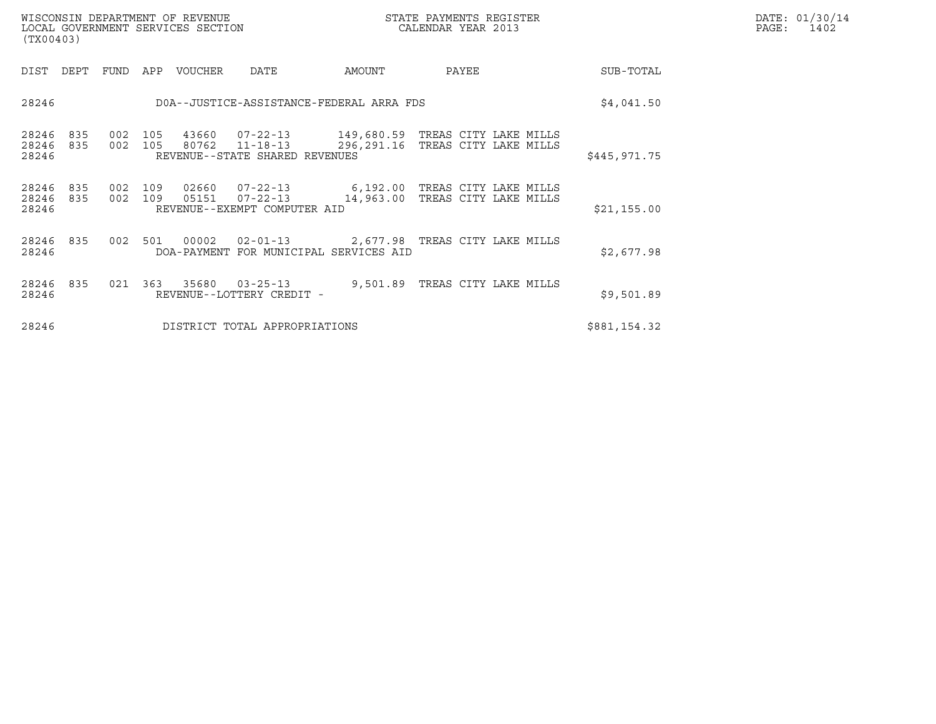| WISCONSIN DEPARTMENT OF REVENUE   | STATE PAYMENTS REGISTER | DATE: 01/30/14 |
|-----------------------------------|-------------------------|----------------|
| LOCAL GOVERNMENT SERVICES SECTION | CALENDAR YEAR 2013      | PAGE :<br>1402 |

| WISCONSIN DEPARTMENT OF REVENUE<br>LOCAL GOVERNMENT SERVICES SECTION<br>(TX00403) |            |            |                |                |                                                                                            |                       | STATE PAYMENTS REGISTER<br>CALENDAR YEAR 2013  | DATE: 01/30/14<br>PAGE: 1402 |  |
|-----------------------------------------------------------------------------------|------------|------------|----------------|----------------|--------------------------------------------------------------------------------------------|-----------------------|------------------------------------------------|------------------------------|--|
| DIST                                                                              | DEPT       | FUND       | APP            | VOUCHER        | DATE                                                                                       | AMOUNT                | PAYEE                                          | SUB-TOTAL                    |  |
| 28246                                                                             |            |            |                |                | DOA--JUSTICE-ASSISTANCE-FEDERAL ARRA FDS                                                   |                       |                                                | \$4,041.50                   |  |
| 28246<br>28246<br>28246                                                           | 835<br>835 | 002        | 105<br>002 105 |                | 43660  07-22-13  149,680.59<br>80762 11-18-13 296,291.16<br>REVENUE--STATE SHARED REVENUES |                       | TREAS CITY LAKE MILLS<br>TREAS CITY LAKE MILLS | \$445,971.75                 |  |
| 28246<br>28246<br>28246                                                           | 835<br>835 | 002<br>002 | 109<br>109     | 02660<br>05151 | $07 - 22 - 13$<br>$07 - 22 - 13$<br>REVENUE--EXEMPT COMPUTER AID                           | 6,192.00<br>14,963.00 | TREAS CITY LAKE MILLS<br>TREAS CITY LAKE MILLS | \$21,155.00                  |  |
| 28246 835<br>28246                                                                |            |            |                | 002 501 00002  | $02 - 01 - 13$<br>DOA-PAYMENT FOR MUNICIPAL SERVICES AID                                   |                       | 2,677.98 TREAS CITY LAKE MILLS                 | \$2,677.98                   |  |
| 28246<br>28246                                                                    | 835        | 021        | 363            | 35680          | $03 - 25 - 13$<br>REVENUE--LOTTERY CREDIT -                                                |                       | 9,501.89 TREAS CITY LAKE MILLS                 | \$9,501.89                   |  |
| 28246                                                                             |            |            |                |                | DISTRICT TOTAL APPROPRIATIONS                                                              |                       |                                                | \$881,154.32                 |  |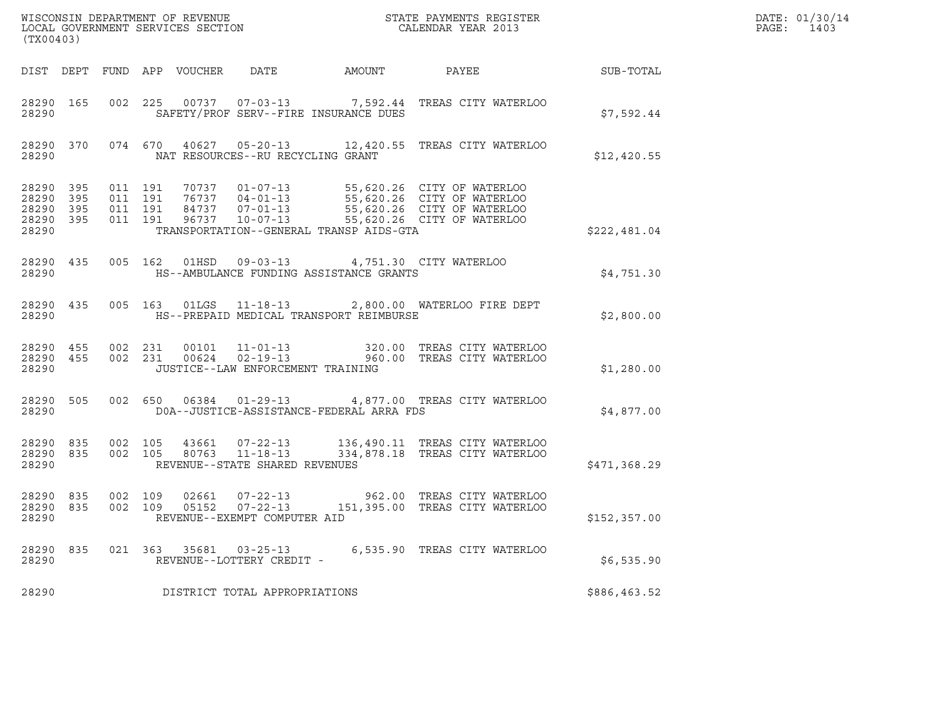| (TX00403)                        |                   |  |                                  |  |                                                     |                                          |                                                                                                                                                                                                                            |              | DATE: 01/30/14<br>PAGE: 1403 |
|----------------------------------|-------------------|--|----------------------------------|--|-----------------------------------------------------|------------------------------------------|----------------------------------------------------------------------------------------------------------------------------------------------------------------------------------------------------------------------------|--------------|------------------------------|
|                                  |                   |  | DIST DEPT FUND APP VOUCHER  DATE |  |                                                     | AMOUNT PAYEE                             |                                                                                                                                                                                                                            | SUB-TOTAL    |                              |
| 28290                            |                   |  |                                  |  |                                                     | SAFETY/PROF SERV--FIRE INSURANCE DUES    | 28290 165 002 225 00737 07-03-13 7,592.44 TREAS CITY WATERLOO                                                                                                                                                              | \$7,592.44   |                              |
| 28290                            |                   |  |                                  |  | NAT RESOURCES--RU RECYCLING GRANT                   |                                          | 28290 370 074 670 40627 05-20-13 12,420.55 TREAS CITY WATERLOO                                                                                                                                                             | \$12,420.55  |                              |
| 28290<br>28290<br>28290<br>28290 | 395<br>395<br>395 |  |                                  |  |                                                     | TRANSPORTATION--GENERAL TRANSP AIDS-GTA  | 28290 395 011 191 70737 01-07-13 55,620.26 CITY OF WATERLOO<br>011 191 76737 04-01-13 55,620.26 CITY OF WATERLOO<br>011 191 84737 07-01-13 55,620.26 CITY OF WATERLOO<br>011 191 96737 10-07-13 55,620.26 CITY OF WATERLOO | \$222,481.04 |                              |
| 28290                            |                   |  |                                  |  |                                                     | HS--AMBULANCE FUNDING ASSISTANCE GRANTS  | 28290 435 005 162 01HSD 09-03-13 4,751.30 CITY WATERLOO                                                                                                                                                                    | \$4,751.30   |                              |
| 28290                            |                   |  |                                  |  |                                                     | HS--PREPAID MEDICAL TRANSPORT REIMBURSE  | 28290 435 005 163 01LGS 11-18-13 2,800.00 WATERLOO FIRE DEPT                                                                                                                                                               | \$2,800.00   |                              |
| 28290 455<br>28290 455<br>28290  |                   |  |                                  |  | JUSTICE--LAW ENFORCEMENT TRAINING                   |                                          | 002 231 00101 11-01-13 320.00 TREAS CITY WATERLOO<br>002 231 00624 02-19-13 960.00 TREAS CITY WATERLOO                                                                                                                     | \$1,280.00   |                              |
| 28290                            |                   |  |                                  |  |                                                     | DOA--JUSTICE-ASSISTANCE-FEDERAL ARRA FDS | 28290 505 002 650 06384 01-29-13 4,877.00 TREAS CITY WATERLOO                                                                                                                                                              | \$4,877.00   |                              |
| 28290                            |                   |  |                                  |  | REVENUE--STATE SHARED REVENUES                      |                                          | 28290 835 002 105 43661 07-22-13 136,490.11 TREAS CITY WATERLOO<br>28290 835 002 105 80763 11-18-13 334,878.18 TREAS CITY WATERLOO                                                                                         | \$471,368.29 |                              |
| 28290 835<br>28290 835<br>28290  |                   |  |                                  |  | REVENUE--EXEMPT COMPUTER AID                        |                                          | 002 109 02661 07-22-13 962.00 TREAS CITY WATERLOO<br>002 109 05152 07-22-13 151,395.00 TREAS CITY WATERLOO                                                                                                                 | \$152,357.00 |                              |
| 28290 835<br>28290               |                   |  |                                  |  | 021 363 35681 03-25-13<br>REVENUE--LOTTERY CREDIT - |                                          | 6,535.90 TREAS CITY WATERLOO                                                                                                                                                                                               | \$6,535.90   |                              |
| 28290                            |                   |  |                                  |  | DISTRICT TOTAL APPROPRIATIONS                       |                                          |                                                                                                                                                                                                                            | \$886,463.52 |                              |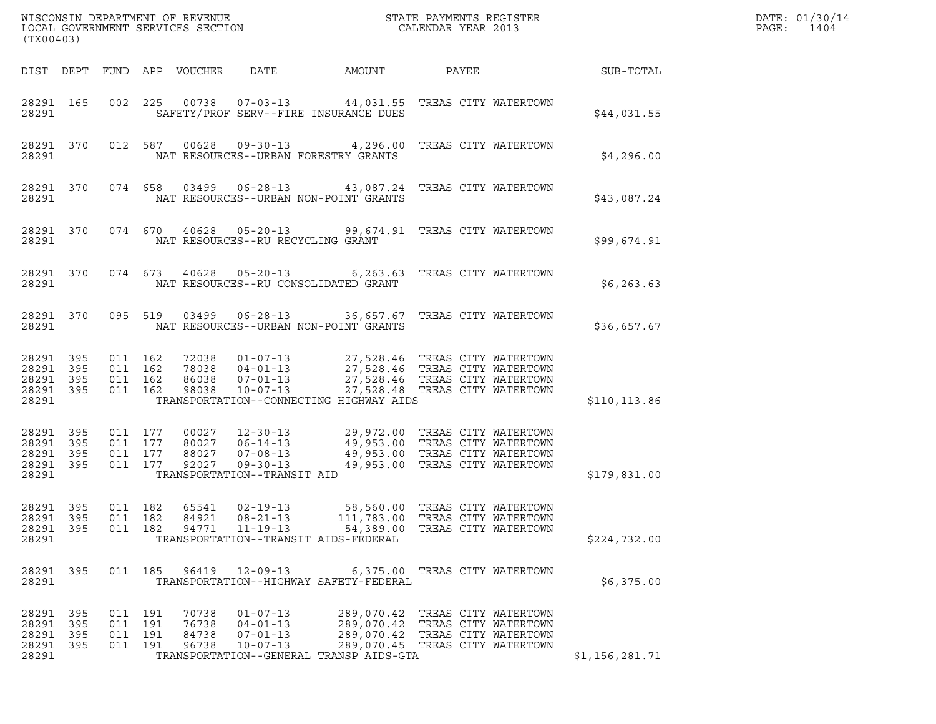| (TX00403)                                             |                       |                                          |         |                                  |                                                                      | WISCONSIN DEPARTMENT OF REVENUE<br>LOCAL GOVERNMENT SERVICES SECTION                                                                           | STATE PAYMENTS REGISTER<br>CALENDAR YEAR 2013                                                         |                | DATE: 01/30/14<br>PAGE:<br>1404 |
|-------------------------------------------------------|-----------------------|------------------------------------------|---------|----------------------------------|----------------------------------------------------------------------|------------------------------------------------------------------------------------------------------------------------------------------------|-------------------------------------------------------------------------------------------------------|----------------|---------------------------------|
|                                                       |                       |                                          |         | DIST DEPT FUND APP VOUCHER       | DATE                                                                 | AMOUNT                                                                                                                                         | PAYEE                                                                                                 | SUB-TOTAL      |                                 |
| 28291 165<br>28291                                    |                       |                                          | 002 225 |                                  |                                                                      | 00738  07-03-13  44,031.55  TREAS CITY WATERTOWN<br>SAFETY/PROF SERV--FIRE INSURANCE DUES                                                      |                                                                                                       | \$44,031.55    |                                 |
| 28291                                                 | 28291 370             |                                          | 012 587 |                                  |                                                                      | 00628  09-30-13  4,296.00 TREAS CITY WATERTOWN<br>NAT RESOURCES--URBAN FORESTRY GRANTS                                                         |                                                                                                       | \$4,296.00     |                                 |
| 28291                                                 | 28291 370             |                                          | 074 658 |                                  |                                                                      | 03499   06-28-13   43,087.24   TREAS CITY WATERTOWN<br>NAT RESOURCES--URBAN NON-POINT GRANTS                                                   |                                                                                                       | \$43,087.24    |                                 |
| 28291                                                 | 28291 370             |                                          | 074 670 |                                  |                                                                      | 40628  05-20-13  99,674.91  TREAS CITY WATERTOWN<br>NAT RESOURCES--RU RECYCLING GRANT                                                          |                                                                                                       | \$99,674.91    |                                 |
| 28291                                                 | 28291 370             |                                          | 074 673 |                                  |                                                                      | 40628  05-20-13  6,263.63  TREAS CITY WATERTOWN<br>NAT RESOURCES--RU CONSOLIDATED GRANT                                                        |                                                                                                       | \$6, 263.63    |                                 |
| 28291                                                 | 28291 370             |                                          | 095 519 |                                  |                                                                      | 03499   06-28-13   36,657.67   TREAS CITY WATERTOWN<br>NAT RESOURCES--URBAN NON-POINT GRANTS                                                   |                                                                                                       | \$36,657.67    |                                 |
| 28291 395<br>28291<br>28291 395<br>28291 395<br>28291 | 395                   | 011 162<br>011 162<br>011 162<br>011 162 |         | 98038                            | 86038 07-01-13<br>10-07-13                                           | 72038  01-07-13  27,528.46  TREAS CITY WATERTOWN<br>78038  04-01-13  27,528.46 TREAS CITY WATERTOWN<br>TRANSPORTATION--CONNECTING HIGHWAY AIDS | 27,528.46 TREAS CITY WATERTOWN<br>27,528.48 TREAS CITY WATERTOWN                                      | \$110, 113.86  |                                 |
| 28291 395<br>28291 395<br>28291<br>28291 395<br>28291 | 395                   | 011 177<br>011 177<br>011 177<br>011 177 |         | 00027<br>80027<br>88027<br>92027 | TRANSPORTATION--TRANSIT AID                                          | 12-30-13 29,972.00 TREAS CITY WATERTOWN<br>06-14-13 49,953.00 TREAS CITY WATERTOWN                                                             |                                                                                                       | \$179,831.00   |                                 |
| 28291 395<br>28291 395<br>28291 395<br>28291          |                       | 011 182<br>011 182<br>011 182            |         | 65541<br>84921<br>94771          | $02 - 19 - 13$<br>$08 - 21 - 13$<br>$11 - 19 - 13$                   | 111,783.00<br>54,389.00<br>TRANSPORTATION--TRANSIT AIDS-FEDERAL                                                                                | 58,560.00 TREAS CITY WATERTOWN<br>TREAS CITY WATERTOWN<br>TREAS CITY WATERTOWN                        | \$224,732.00   |                                 |
| 28291 395<br>28291                                    |                       |                                          | 011 185 | 96419                            | $12 - 09 - 13$                                                       | TRANSPORTATION--HIGHWAY SAFETY-FEDERAL                                                                                                         | 6,375.00 TREAS CITY WATERTOWN                                                                         | \$6,375.00     |                                 |
| 28291 395<br>28291<br>28291<br>28291<br>28291         | 395<br>- 395<br>- 395 | 011 191<br>011 191<br>011 191<br>011 191 |         | 70738<br>76738<br>84738<br>96738 | $01 - 07 - 13$<br>$04 - 01 - 13$<br>$07 - 01 - 13$<br>$10 - 07 - 13$ | 289,070.42 TREAS CITY WATERTOWN<br>TRANSPORTATION--GENERAL TRANSP AIDS-GTA                                                                     | 289,070.42 TREAS CITY WATERTOWN<br>289,070.42 TREAS CITY WATERTOWN<br>289,070.45 TREAS CITY WATERTOWN | \$1,156,281.71 |                                 |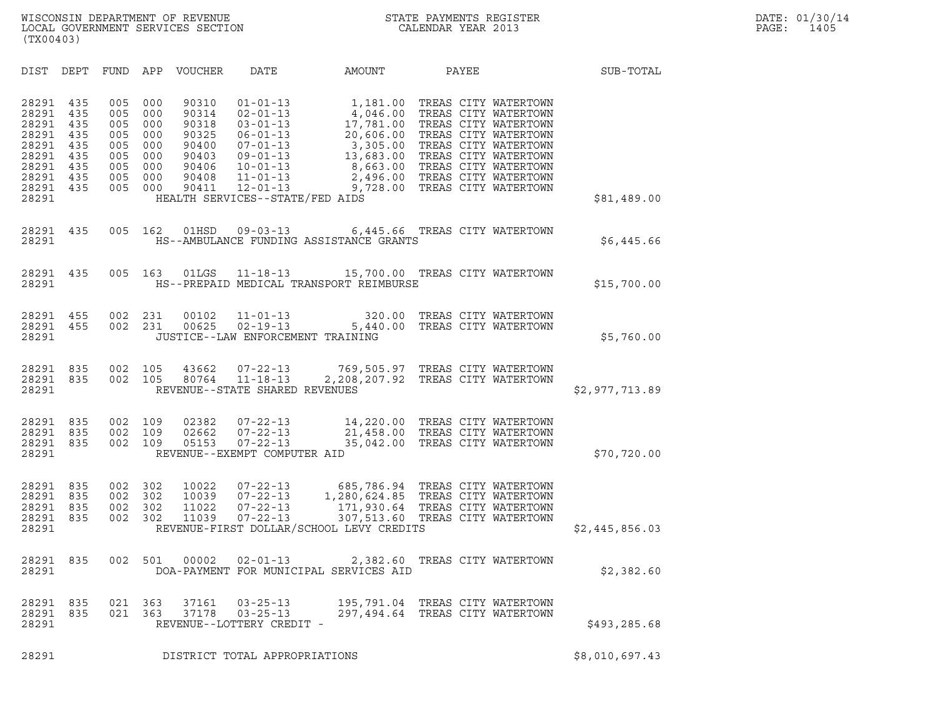| (TX00403)                                                                              |                                                             |                                                             |                                                             |                                                                               |                                                                                                                                                                                                   |                                                                                                                                                                                        |                                                                                                                                              |       |                |  |
|----------------------------------------------------------------------------------------|-------------------------------------------------------------|-------------------------------------------------------------|-------------------------------------------------------------|-------------------------------------------------------------------------------|---------------------------------------------------------------------------------------------------------------------------------------------------------------------------------------------------|----------------------------------------------------------------------------------------------------------------------------------------------------------------------------------------|----------------------------------------------------------------------------------------------------------------------------------------------|-------|----------------|--|
| DIST                                                                                   | DEPT                                                        | FUND                                                        | APP                                                         | VOUCHER                                                                       | DATE                                                                                                                                                                                              | AMOUNT                                                                                                                                                                                 |                                                                                                                                              | PAYEE | SUB-TOTAL      |  |
| 28291<br>28291<br>28291<br>28291<br>28291<br>28291<br>28291<br>28291<br>28291<br>28291 | 435<br>435<br>435<br>435<br>435<br>435<br>435<br>435<br>435 | 005<br>005<br>005<br>005<br>005<br>005<br>005<br>005<br>005 | 000<br>000<br>000<br>000<br>000<br>000<br>000<br>000<br>000 | 90310<br>90314<br>90318<br>90325<br>90400<br>90403<br>90406<br>90408<br>90411 | $01 - 01 - 13$<br>$02 - 01 - 13$<br>$03 - 01 - 13$<br>$06 - 01 - 13$<br>$07 - 01 - 13$<br>$09 - 01 - 13$<br>$10 - 01 - 13$<br>$11 - 01 - 13$<br>$12 - 01 - 13$<br>HEALTH SERVICES--STATE/FED AIDS | 1,181.00<br>4,046.00<br>17,781.00<br>20,606.00<br>3,305.00<br>13,683.00<br>8,663.00 TREAS CITY WATERTOWN<br>2,496.00 TREAS CITY WATERTOWN<br>9,728.00 TREAS CITY WATERTOWN             | TREAS CITY WATERTOWN<br>TREAS CITY WATERTOWN<br>TREAS CITY WATERTOWN<br>TREAS CITY WATERTOWN<br>TREAS CITY WATERTOWN<br>TREAS CITY WATERTOWN |       | \$81,489.00    |  |
| 28291<br>28291                                                                         | 435                                                         | 005                                                         | 162                                                         | 01HSD                                                                         | $09 - 03 - 13$                                                                                                                                                                                    | HS--AMBULANCE FUNDING ASSISTANCE GRANTS                                                                                                                                                | 6,445.66 TREAS CITY WATERTOWN                                                                                                                |       | \$6,445.66     |  |
| 28291<br>28291                                                                         | 435                                                         | 005                                                         | 163                                                         | 01LGS                                                                         |                                                                                                                                                                                                   | 11-18-13 15,700.00 TREAS CITY WATERTOWN<br>HS--PREPAID MEDICAL TRANSPORT REIMBURSE                                                                                                     |                                                                                                                                              |       | \$15,700.00    |  |
| 28291<br>28291<br>28291                                                                | 455<br>455                                                  | 002<br>002                                                  | 231<br>231                                                  | 00102<br>00625                                                                | $02 - 19 - 13$<br>JUSTICE--LAW ENFORCEMENT TRAINING                                                                                                                                               | 11-01-13 320.00<br>02-19-13 5,440.00<br>5,440.00                                                                                                                                       | TREAS CITY WATERTOWN<br>TREAS CITY WATERTOWN                                                                                                 |       | \$5,760.00     |  |
| 28291<br>28291<br>28291                                                                | 835<br>835                                                  | 002<br>002                                                  | 105<br>105                                                  |                                                                               | 43662 07-22-13<br>80764 11-18-13<br>REVENUE--STATE SHARED REVENUES                                                                                                                                | 769,505.97 TREAS CITY WATERTOWN<br>2,208,207.92 TREAS CITY WATERTOWN                                                                                                                   |                                                                                                                                              |       | \$2,977,713.89 |  |
| 28291<br>28291<br>28291<br>28291                                                       | 835<br>835<br>835                                           | 002<br>002<br>002                                           | 109<br>109<br>109                                           | 02382<br>02662<br>05153                                                       | 07-22-13<br>$07 - 22 - 13$<br>$07 - 22 - 13$<br>REVENUE--EXEMPT COMPUTER AID                                                                                                                      | 14,220.00 TREAS CITY WATERTOWN<br>21,458.00 TREAS CITY WATERTOWN<br>35,042.00 TREAS CITY WATERTOWN                                                                                     |                                                                                                                                              |       | \$70,720.00    |  |
| 28291<br>28291<br>28291<br>28291<br>28291                                              | 835<br>835<br>835<br>835                                    | 002<br>002<br>002<br>002                                    | 302<br>302<br>302<br>302                                    | 10022<br>10039<br>11022<br>11039                                              | $07 - 22 - 13$<br>$07 - 22 - 13$<br>$07 - 22 - 13$<br>$07 - 22 - 13$                                                                                                                              | 685,786.94 TREAS CITY WATERTOWN<br>1,280,624.85 TREAS CITY WATERTOWN<br>171,930.64 TREAS CITY WATERTOWN<br>307,513.60 TREAS CITY WATERTOWN<br>REVENUE-FIRST DOLLAR/SCHOOL LEVY CREDITS |                                                                                                                                              |       | \$2,445,856.03 |  |
| 28291<br>28291                                                                         | 835                                                         | 002                                                         | 501                                                         | 00002                                                                         | $02 - 01 - 13$                                                                                                                                                                                    | 2,382.60<br>DOA-PAYMENT FOR MUNICIPAL SERVICES AID                                                                                                                                     | TREAS CITY WATERTOWN                                                                                                                         |       | \$2,382.60     |  |
| 28291 835<br>28291 835<br>28291                                                        |                                                             | 021                                                         |                                                             |                                                                               | 021 363 37161 03-25-13<br>363 37178 03-25-13<br>REVENUE--LOTTERY CREDIT -                                                                                                                         | 195,791.04 TREAS CITY WATERTOWN<br>297,494.64 TREAS CITY WATERTOWN                                                                                                                     |                                                                                                                                              |       | \$493,285.68   |  |
| 28291                                                                                  |                                                             |                                                             |                                                             |                                                                               | DISTRICT TOTAL APPROPRIATIONS                                                                                                                                                                     |                                                                                                                                                                                        |                                                                                                                                              |       | \$8,010,697.43 |  |